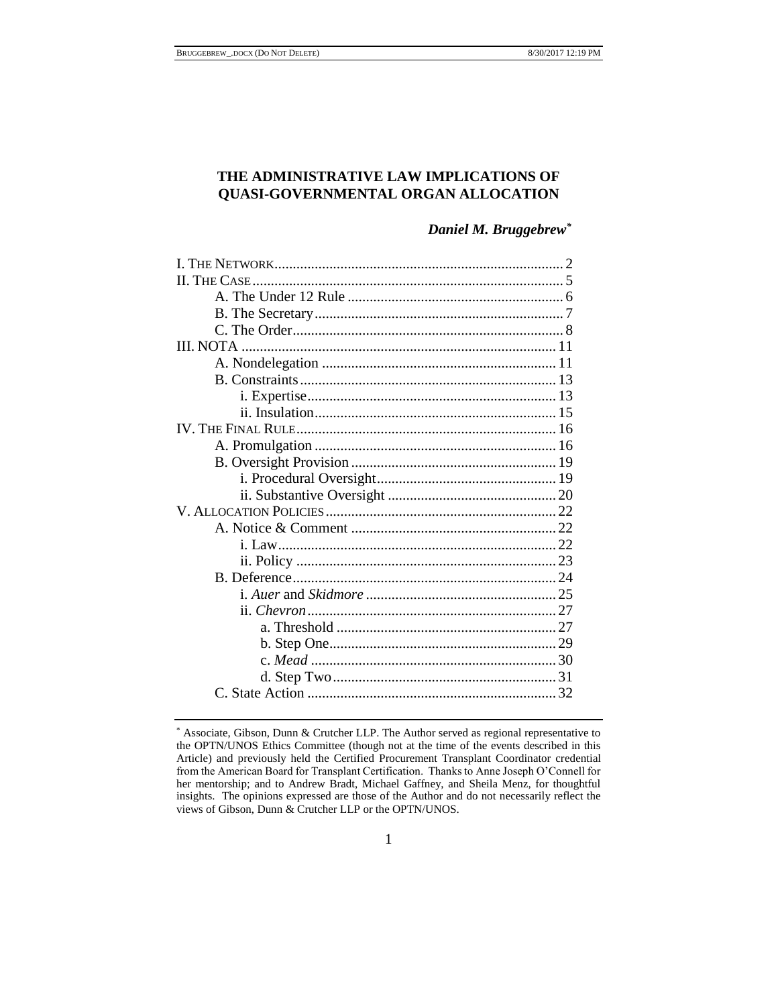# **THE ADMINISTRATIVE LAW IMPLICATIONS OF QUASI-GOVERNMENTAL ORGAN ALLOCATION**

*Daniel M. Bruggebrew\**

| III. NOTA |  |
|-----------|--|
|           |  |
|           |  |
|           |  |
|           |  |
|           |  |
|           |  |
|           |  |
|           |  |
|           |  |
|           |  |
|           |  |
|           |  |
|           |  |
|           |  |
|           |  |
|           |  |
|           |  |
|           |  |
|           |  |
|           |  |
|           |  |
|           |  |

<sup>\*</sup> Associate, Gibson, Dunn & Crutcher LLP. The Author served as regional representative to the OPTN/UNOS Ethics Committee (though not at the time of the events described in this Article) and previously held the Certified Procurement Transplant Coordinator credential from the American Board for Transplant Certification. Thanks to Anne Joseph O'Connell for her mentorship; and to Andrew Bradt, Michael Gaffney, and Sheila Menz, for thoughtful insights. The opinions expressed are those of the Author and do not necessarily reflect the views of Gibson, Dunn & Crutcher LLP or the OPTN/UNOS.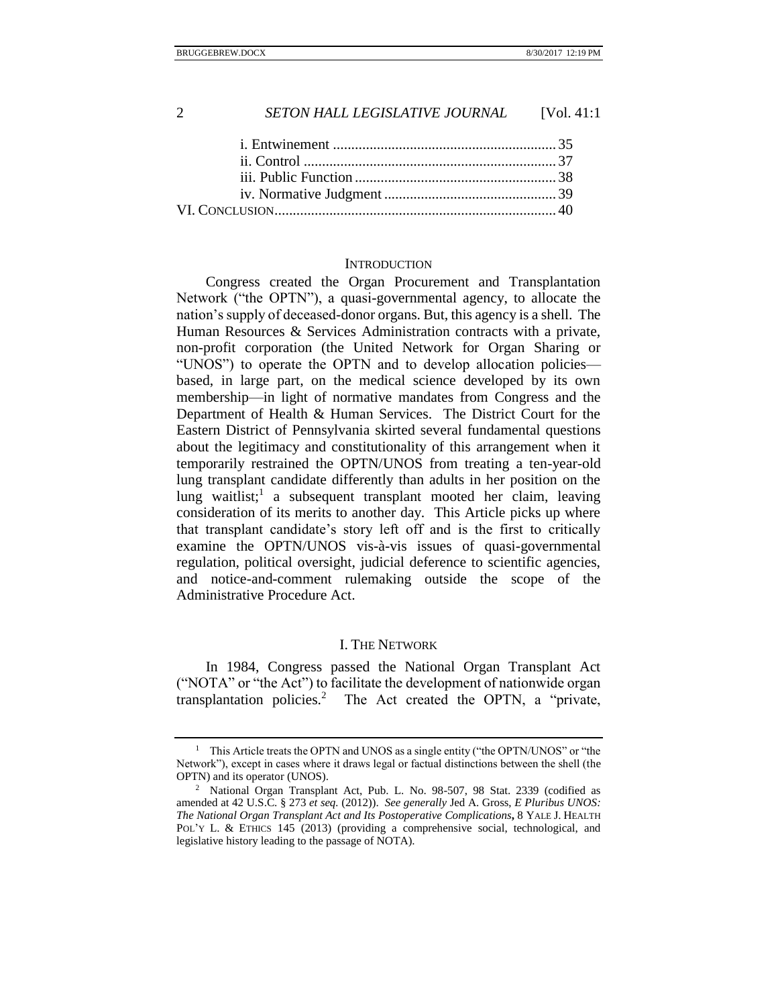i. Entwinement [.............................................................](#page-34-0) 35 ii. Control [.....................................................................](#page-36-0) 37 iii. Public Function [.......................................................](#page-37-0) 38 iv. Normative Judgment [...............................................](#page-38-0) 39 VI. CONCLUSION[.............................................................................](#page-39-0) 40

## **INTRODUCTION**

Congress created the Organ Procurement and Transplantation Network ("the OPTN"), a quasi-governmental agency, to allocate the nation's supply of deceased-donor organs. But, this agency is a shell. The Human Resources & Services Administration contracts with a private, non-profit corporation (the United Network for Organ Sharing or "UNOS") to operate the OPTN and to develop allocation policies based, in large part, on the medical science developed by its own membership—in light of normative mandates from Congress and the Department of Health & Human Services. The District Court for the Eastern District of Pennsylvania skirted several fundamental questions about the legitimacy and constitutionality of this arrangement when it temporarily restrained the OPTN/UNOS from treating a ten-year-old lung transplant candidate differently than adults in her position on the lung waitlist;<sup>1</sup> a subsequent transplant mooted her claim, leaving consideration of its merits to another day. This Article picks up where that transplant candidate's story left off and is the first to critically examine the OPTN/UNOS vis-à-vis issues of quasi-governmental regulation, political oversight, judicial deference to scientific agencies, and notice-and-comment rulemaking outside the scope of the Administrative Procedure Act.

# <span id="page-1-1"></span>I. THE NETWORK

<span id="page-1-0"></span>In 1984, Congress passed the National Organ Transplant Act ("NOTA" or "the Act") to facilitate the development of nationwide organ transplantation policies.<sup>2</sup> The Act created the OPTN, a "private,

<sup>&</sup>lt;sup>1</sup> This Article treats the OPTN and UNOS as a single entity ("the OPTN/UNOS" or "the Network"), except in cases where it draws legal or factual distinctions between the shell (the OPTN) and its operator (UNOS).

<sup>2</sup> National Organ Transplant Act, Pub. L. No. 98-507, 98 Stat. 2339 (codified as amended at 42 U.S.C. § 273 *et seq.* (2012)). *See generally* Jed A. Gross, *E Pluribus UNOS: The National Organ Transplant Act and Its Postoperative Complications***,** 8 YALE J. HEALTH POL'Y L. & ETHICS 145 (2013) (providing a comprehensive social, technological, and legislative history leading to the passage of NOTA).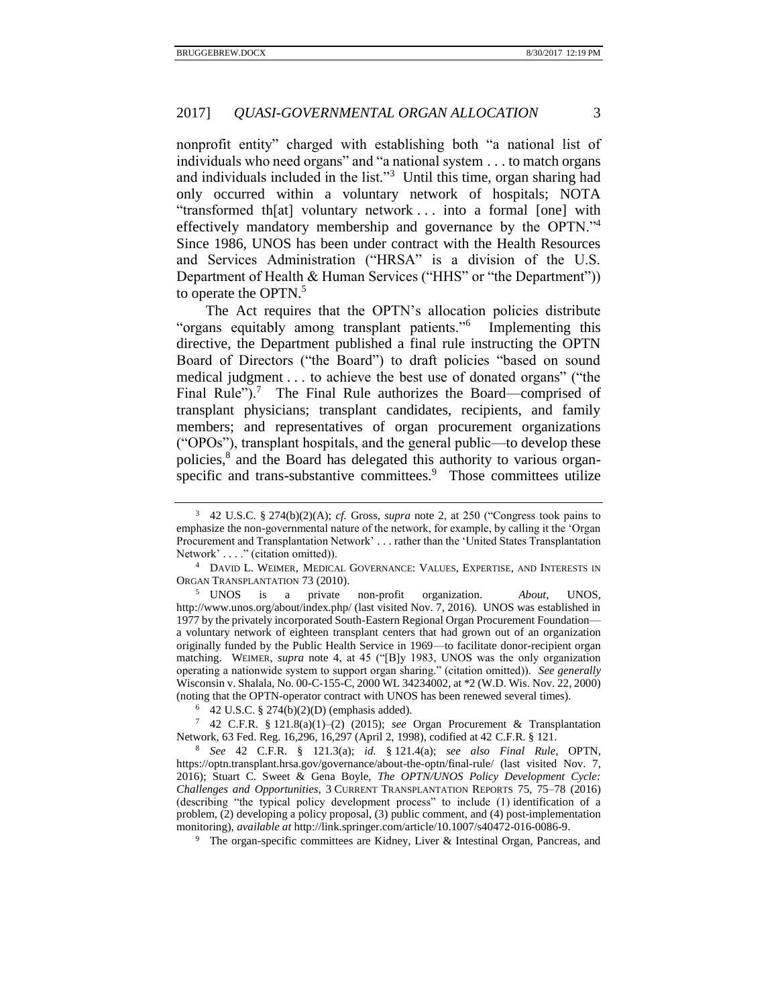nonprofit entity" charged with establishing both "a national list of individuals who need organs" and "a national system . . . to match organs and individuals included in the list."<sup>3</sup> Until this time, organ sharing had only occurred within a voluntary network of hospitals; NOTA "transformed th[at] voluntary network . . . into a formal [one] with effectively mandatory membership and governance by the OPTN."<sup>4</sup> Since 1986, UNOS has been under contract with the Health Resources and Services Administration ("HRSA" is a division of the U.S. Department of Health & Human Services ("HHS" or "the Department")) to operate the OPTN.<sup>5</sup>

<span id="page-2-2"></span><span id="page-2-1"></span>The Act requires that the OPTN's allocation policies distribute "organs equitably among transplant patients."<sup>6</sup> Implementing this directive, the Department published a final rule instructing the OPTN Board of Directors ("the Board") to draft policies "based on sound medical judgment . . . to achieve the best use of donated organs" ("the Final Rule").<sup>7</sup> The Final Rule authorizes the Board—comprised of transplant physicians; transplant candidates, recipients, and family members; and representatives of organ procurement organizations ("OPOs"), transplant hospitals, and the general public—to develop these policies,<sup>8</sup> and the Board has delegated this authority to various organspecific and trans-substantive committees.<sup>9</sup> Those committees utilize

<span id="page-2-0"></span>

<sup>3</sup> 42 U.S.C. § 274(b)(2)(A); *cf.* Gross, *supra* note [2,](#page-1-1) at 250 ("Congress took pains to emphasize the non-governmental nature of the network, for example, by calling it the 'Organ Procurement and Transplantation Network' . . . rather than the 'United States Transplantation Network' . . . ." (citation omitted)).

<sup>&</sup>lt;sup>4</sup> DAVID L. WEIMER, MEDICAL GOVERNANCE: VALUES, EXPERTISE, AND INTERESTS IN ORGAN TRANSPLANTATION 73 (2010).

<sup>5</sup> UNOS is a private non-profit organization. *About*, UNOS, http://www.unos.org/about/index.php/ (last visited Nov. 7, 2016). UNOS was established in 1977 by the privately incorporated South-Eastern Regional Organ Procurement Foundation a voluntary network of eighteen transplant centers that had grown out of an organization originally funded by the Public Health Service in 1969—to facilitate donor-recipient organ matching. WEIMER, *supra* note [4,](#page-2-0) at 45 ("[B]y 1983, UNOS was the only organization operating a nationwide system to support organ sharing." (citation omitted)). *See generally*  Wisconsin v. Shalala, No. 00-C-155-C, 2000 WL 34234002, at \*2 (W.D. Wis. Nov. 22, 2000) (noting that the OPTN-operator contract with UNOS has been renewed several times).

<sup>6</sup> 42 U.S.C. § 274(b)(2)(D) (emphasis added).

<sup>7</sup> 42 C.F.R. § 121.8(a)(1)–(2) (2015); *see* Organ Procurement & Transplantation Network, 63 Fed. Reg. 16,296, 16,297 (April 2, 1998), codified at 42 C.F.R. § 121.

<sup>8</sup> *See* 42 C.F.R. § 121.3(a); *id.* § 121.4(a); *see also Final Rule*, OPTN, https://optn.transplant.hrsa.gov/governance/about-the-optn/final-rule/ (last visited Nov. 7, 2016); Stuart C. Sweet & Gena Boyle, *The OPTN/UNOS Policy Development Cycle: Challenges and Opportunities*, 3 CURRENT TRANSPLANTATION REPORTS 75, 75–78 (2016) (describing "the typical policy development process" to include (1) identification of a problem, (2) developing a policy proposal, (3) public comment, and (4) post-implementation monitoring), *available at* http://link.springer.com/article/10.1007/s40472-016-0086-9.

<sup>9</sup> The organ-specific committees are Kidney, Liver & Intestinal Organ, Pancreas, and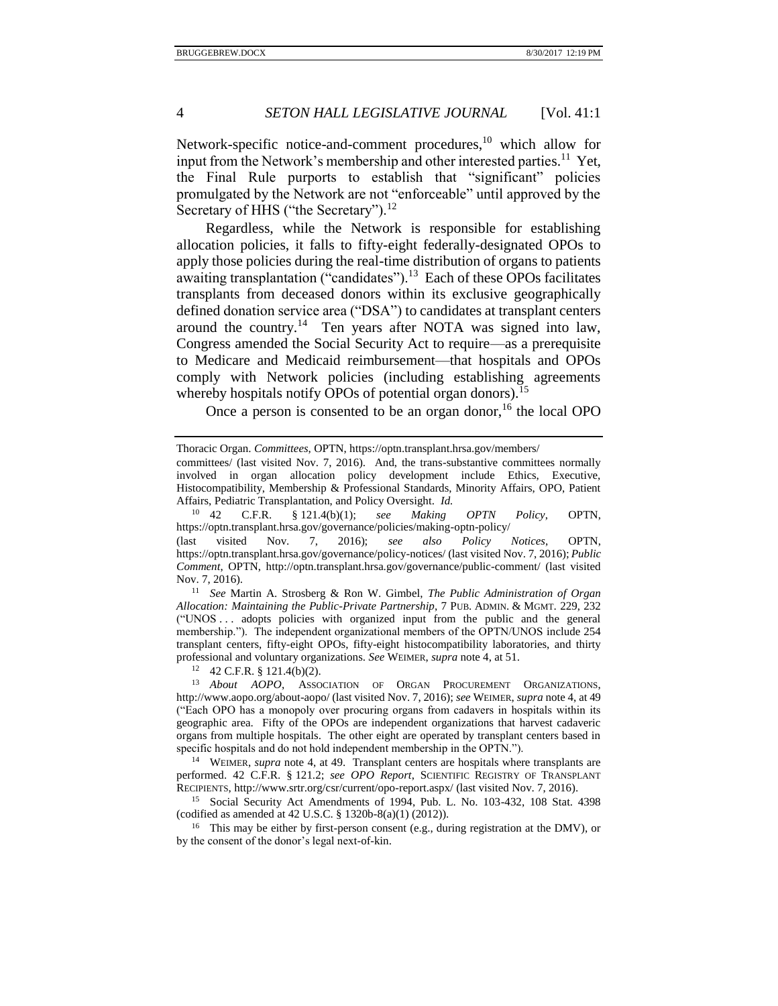<span id="page-3-0"></span>Network-specific notice-and-comment procedures, $^{10}$  which allow for input from the Network's membership and other interested parties.<sup>11</sup> Yet, the Final Rule purports to establish that "significant" policies promulgated by the Network are not "enforceable" until approved by the Secretary of HHS ("the Secretary").<sup>12</sup>

<span id="page-3-1"></span>Regardless, while the Network is responsible for establishing allocation policies, it falls to fifty-eight federally-designated OPOs to apply those policies during the real-time distribution of organs to patients awaiting transplantation ("candidates").<sup>13</sup> Each of these OPOs facilitates transplants from deceased donors within its exclusive geographically defined donation service area ("DSA") to candidates at transplant centers around the country.<sup>14</sup> Ten years after NOTA was signed into law, Congress amended the Social Security Act to require—as a prerequisite to Medicare and Medicaid reimbursement—that hospitals and OPOs comply with Network policies (including establishing agreements whereby hospitals notify OPOs of potential organ donors).<sup>15</sup>

Once a person is consented to be an organ donor,  $16$  the local OPO

 $12 \quad 42 \text{ C.F.R. }$  § 121.4(b)(2).

<sup>14</sup> WEIMER, *supra* note [4,](#page-2-0) at 49. Transplant centers are hospitals where transplants are performed. 42 C.F.R. § 121.2; *see OPO Report*, SCIENTIFIC REGISTRY OF TRANSPLANT RECIPIENTS, http://www.srtr.org/csr/current/opo-report.aspx/ (last visited Nov. 7, 2016).

<sup>15</sup> Social Security Act Amendments of 1994, Pub. L. No. 103-432, 108 Stat. 4398 (codified as amended at 42 U.S.C. § 1320b-8(a)(1) (2012)).

<sup>16</sup> This may be either by first-person consent (e.g., during registration at the DMV), or by the consent of the donor's legal next-of-kin.

Thoracic Organ. *Committees*, OPTN, https://optn.transplant.hrsa.gov/members/

committees/ (last visited Nov. 7, 2016). And, the trans-substantive committees normally involved in organ allocation policy development include Ethics, Executive, Histocompatibility, Membership & Professional Standards, Minority Affairs, OPO, Patient Affairs, Pediatric Transplantation, and Policy Oversight. *Id.*

<sup>10</sup> 42 C.F.R. § 121.4(b)(1); *see Making OPTN Policy*, OPTN, https://optn.transplant.hrsa.gov/governance/policies/making-optn-policy/

<sup>(</sup>last visited Nov. 7, 2016); *see also Policy Notices*, OPTN, https://optn.transplant.hrsa.gov/governance/policy-notices/ (last visited Nov. 7, 2016); *Public Comment*, OPTN, http://optn.transplant.hrsa.gov/governance/public-comment/ (last visited Nov. 7, 2016).

<sup>11</sup> *See* Martin A. Strosberg & Ron W. Gimbel, *The Public Administration of Organ Allocation: Maintaining the Public-Private Partnership*, 7 PUB. ADMIN. & MGMT. 229, 232 ("UNOS . . . adopts policies with organized input from the public and the general membership."). The independent organizational members of the OPTN/UNOS include 254 transplant centers, fifty-eight OPOs, fifty-eight histocompatibility laboratories, and thirty professional and voluntary organizations. *See* WEIMER, *supra* not[e 4,](#page-2-0) at 51.

<sup>13</sup> *About AOPO*, ASSOCIATION OF ORGAN PROCUREMENT ORGANIZATIONS, http://www.aopo.org/about-aopo/ (last visited Nov. 7, 2016); *see* WEIMER, *supra* not[e 4,](#page-2-0) at 49 ("Each OPO has a monopoly over procuring organs from cadavers in hospitals within its geographic area. Fifty of the OPOs are independent organizations that harvest cadaveric organs from multiple hospitals. The other eight are operated by transplant centers based in specific hospitals and do not hold independent membership in the OPTN.").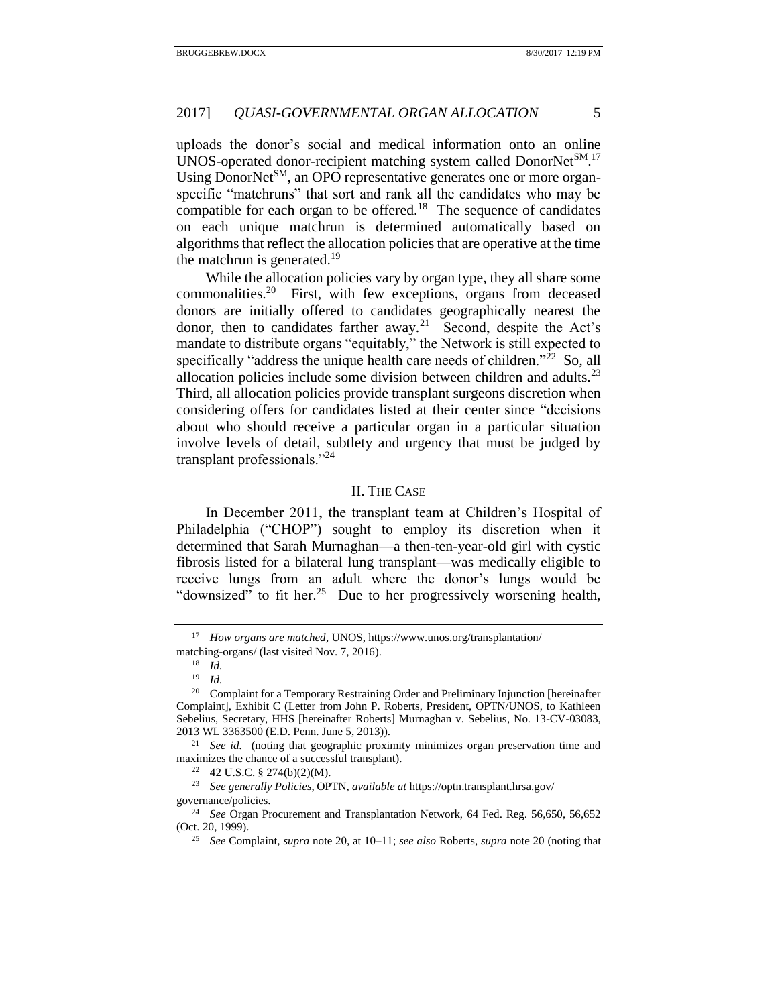uploads the donor's social and medical information onto an online UNOS-operated donor-recipient matching system called DonorNet<sup>SM</sup>.<sup>17</sup> Using DonorNet<sup>SM</sup>, an OPO representative generates one or more organspecific "matchruns" that sort and rank all the candidates who may be compatible for each organ to be offered.<sup>18</sup> The sequence of candidates on each unique matchrun is determined automatically based on algorithms that reflect the allocation policies that are operative at the time the matchrun is generated.<sup>19</sup>

<span id="page-4-3"></span><span id="page-4-1"></span>While the allocation policies vary by organ type, they all share some commonalities.<sup>20</sup> First, with few exceptions, organs from deceased donors are initially offered to candidates geographically nearest the donor, then to candidates farther away.<sup>21</sup> Second, despite the Act's mandate to distribute organs "equitably," the Network is still expected to specifically "address the unique health care needs of children." $^{22}$  So, all allocation policies include some division between children and adults. $2<sup>3</sup>$ Third, all allocation policies provide transplant surgeons discretion when considering offers for candidates listed at their center since "decisions about who should receive a particular organ in a particular situation involve levels of detail, subtlety and urgency that must be judged by transplant professionals."<sup>24</sup>

## <span id="page-4-4"></span>II. THE CASE

<span id="page-4-0"></span>In December 2011, the transplant team at Children's Hospital of Philadelphia ("CHOP") sought to employ its discretion when it determined that Sarah Murnaghan—a then-ten-year-old girl with cystic fibrosis listed for a bilateral lung transplant—was medically eligible to receive lungs from an adult where the donor's lungs would be "downsized" to fit her.<sup>25</sup> Due to her progressively worsening health,

<sup>23</sup> *See generally Policies*, OPTN, *available at* https://optn.transplant.hrsa.gov/ governance/policies.

<span id="page-4-2"></span>

<sup>17</sup> *How organs are matched*, UNOS, https://www.unos.org/transplantation/ matching-organs/ (last visited Nov. 7, 2016).

 $\frac{18}{19}$  *Id.* 

<sup>19</sup> *Id.*

<sup>&</sup>lt;sup>20</sup> Complaint for a Temporary Restraining Order and Preliminary Injunction [hereinafter Complaint], Exhibit C (Letter from John P. Roberts, President, OPTN/UNOS, to Kathleen Sebelius, Secretary, HHS [hereinafter Roberts] Murnaghan v. Sebelius, No. 13-CV-03083, 2013 WL 3363500 (E.D. Penn. June 5, 2013)).

<sup>&</sup>lt;sup>21</sup> *See id.* (noting that geographic proximity minimizes organ preservation time and maximizes the chance of a successful transplant).

 $22$  42 U.S.C. § 274(b)(2)(M).

<sup>24</sup> *See* Organ Procurement and Transplantation Network, 64 Fed. Reg. 56,650, 56,652 (Oct. 20, 1999).

<sup>25</sup> *See* Complaint, *supra* note [20,](#page-4-1) at 10–11; *see also* Roberts, *supra* not[e 20](#page-4-1) (noting that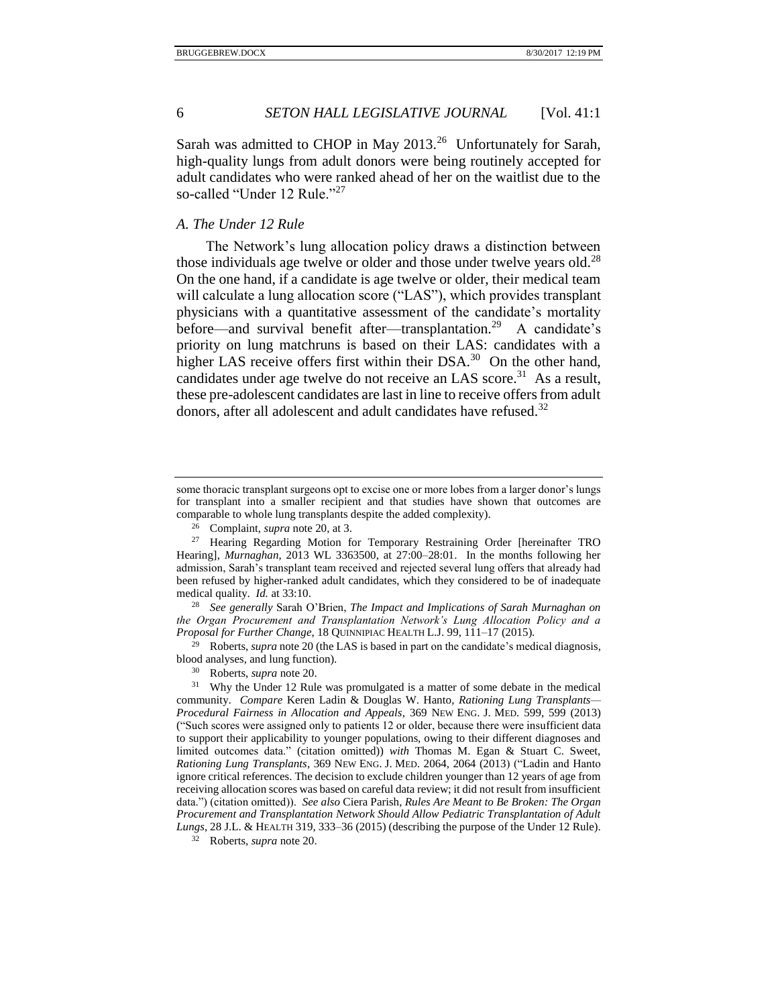Sarah was admitted to CHOP in May  $2013.^{26}$  Unfortunately for Sarah, high-quality lungs from adult donors were being routinely accepted for adult candidates who were ranked ahead of her on the waitlist due to the so-called "Under 12 Rule."<sup>27</sup>

# <span id="page-5-1"></span><span id="page-5-0"></span>*A. The Under 12 Rule*

<span id="page-5-4"></span><span id="page-5-3"></span>The Network's lung allocation policy draws a distinction between those individuals age twelve or older and those under twelve years old.<sup>28</sup> On the one hand, if a candidate is age twelve or older, their medical team will calculate a lung allocation score ("LAS"), which provides transplant physicians with a quantitative assessment of the candidate's mortality before—and survival benefit after—transplantation.<sup>29</sup> A candidate's priority on lung matchruns is based on their LAS: candidates with a higher LAS receive offers first within their  $DSA.^{30}$  On the other hand, candidates under age twelve do not receive an LAS score.<sup>31</sup> As a result, these pre-adolescent candidates are last in line to receive offers from adult donors, after all adolescent and adult candidates have refused.<sup>32</sup>

<sup>28</sup> *See generally* Sarah O'Brien, *The Impact and Implications of Sarah Murnaghan on the Organ Procurement and Transplantation Network's Lung Allocation Policy and a Proposal for Further Change*, 18 QUINNIPIAC HEALTH L.J. 99, 111–17 (2015).

<sup>29</sup> Roberts, *supra* not[e 20](#page-4-1) (the LAS is based in part on the candidate's medical diagnosis, blood analyses, and lung function).

<span id="page-5-2"></span>some thoracic transplant surgeons opt to excise one or more lobes from a larger donor's lungs for transplant into a smaller recipient and that studies have shown that outcomes are comparable to whole lung transplants despite the added complexity).

<span id="page-5-5"></span><sup>26</sup> Complaint, *supra* not[e 20,](#page-4-1) at 3.

<sup>27</sup> Hearing Regarding Motion for Temporary Restraining Order [hereinafter TRO Hearing], *Murnaghan*, 2013 WL 3363500, at 27:00–28:01. In the months following her admission, Sarah's transplant team received and rejected several lung offers that already had been refused by higher-ranked adult candidates, which they considered to be of inadequate medical quality. *Id.* at 33:10.

<sup>30</sup> Roberts, *supra* not[e 20.](#page-4-1)

<sup>&</sup>lt;sup>31</sup> Why the Under 12 Rule was promulgated is a matter of some debate in the medical community. *Compare* Keren Ladin & Douglas W. Hanto, *Rationing Lung Transplants— Procedural Fairness in Allocation and Appeals*, 369 NEW ENG. J. MED. 599, 599 (2013) ("Such scores were assigned only to patients 12 or older, because there were insufficient data to support their applicability to younger populations, owing to their different diagnoses and limited outcomes data." (citation omitted)) *with* Thomas M. Egan & Stuart C. Sweet, *Rationing Lung Transplants*, 369 NEW ENG. J. MED. 2064, 2064 (2013) ("Ladin and Hanto ignore critical references. The decision to exclude children younger than 12 years of age from receiving allocation scores was based on careful data review; it did not result from insufficient data.") (citation omitted)). *See also* Ciera Parish, *Rules Are Meant to Be Broken: The Organ Procurement and Transplantation Network Should Allow Pediatric Transplantation of Adult Lungs*, 28 J.L. & HEALTH 319, 333–36 (2015) (describing the purpose of the Under 12 Rule).

<sup>32</sup> Roberts, *supra* not[e 20.](#page-4-1)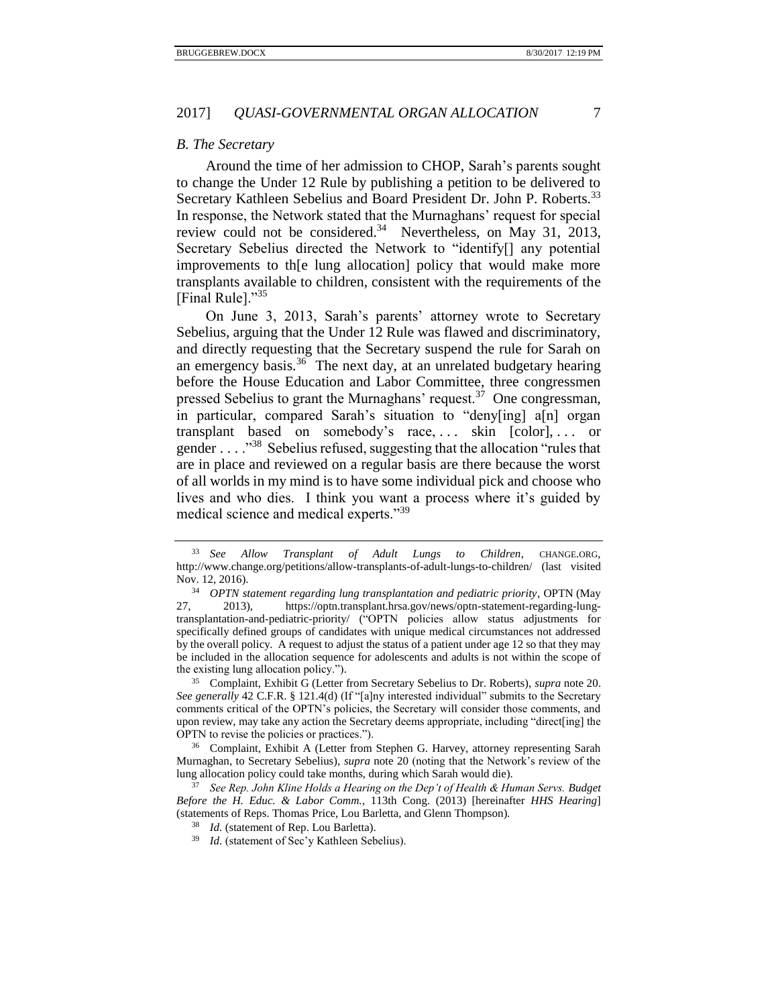#### <span id="page-6-0"></span>*B. The Secretary*

Around the time of her admission to CHOP, Sarah's parents sought to change the Under 12 Rule by publishing a petition to be delivered to Secretary Kathleen Sebelius and Board President Dr. John P. Roberts.<sup>33</sup> In response, the Network stated that the Murnaghans' request for special review could not be considered.<sup>34</sup> Nevertheless, on May 31, 2013, Secretary Sebelius directed the Network to "identify[] any potential improvements to th[e lung allocation] policy that would make more transplants available to children, consistent with the requirements of the [Final Rule]."<sup>35</sup>

<span id="page-6-1"></span>On June 3, 2013, Sarah's parents' attorney wrote to Secretary Sebelius, arguing that the Under 12 Rule was flawed and discriminatory, and directly requesting that the Secretary suspend the rule for Sarah on an emergency basis.<sup>36</sup> The next day, at an unrelated budgetary hearing before the House Education and Labor Committee, three congressmen pressed Sebelius to grant the Murnaghans' request.<sup>37</sup> One congressman, in particular, compared Sarah's situation to "deny[ing] a[n] organ transplant based on somebody's race, ... skin [color], ... or gender . . . . "<sup>38</sup> Sebelius refused, suggesting that the allocation "rules that are in place and reviewed on a regular basis are there because the worst of all worlds in my mind is to have some individual pick and choose who lives and who dies. I think you want a process where it's guided by medical science and medical experts."<sup>39</sup>

<sup>35</sup> Complaint, Exhibit G (Letter from Secretary Sebelius to Dr. Roberts), *supra* note [20.](#page-4-1) *See generally* 42 C.F.R. § 121.4(d) (If "[a]ny interested individual" submits to the Secretary comments critical of the OPTN's policies, the Secretary will consider those comments, and upon review, may take any action the Secretary deems appropriate, including "direct[ing] the OPTN to revise the policies or practices.").

<sup>36</sup> Complaint, Exhibit A (Letter from Stephen G. Harvey, attorney representing Sarah Murnaghan, to Secretary Sebelius), *supra* note [20](#page-4-1) (noting that the Network's review of the lung allocation policy could take months, during which Sarah would die).

<sup>37</sup> *See Rep. John Kline Holds a Hearing on the Dep't of Health & Human Servs. Budget Before the H. Educ. & Labor Comm.*, 113th Cong. (2013) [hereinafter *HHS Hearing*] (statements of Reps. Thomas Price, Lou Barletta, and Glenn Thompson).

<sup>33</sup> *See Allow Transplant of Adult Lungs to Children*, CHANGE.ORG, http://www.change.org/petitions/allow-transplants-of-adult-lungs-to-children/ (last visited Nov. 12, 2016).

<sup>34</sup> *OPTN statement regarding lung transplantation and pediatric priority*, OPTN (May 27, 2013), https://optn.transplant.hrsa.gov/news/optn-statement-regarding-lungtransplantation-and-pediatric-priority/ ("OPTN policies allow status adjustments for specifically defined groups of candidates with unique medical circumstances not addressed by the overall policy. A request to adjust the status of a patient under age 12 so that they may be included in the allocation sequence for adolescents and adults is not within the scope of the existing lung allocation policy.").

<sup>38</sup> *Id.* (statement of Rep. Lou Barletta).

<sup>&</sup>lt;sup>39</sup> *Id.* (statement of Sec'y Kathleen Sebelius).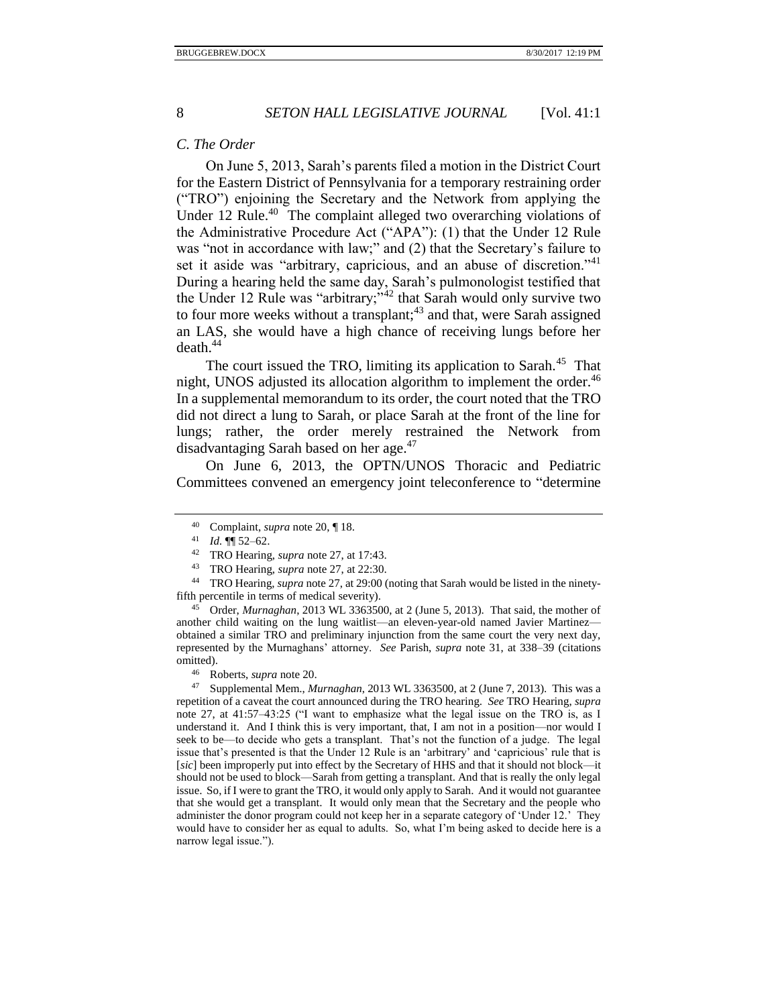#### <span id="page-7-0"></span>*C. The Order*

On June 5, 2013, Sarah's parents filed a motion in the District Court for the Eastern District of Pennsylvania for a temporary restraining order ("TRO") enjoining the Secretary and the Network from applying the Under 12 Rule.<sup>40</sup> The complaint alleged two overarching violations of the Administrative Procedure Act ("APA"): (1) that the Under 12 Rule was "not in accordance with law;" and (2) that the Secretary's failure to set it aside was "arbitrary, capricious, and an abuse of discretion."<sup>41</sup> During a hearing held the same day, Sarah's pulmonologist testified that the Under 12 Rule was "arbitrary;"<sup>42</sup> that Sarah would only survive two to four more weeks without a transplant; $43$  and that, were Sarah assigned an LAS, she would have a high chance of receiving lungs before her  $death<sup>44</sup>$ 

The court issued the TRO, limiting its application to Sarah.<sup>45</sup> That night, UNOS adjusted its allocation algorithm to implement the order.<sup>46</sup> In a supplemental memorandum to its order, the court noted that the TRO did not direct a lung to Sarah, or place Sarah at the front of the line for lungs; rather, the order merely restrained the Network from disadvantaging Sarah based on her age.<sup>47</sup>

On June 6, 2013, the OPTN/UNOS Thoracic and Pediatric Committees convened an emergency joint teleconference to "determine

<sup>45</sup> Order, *Murnaghan*, 2013 WL 3363500, at 2 (June 5, 2013). That said, the mother of another child waiting on the lung waitlist—an eleven-year-old named Javier Martinez obtained a similar TRO and preliminary injunction from the same court the very next day, represented by the Murnaghans' attorney. *See* Parish, *supra* note [31,](#page-5-2) at 338–39 (citations omitted).

<sup>47</sup> Supplemental Mem., *Murnaghan*, 2013 WL 3363500, at 2 (June 7, 2013). This was a repetition of a caveat the court announced during the TRO hearing. *See* TRO Hearing, *supra* note [27,](#page-5-1) at 41:57–43:25 ("I want to emphasize what the legal issue on the TRO is, as I understand it. And I think this is very important, that, I am not in a position—nor would I seek to be—to decide who gets a transplant. That's not the function of a judge. The legal issue that's presented is that the Under 12 Rule is an 'arbitrary' and 'capricious' rule that is [*sic*] been improperly put into effect by the Secretary of HHS and that it should not block—it should not be used to block—Sarah from getting a transplant. And that is really the only legal issue. So, if I were to grant the TRO, it would only apply to Sarah. And it would not guarantee that she would get a transplant. It would only mean that the Secretary and the people who administer the donor program could not keep her in a separate category of 'Under 12.' They would have to consider her as equal to adults. So, what I'm being asked to decide here is a narrow legal issue.").

<span id="page-7-1"></span><sup>40</sup> Complaint, *supra* not[e 20,](#page-4-1) ¶ 18.

<sup>41</sup> *Id.* ¶¶ 52–62.

<sup>42</sup> TRO Hearing, *supra* not[e 27,](#page-5-1) at 17:43.

<sup>43</sup> TRO Hearing, *supra* not[e 27,](#page-5-1) at 22:30.

<sup>44</sup> TRO Hearing, *supra* not[e 27,](#page-5-1) at 29:00 (noting that Sarah would be listed in the ninetyfifth percentile in terms of medical severity).

<sup>46</sup> Roberts, *supra* not[e 20.](#page-4-1)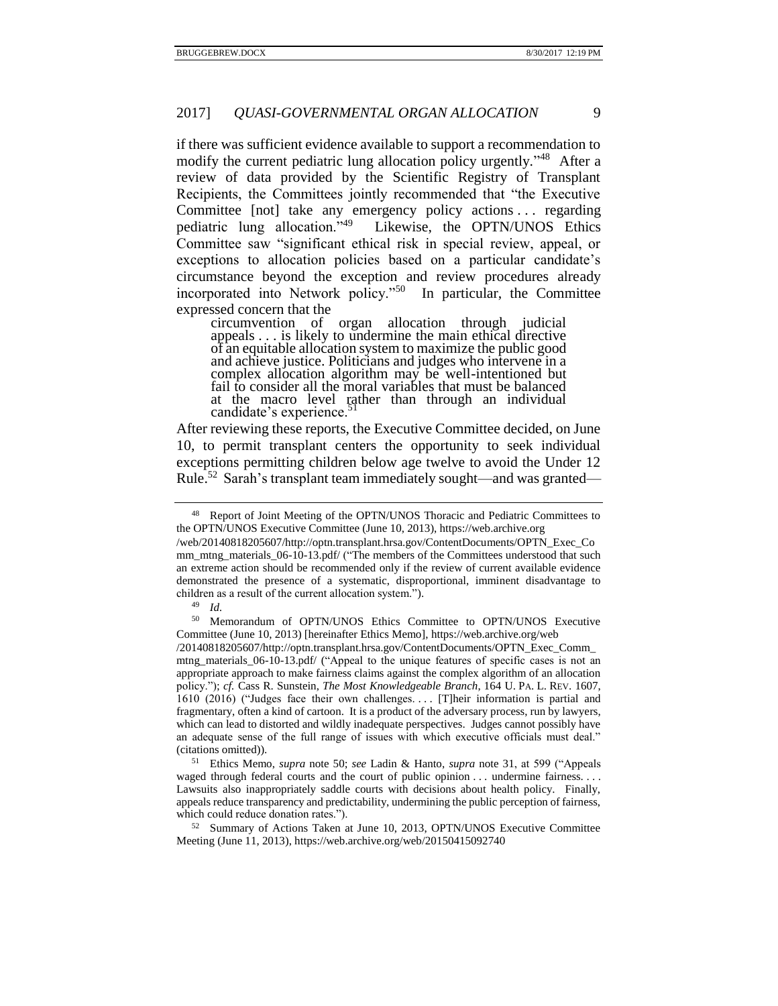if there was sufficient evidence available to support a recommendation to modify the current pediatric lung allocation policy urgently."<sup>48</sup> After a review of data provided by the Scientific Registry of Transplant Recipients, the Committees jointly recommended that "the Executive Committee [not] take any emergency policy actions . . . regarding pediatric lung allocation."<sup>49</sup> Likewise, the OPTN/UNOS Ethics Committee saw "significant ethical risk in special review, appeal, or exceptions to allocation policies based on a particular candidate's circumstance beyond the exception and review procedures already incorporated into Network policy."<sup>50</sup> In particular, the Committee expressed concern that the

<span id="page-8-0"></span>circumvention of organ allocation through judicial appeals . . . is likely to undermine the main ethical directive of an equitable allocation system to maximize the public good and achieve justice. Politicians and judges who intervene in a complex allocation algorithm may be well-intentioned but fail to consider all the moral variables that must be balanced at the macro level rather than through an individual candidate's experience.

After reviewing these reports, the Executive Committee decided, on June 10, to permit transplant centers the opportunity to seek individual exceptions permitting children below age twelve to avoid the Under 12 Rule.<sup>52</sup> Sarah's transplant team immediately sought—and was granted—

<sup>48</sup> Report of Joint Meeting of the OPTN/UNOS Thoracic and Pediatric Committees to the OPTN/UNOS Executive Committee (June 10, 2013), https://web.archive.org

<sup>/</sup>web/20140818205607/http://optn.transplant.hrsa.gov/ContentDocuments/OPTN\_Exec\_Co mm\_mtng\_materials\_06-10-13.pdf/ ("The members of the Committees understood that such an extreme action should be recommended only if the review of current available evidence demonstrated the presence of a systematic, disproportional, imminent disadvantage to children as a result of the current allocation system.").

<sup>49</sup> *Id.*

<sup>50</sup> Memorandum of OPTN/UNOS Ethics Committee to OPTN/UNOS Executive Committee (June 10, 2013) [hereinafter Ethics Memo], https://web.archive.org/web

<sup>/20140818205607/</sup>http://optn.transplant.hrsa.gov/ContentDocuments/OPTN\_Exec\_Comm\_ mtng\_materials\_06-10-13.pdf/ ("Appeal to the unique features of specific cases is not an appropriate approach to make fairness claims against the complex algorithm of an allocation policy."); *cf.* Cass R. Sunstein, *The Most Knowledgeable Branch*, 164 U. PA. L. REV. 1607, 1610 (2016) ("Judges face their own challenges.... [T]heir information is partial and fragmentary, often a kind of cartoon. It is a product of the adversary process, run by lawyers, which can lead to distorted and wildly inadequate perspectives. Judges cannot possibly have an adequate sense of the full range of issues with which executive officials must deal." (citations omitted)).

<sup>51</sup> Ethics Memo, *supra* note [50;](#page-8-0) *see* Ladin & Hanto, *supra* note [31,](#page-5-2) at 599 ("Appeals waged through federal courts and the court of public opinion . . . undermine fairness. . . . Lawsuits also inappropriately saddle courts with decisions about health policy. Finally, appeals reduce transparency and predictability, undermining the public perception of fairness, which could reduce donation rates.").

<sup>&</sup>lt;sup>52</sup> Summary of Actions Taken at June 10, 2013, OPTN/UNOS Executive Committee Meeting (June 11, 2013), https://web.archive.org/web/20150415092740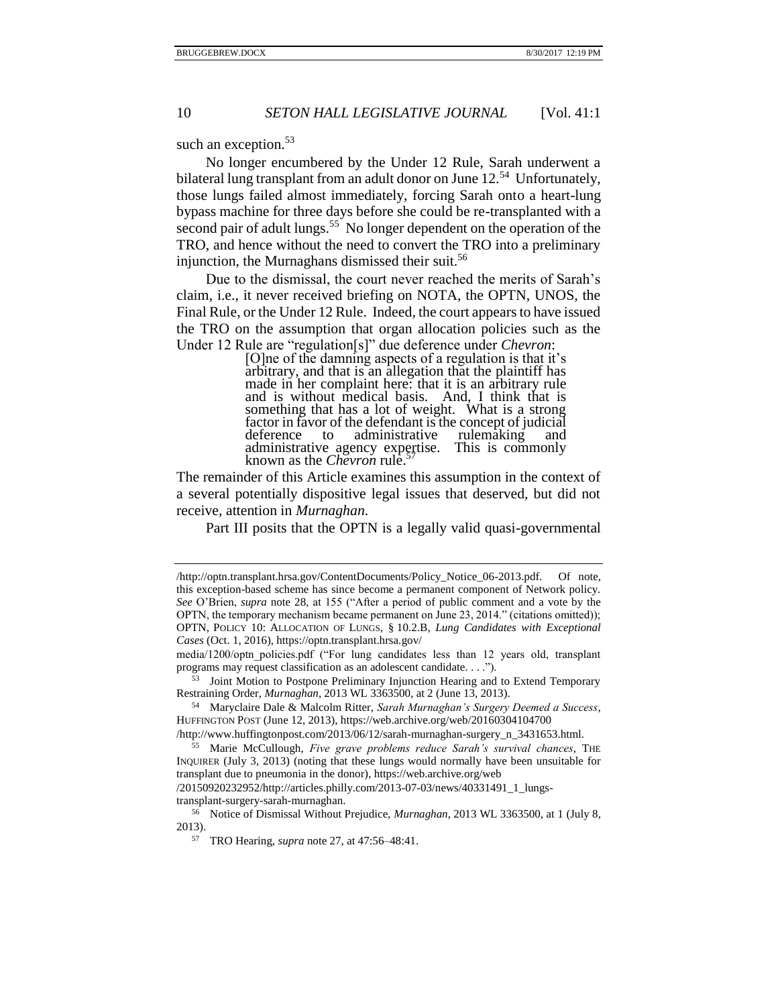such an exception.<sup>53</sup>

No longer encumbered by the Under 12 Rule, Sarah underwent a bilateral lung transplant from an adult donor on June 12.<sup>54</sup> Unfortunately, those lungs failed almost immediately, forcing Sarah onto a heart-lung bypass machine for three days before she could be re-transplanted with a second pair of adult lungs.<sup>55</sup> No longer dependent on the operation of the TRO, and hence without the need to convert the TRO into a preliminary injunction, the Murnaghans dismissed their suit.<sup>56</sup>

Due to the dismissal, the court never reached the merits of Sarah's claim, i.e., it never received briefing on NOTA, the OPTN, UNOS, the Final Rule, or the Under 12 Rule. Indeed, the court appears to have issued the TRO on the assumption that organ allocation policies such as the Under 12 Rule are "regulation[s]" due deference under *Chevron*:

> <span id="page-9-0"></span>[O]ne of the damning aspects of a regulation is that it's arbitrary, and that is an allegation that the plaintiff has made in her complaint here: that it is an arbitrary rule and is without medical basis. And, I think that is something that has a lot of weight. What is a strong factor in favor of the defendant is the concept of judicial deference to administrative rulemaking and deference to administrative rulemaking and administrative agency expertise. This is commonly known as the *Chevron* rule.<sup>57</sup>

The remainder of this Article examines this assumption in the context of a several potentially dispositive legal issues that deserved, but did not receive, attention in *Murnaghan*.

Part III posits that the OPTN is a legally valid quasi-governmental

/http://www.huffingtonpost.com/2013/06/12/sarah-murnaghan-surgery\_n\_3431653.html.

<sup>55</sup> Marie McCullough, *Five grave problems reduce Sarah's survival chances*, THE INQUIRER (July 3, 2013) (noting that these lungs would normally have been unsuitable for transplant due to pneumonia in the donor), https://web.archive.org/web

/20150920232952/http://articles.philly.com/2013-07-03/news/40331491\_1\_lungstransplant-surgery-sarah-murnaghan.

<sup>/</sup>http://optn.transplant.hrsa.gov/ContentDocuments/Policy\_Notice\_06-2013.pdf. Of note, this exception-based scheme has since become a permanent component of Network policy. *See* O'Brien, *supra* note [28,](#page-5-3) at 155 ("After a period of public comment and a vote by the OPTN, the temporary mechanism became permanent on June 23, 2014." (citations omitted)); OPTN, POLICY 10: ALLOCATION OF LUNGS, § 10.2.B, *Lung Candidates with Exceptional Cases* (Oct. 1, 2016), https://optn.transplant.hrsa.gov/

media/1200/optn\_policies.pdf ("For lung candidates less than 12 years old, transplant programs may request classification as an adolescent candidate. . . .").

<sup>53</sup> Joint Motion to Postpone Preliminary Injunction Hearing and to Extend Temporary Restraining Order, *Murnaghan*, 2013 WL 3363500, at 2 (June 13, 2013).

<sup>54</sup> Maryclaire Dale & Malcolm Ritter, *Sarah Murnaghan's Surgery Deemed a Success*, HUFFINGTON POST (June 12, 2013), https://web.archive.org/web/20160304104700

<sup>56</sup> Notice of Dismissal Without Prejudice, *Murnaghan*, 2013 WL 3363500, at 1 (July 8, 2013).

<sup>57</sup> TRO Hearing, *supra* not[e 27,](#page-5-1) at 47:56–48:41.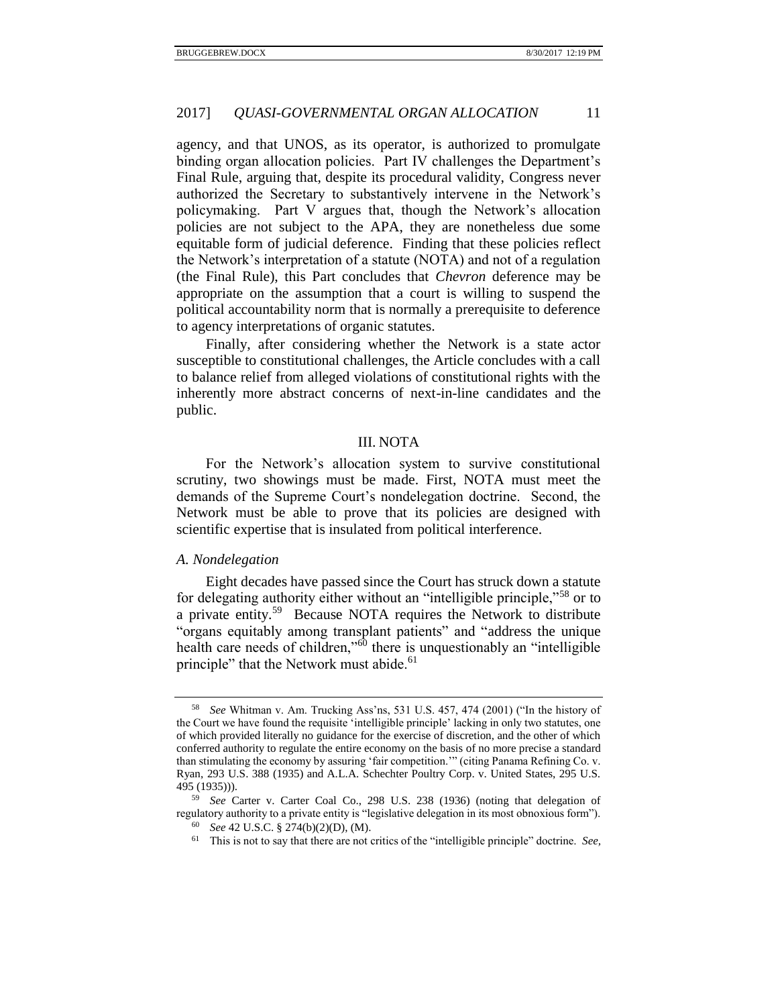agency, and that UNOS, as its operator, is authorized to promulgate binding organ allocation policies. Part IV challenges the Department's Final Rule, arguing that, despite its procedural validity, Congress never authorized the Secretary to substantively intervene in the Network's policymaking. Part V argues that, though the Network's allocation policies are not subject to the APA, they are nonetheless due some equitable form of judicial deference. Finding that these policies reflect the Network's interpretation of a statute (NOTA) and not of a regulation (the Final Rule), this Part concludes that *Chevron* deference may be appropriate on the assumption that a court is willing to suspend the political accountability norm that is normally a prerequisite to deference to agency interpretations of organic statutes.

Finally, after considering whether the Network is a state actor susceptible to constitutional challenges, the Article concludes with a call to balance relief from alleged violations of constitutional rights with the inherently more abstract concerns of next-in-line candidates and the public.

#### III. NOTA

<span id="page-10-0"></span>For the Network's allocation system to survive constitutional scrutiny, two showings must be made. First, NOTA must meet the demands of the Supreme Court's nondelegation doctrine. Second, the Network must be able to prove that its policies are designed with scientific expertise that is insulated from political interference.

## <span id="page-10-1"></span>*A. Nondelegation*

Eight decades have passed since the Court has struck down a statute for delegating authority either without an "intelligible principle,"<sup>58</sup> or to a private entity.<sup>59</sup> Because NOTA requires the Network to distribute "organs equitably among transplant patients" and "address the unique health care needs of children,"<sup>60</sup> there is unquestionably an "intelligible principle" that the Network must abide.<sup>61</sup>

<sup>58</sup> *See* Whitman v. Am. Trucking Ass'ns, 531 U.S. 457, 474 (2001) ("In the history of the Court we have found the requisite 'intelligible principle' lacking in only two statutes, one of which provided literally no guidance for the exercise of discretion, and the other of which conferred authority to regulate the entire economy on the basis of no more precise a standard than stimulating the economy by assuring 'fair competition.'" (citing Panama Refining Co. v. Ryan, 293 U.S. 388 (1935) and A.L.A. Schechter Poultry Corp. v. United States, 295 U.S. 495 (1935))).

<sup>59</sup> *See* Carter v. Carter Coal Co., 298 U.S. 238 (1936) (noting that delegation of regulatory authority to a private entity is "legislative delegation in its most obnoxious form"). <sup>60</sup> *See* 42 U.S.C. § 274(b)(2)(D), (M).

<sup>61</sup> This is not to say that there are not critics of the "intelligible principle" doctrine. *See,*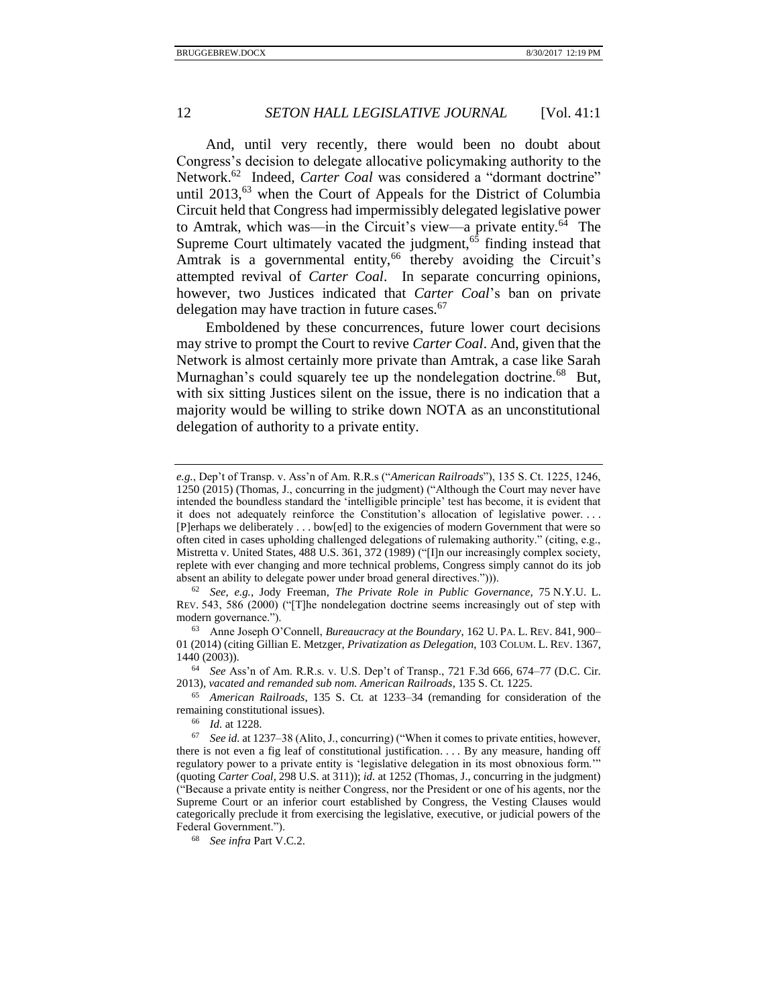<span id="page-11-0"></span>And, until very recently, there would been no doubt about Congress's decision to delegate allocative policymaking authority to the Network.<sup>62</sup> Indeed, *Carter Coal* was considered a "dormant doctrine" until  $2013$ ,<sup>63</sup> when the Court of Appeals for the District of Columbia Circuit held that Congress had impermissibly delegated legislative power to Amtrak, which was—in the Circuit's view—a private entity.<sup> $6\overline{4}$ </sup> The Supreme Court ultimately vacated the judgment, $65$  finding instead that Amtrak is a governmental entity,<sup>66</sup> thereby avoiding the Circuit's attempted revival of *Carter Coal*. In separate concurring opinions, however, two Justices indicated that *Carter Coal*'s ban on private delegation may have traction in future cases.<sup>67</sup>

Emboldened by these concurrences, future lower court decisions may strive to prompt the Court to revive *Carter Coal*. And, given that the Network is almost certainly more private than Amtrak, a case like Sarah Murnaghan's could squarely tee up the nondelegation doctrine.<sup>68</sup> But, with six sitting Justices silent on the issue, there is no indication that a majority would be willing to strike down NOTA as an unconstitutional delegation of authority to a private entity.

<sup>62</sup> *See, e.g.*, Jody Freeman, *The Private Role in Public Governance*, 75 N.Y.U. L. REV. 543, 586 (2000) ("[T]he nondelegation doctrine seems increasingly out of step with modern governance.").

<sup>63</sup> Anne Joseph O'Connell, *Bureaucracy at the Boundary*, 162 U. PA. L. REV. 841, 900– 01 (2014) (citing Gillian E. Metzger, *Privatization as Delegation*, 103 COLUM. L. REV. 1367, 1440 (2003)).

<sup>64</sup> *See* Ass'n of Am. R.R.s. v. U.S. Dep't of Transp., 721 F.3d 666, 674–77 (D.C. Cir. 2013), *vacated and remanded sub nom. American Railroads*, 135 S. Ct. 1225.

<sup>65</sup> *American Railroads*, 135 S. Ct. at 1233–34 (remanding for consideration of the remaining constitutional issues).

<sup>66</sup> *Id.* at 1228.

*e.g.*, Dep't of Transp. v. Ass'n of Am. R.R.s ("*American Railroads*"), 135 S. Ct. 1225, 1246, 1250 (2015) (Thomas, J., concurring in the judgment) ("Although the Court may never have intended the boundless standard the 'intelligible principle' test has become, it is evident that it does not adequately reinforce the Constitution's allocation of legislative power. . . . [P]erhaps we deliberately . . . bow[ed] to the exigencies of modern Government that were so often cited in cases upholding challenged delegations of rulemaking authority." (citing, e.g., Mistretta v. United States, 488 U.S. 361, 372 (1989) ("[I]n our increasingly complex society, replete with ever changing and more technical problems, Congress simply cannot do its job absent an ability to delegate power under broad general directives."))).

See id. at 1237–38 (Alito, J., concurring) ("When it comes to private entities, however, there is not even a fig leaf of constitutional justification. . . . By any measure, handing off regulatory power to a private entity is 'legislative delegation in its most obnoxious form.'" (quoting *Carter Coal*, 298 U.S. at 311)); *id.* at 1252 (Thomas, J., concurring in the judgment) ("Because a private entity is neither Congress, nor the President or one of his agents, nor the Supreme Court or an inferior court established by Congress, the Vesting Clauses would categorically preclude it from exercising the legislative, executive, or judicial powers of the Federal Government.").

<sup>68</sup> *See infra* Part V.C.2.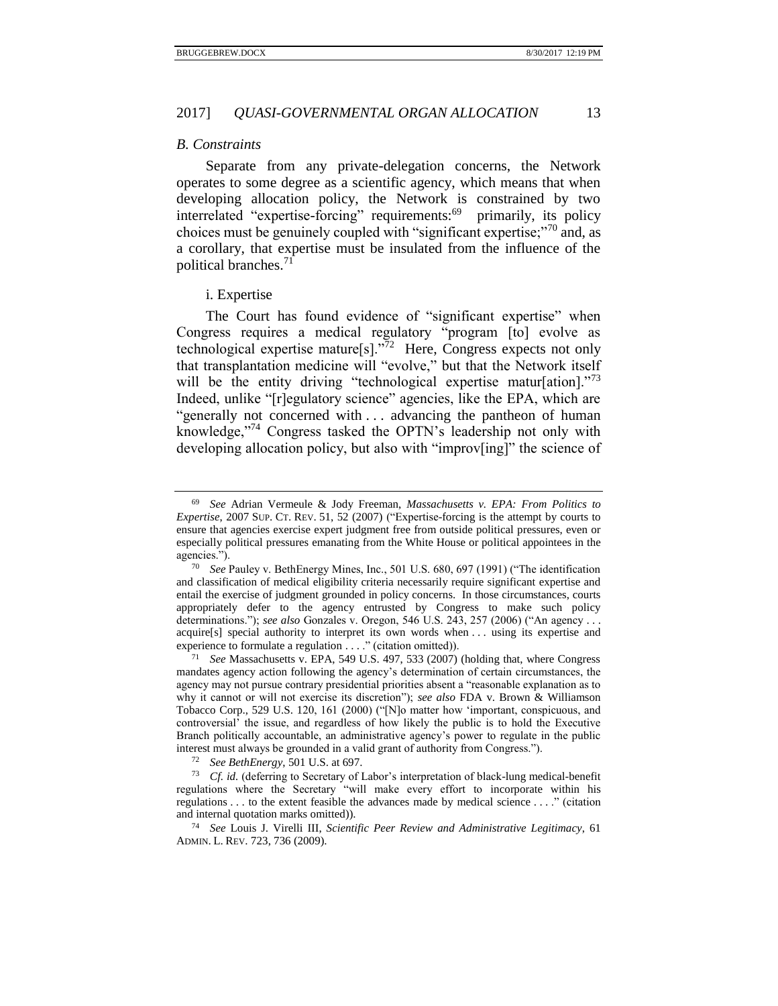#### <span id="page-12-0"></span>*B. Constraints*

Separate from any private-delegation concerns, the Network operates to some degree as a scientific agency, which means that when developing allocation policy, the Network is constrained by two interrelated "expertise-forcing" requirements:<sup>69</sup> primarily, its policy choices must be genuinely coupled with "significant expertise;"<sup>70</sup> and, as a corollary, that expertise must be insulated from the influence of the political branches.<sup>71</sup>

#### <span id="page-12-2"></span><span id="page-12-1"></span>i. Expertise

The Court has found evidence of "significant expertise" when Congress requires a medical regulatory "program [to] evolve as technological expertise mature<sup>[s]</sup>.<sup> $\bar{7}$ 2</sup> Here, Congress expects not only that transplantation medicine will "evolve," but that the Network itself will be the entity driving "technological expertise matur[ation]."<sup>73</sup> Indeed, unlike "[r]egulatory science" agencies, like the EPA, which are "generally not concerned with . . . advancing the pantheon of human knowledge,"<sup>74</sup> Congress tasked the OPTN's leadership not only with developing allocation policy, but also with "improv[ing]" the science of

<sup>69</sup> *See* Adrian Vermeule & Jody Freeman, *Massachusetts v. EPA: From Politics to Expertise*, 2007 SUP. CT. REV. 51, 52 (2007) ("Expertise-forcing is the attempt by courts to ensure that agencies exercise expert judgment free from outside political pressures, even or especially political pressures emanating from the White House or political appointees in the agencies.").

<sup>70</sup> *See* Pauley v. BethEnergy Mines, Inc., 501 U.S. 680, 697 (1991) ("The identification and classification of medical eligibility criteria necessarily require significant expertise and entail the exercise of judgment grounded in policy concerns. In those circumstances, courts appropriately defer to the agency entrusted by Congress to make such policy determinations."); *see also* Gonzales v. Oregon, 546 U.S. 243, 257 (2006) ("An agency . . . acquire[s] special authority to interpret its own words when . . . using its expertise and experience to formulate a regulation . . . ." (citation omitted)).

<sup>71</sup> *See* Massachusetts v. EPA, 549 U.S. 497, 533 (2007) (holding that, where Congress mandates agency action following the agency's determination of certain circumstances, the agency may not pursue contrary presidential priorities absent a "reasonable explanation as to why it cannot or will not exercise its discretion"); *see also* FDA v. Brown & Williamson Tobacco Corp., 529 U.S. 120, 161 (2000) ("[N]o matter how 'important, conspicuous, and controversial' the issue, and regardless of how likely the public is to hold the Executive Branch politically accountable, an administrative agency's power to regulate in the public interest must always be grounded in a valid grant of authority from Congress.").

<sup>72</sup> *See BethEnergy*, 501 U.S. at 697.

<sup>73</sup> *Cf. id.* (deferring to Secretary of Labor's interpretation of black-lung medical-benefit regulations where the Secretary "will make every effort to incorporate within his regulations . . . to the extent feasible the advances made by medical science . . . ." (citation and internal quotation marks omitted)).

<sup>74</sup> *See* Louis J. Virelli III, *Scientific Peer Review and Administrative Legitimacy*, 61 ADMIN. L. REV. 723, 736 (2009).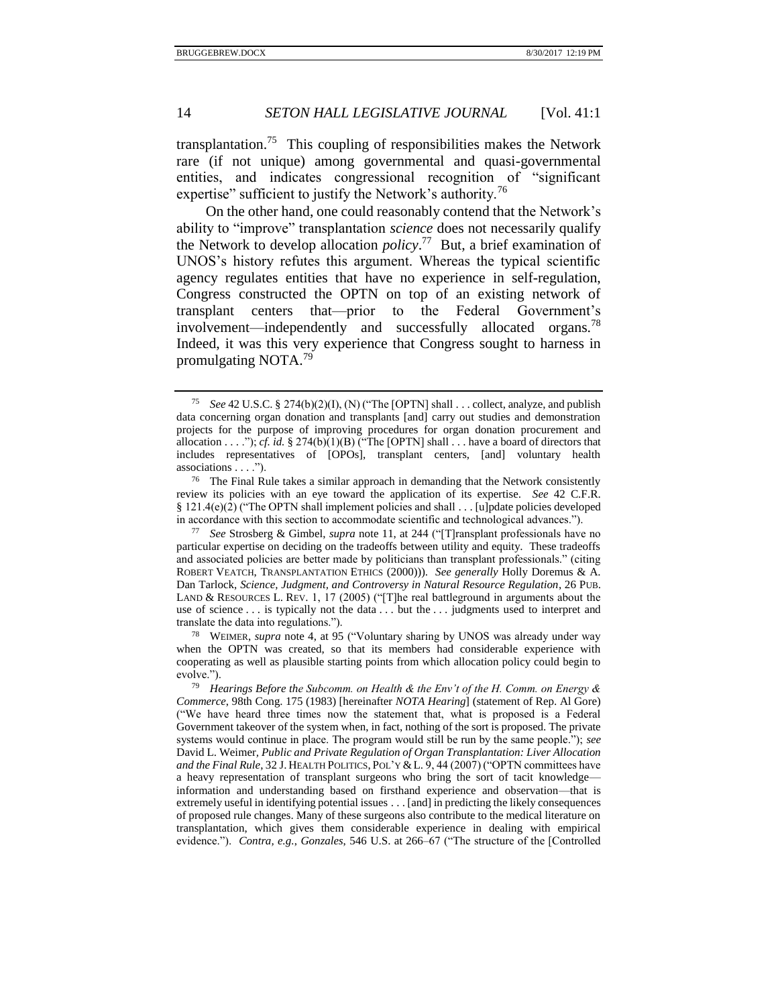<span id="page-13-1"></span>transplantation.<sup>75</sup> This coupling of responsibilities makes the Network rare (if not unique) among governmental and quasi-governmental entities, and indicates congressional recognition of "significant expertise" sufficient to justify the Network's authority.<sup>76</sup>

On the other hand, one could reasonably contend that the Network's ability to "improve" transplantation *science* does not necessarily qualify the Network to develop allocation *policy*. 77 But, a brief examination of UNOS's history refutes this argument. Whereas the typical scientific agency regulates entities that have no experience in self-regulation, Congress constructed the OPTN on top of an existing network of transplant centers that—prior to the Federal Government's involvement—independently and successfully allocated organs.<sup>78</sup> Indeed, it was this very experience that Congress sought to harness in promulgating NOTA.<sup>79</sup>

<span id="page-13-0"></span>See 42 U.S.C. § 274(b)(2)(I), (N) ("The [OPTN] shall . . . collect, analyze, and publish data concerning organ donation and transplants [and] carry out studies and demonstration projects for the purpose of improving procedures for organ donation procurement and allocation . . . ."); *cf. id.*  $\S 274(b)(1)(B)$  ("The [OPTN] shall . . . have a board of directors that includes representatives of [OPOs], transplant centers, [and] voluntary health associations . . . .").

<sup>76</sup> The Final Rule takes a similar approach in demanding that the Network consistently review its policies with an eye toward the application of its expertise. *See* 42 C.F.R. § 121.4(e)(2) ("The OPTN shall implement policies and shall . . . [u]pdate policies developed in accordance with this section to accommodate scientific and technological advances.").

<sup>77</sup> *See* Strosberg & Gimbel, *supra* not[e 11,](#page-3-0) at 244 ("[T]ransplant professionals have no particular expertise on deciding on the tradeoffs between utility and equity. These tradeoffs and associated policies are better made by politicians than transplant professionals." (citing ROBERT VEATCH, TRANSPLANTATION ETHICS (2000))). *See generally* Holly Doremus & A. Dan Tarlock, *Science, Judgment, and Controversy in Natural Resource Regulation*, 26 PUB. LAND & RESOURCES L. REV. 1, 17 (2005) ("[T]he real battleground in arguments about the use of science . . . is typically not the data . . . but the . . . judgments used to interpret and translate the data into regulations.").

<sup>78</sup> WEIMER, *supra* note [4,](#page-2-0) at 95 ("Voluntary sharing by UNOS was already under way when the OPTN was created, so that its members had considerable experience with cooperating as well as plausible starting points from which allocation policy could begin to evolve.").

<sup>79</sup> *Hearings Before the Subcomm. on Health & the Env't of the H. Comm. on Energy & Commerce*, 98th Cong. 175 (1983) [hereinafter *NOTA Hearing*] (statement of Rep. Al Gore) ("We have heard three times now the statement that, what is proposed is a Federal Government takeover of the system when, in fact, nothing of the sort is proposed. The private systems would continue in place. The program would still be run by the same people."); *see*  David L. Weimer*, Public and Private Regulation of Organ Transplantation: Liver Allocation and the Final Rule*, 32 J. HEALTH POLITICS, POL'Y &L. 9, 44 (2007) ("OPTN committees have a heavy representation of transplant surgeons who bring the sort of tacit knowledge information and understanding based on firsthand experience and observation—that is extremely useful in identifying potential issues . . . [and] in predicting the likely consequences of proposed rule changes. Many of these surgeons also contribute to the medical literature on transplantation, which gives them considerable experience in dealing with empirical evidence."). *Contra, e.g.*, *Gonzales*, 546 U.S. at 266–67 ("The structure of the [Controlled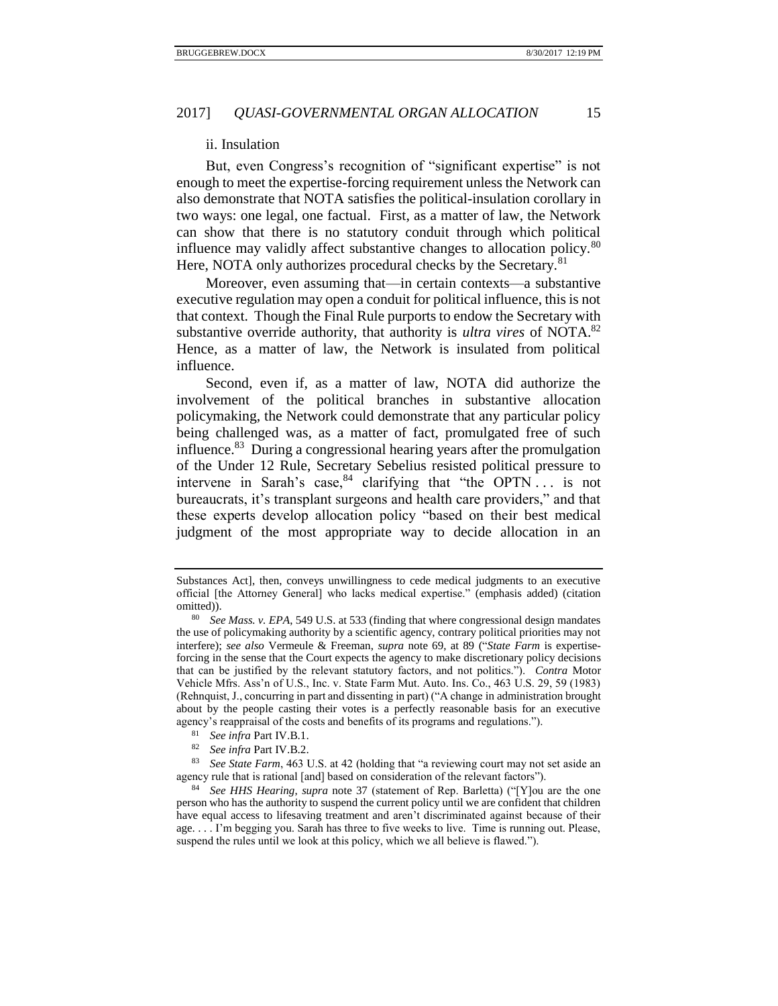#### ii. Insulation

<span id="page-14-0"></span>But, even Congress's recognition of "significant expertise" is not enough to meet the expertise-forcing requirement unless the Network can also demonstrate that NOTA satisfies the political-insulation corollary in two ways: one legal, one factual. First, as a matter of law, the Network can show that there is no statutory conduit through which political influence may validly affect substantive changes to allocation policy.<sup>80</sup> Here, NOTA only authorizes procedural checks by the Secretary.<sup>81</sup>

Moreover, even assuming that—in certain contexts—a substantive executive regulation may open a conduit for political influence, this is not that context. Though the Final Rule purports to endow the Secretary with substantive override authority, that authority is *ultra vires* of NOTA.<sup>82</sup> Hence, as a matter of law, the Network is insulated from political influence.

<span id="page-14-1"></span>Second, even if, as a matter of law, NOTA did authorize the involvement of the political branches in substantive allocation policymaking, the Network could demonstrate that any particular policy being challenged was, as a matter of fact, promulgated free of such influence.<sup>83</sup> During a congressional hearing years after the promulgation of the Under 12 Rule, Secretary Sebelius resisted political pressure to intervene in Sarah's case,  $84$  clarifying that "the OPTN... is not bureaucrats, it's transplant surgeons and health care providers," and that these experts develop allocation policy "based on their best medical judgment of the most appropriate way to decide allocation in an

Substances Act], then, conveys unwillingness to cede medical judgments to an executive official [the Attorney General] who lacks medical expertise." (emphasis added) (citation omitted)).

<sup>80</sup> *See Mass. v. EPA*, 549 U.S. at 533 (finding that where congressional design mandates the use of policymaking authority by a scientific agency, contrary political priorities may not interfere); *see also* Vermeule & Freeman, *supra* note [69,](#page-12-2) at 89 ("*State Farm* is expertiseforcing in the sense that the Court expects the agency to make discretionary policy decisions that can be justified by the relevant statutory factors, and not politics."). *Contra* Motor Vehicle Mfrs. Ass'n of U.S., Inc. v. State Farm Mut. Auto. Ins. Co., 463 U.S. 29, 59 (1983) (Rehnquist, J., concurring in part and dissenting in part) ("A change in administration brought about by the people casting their votes is a perfectly reasonable basis for an executive agency's reappraisal of the costs and benefits of its programs and regulations.").

<sup>81</sup> *See infra* Part IV.B.1.

<sup>82</sup> *See infra* Part IV.B.2.

<sup>83</sup> *See State Farm*, 463 U.S. at 42 (holding that "a reviewing court may not set aside an agency rule that is rational [and] based on consideration of the relevant factors").

<sup>84</sup> *See HHS Hearing*, *supra* note [37](#page-6-1) (statement of Rep. Barletta) ("[Y]ou are the one person who has the authority to suspend the current policy until we are confident that children have equal access to lifesaving treatment and aren't discriminated against because of their age. . . . I'm begging you. Sarah has three to five weeks to live. Time is running out. Please, suspend the rules until we look at this policy, which we all believe is flawed.").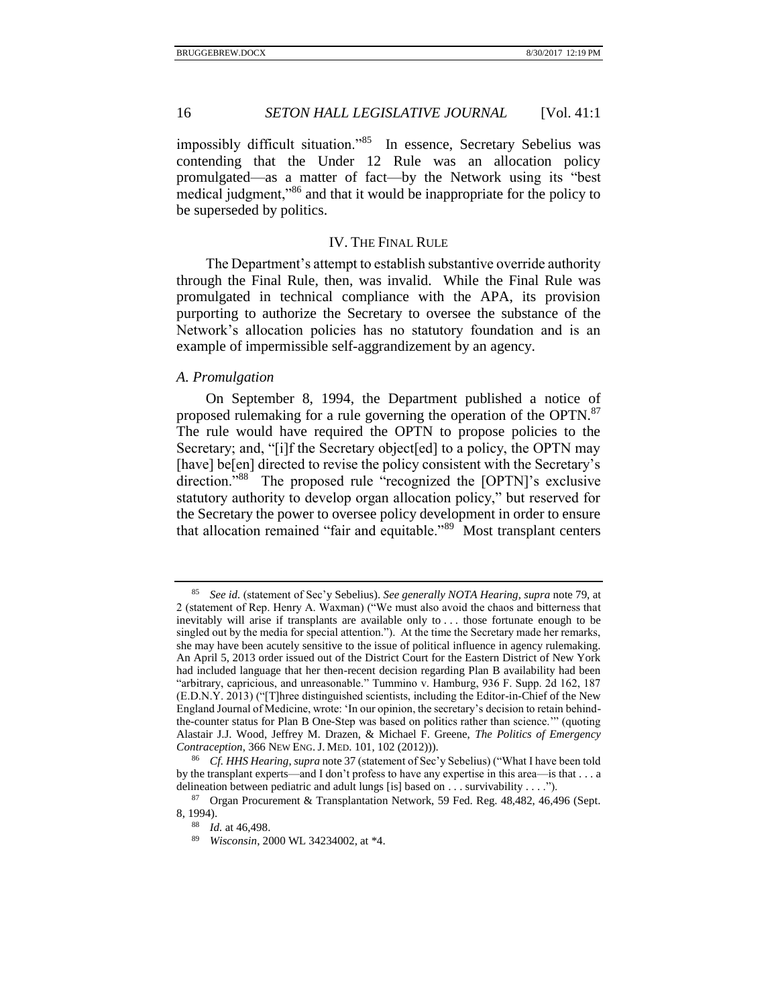impossibly difficult situation."<sup>85</sup> In essence, Secretary Sebelius was contending that the Under 12 Rule was an allocation policy promulgated—as a matter of fact—by the Network using its "best medical judgment,"<sup>86</sup> and that it would be inappropriate for the policy to be superseded by politics.

### IV. THE FINAL RULE

<span id="page-15-0"></span>The Department's attempt to establish substantive override authority through the Final Rule, then, was invalid. While the Final Rule was promulgated in technical compliance with the APA, its provision purporting to authorize the Secretary to oversee the substance of the Network's allocation policies has no statutory foundation and is an example of impermissible self-aggrandizement by an agency.

#### <span id="page-15-1"></span>*A. Promulgation*

On September 8, 1994, the Department published a notice of proposed rulemaking for a rule governing the operation of the OPTN.<sup>87</sup> The rule would have required the OPTN to propose policies to the Secretary; and, "[i]f the Secretary object[ed] to a policy, the OPTN may [have] be[en] directed to revise the policy consistent with the Secretary's direction."<sup>88</sup> The proposed rule "recognized the [OPTN]'s exclusive statutory authority to develop organ allocation policy," but reserved for the Secretary the power to oversee policy development in order to ensure that allocation remained "fair and equitable."<sup>89</sup> Most transplant centers

<sup>85</sup> *See id.* (statement of Sec'y Sebelius). *See generally NOTA Hearing*, *supra* note [79,](#page-13-0) at 2 (statement of Rep. Henry A. Waxman) ("We must also avoid the chaos and bitterness that inevitably will arise if transplants are available only to . . . those fortunate enough to be singled out by the media for special attention."). At the time the Secretary made her remarks, she may have been acutely sensitive to the issue of political influence in agency rulemaking. An April 5, 2013 order issued out of the District Court for the Eastern District of New York had included language that her then-recent decision regarding Plan B availability had been "arbitrary, capricious, and unreasonable." Tummino v. Hamburg, 936 F. Supp. 2d 162, 187 (E.D.N.Y. 2013) ("[T]hree distinguished scientists, including the Editor-in-Chief of the New England Journal of Medicine, wrote: 'In our opinion, the secretary's decision to retain behindthe-counter status for Plan B One-Step was based on politics rather than science.'" (quoting Alastair J.J. Wood, Jeffrey M. Drazen, & Michael F. Greene, *The Politics of Emergency Contraception*, 366 NEW ENG. J. MED. 101, 102 (2012))).

<sup>86</sup> *Cf. HHS Hearing*, *supra* not[e 37](#page-6-1) (statement of Sec'y Sebelius) ("What I have been told by the transplant experts—and I don't profess to have any expertise in this area—is that . . . a delineation between pediatric and adult lungs [is] based on . . . survivability . . . .").

<sup>87</sup> Organ Procurement & Transplantation Network, 59 Fed. Reg. 48,482, 46,496 (Sept. 8, 1994).

<sup>88</sup> *Id.* at 46,498.

<sup>89</sup> *Wisconsin*, 2000 WL 34234002, at \*4.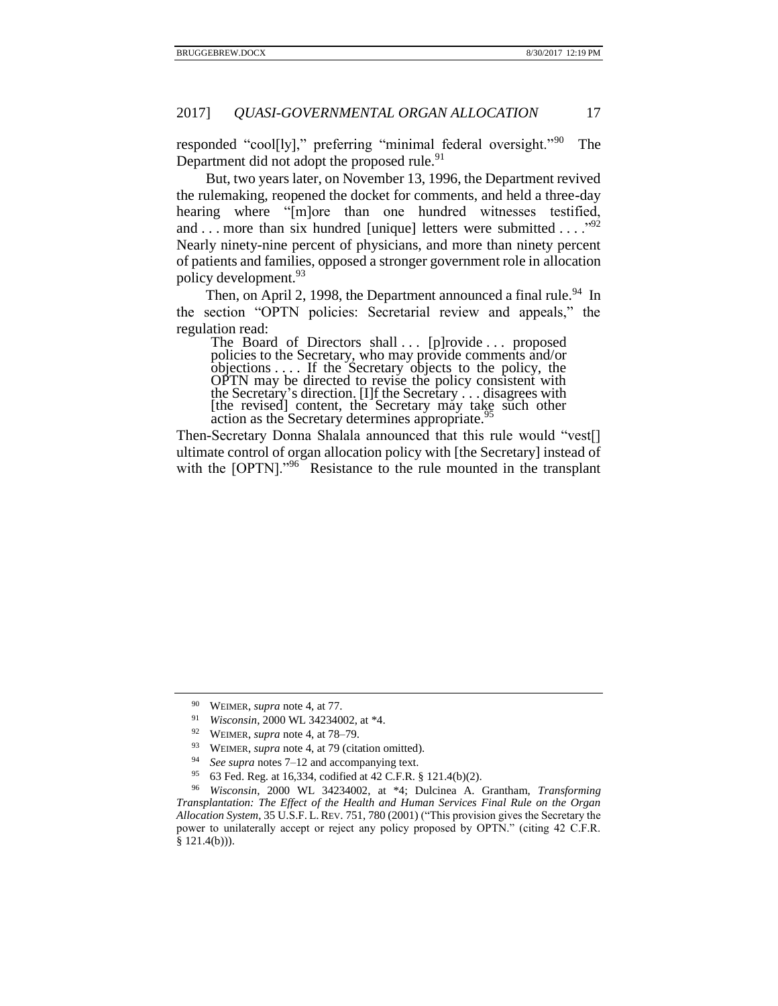responded "cool[ly]," preferring "minimal federal oversight."<sup>90</sup> The Department did not adopt the proposed rule.<sup>91</sup>

But, two years later, on November 13, 1996, the Department revived the rulemaking, reopened the docket for comments, and held a three-day hearing where "[m]ore than one hundred witnesses testified, and . . . more than six hundred [unique] letters were submitted . . . . "92 Nearly ninety-nine percent of physicians, and more than ninety percent of patients and families, opposed a stronger government role in allocation policy development.<sup>93</sup>

Then, on April 2, 1998, the Department announced a final rule.<sup>94</sup> In the section "OPTN policies: Secretarial review and appeals," the regulation read:

The Board of Directors shall ... [p]rovide ... proposed policies to the Secretary, who may provide comments and/or objections  $\dots$ . If the Secretary objects to the policy, the OPTN may be directed to revise the policy consistent with the Secretary's direction. [I]f the Secretary . . . disagrees with [the revised] content, the Secretary may take such other action as the Secretary determines appropriate.<sup>95</sup>

<span id="page-16-0"></span>Then-Secretary Donna Shalala announced that this rule would "vest[] ultimate control of organ allocation policy with [the Secretary] instead of with the [OPTN]."<sup>96</sup> Resistance to the rule mounted in the transplant

<sup>90</sup> WEIMER, *supra* not[e 4,](#page-2-0) at 77.

<sup>91</sup> *Wisconsin*, 2000 WL 34234002, at \*4.

<sup>92</sup> WEIMER, *supra* not[e 4,](#page-2-0) at 78–79.

<sup>93</sup> WEIMER, *supra* not[e 4,](#page-2-0) at 79 (citation omitted).

<sup>94</sup> *See supra* notes [7–](#page-2-1)[12](#page-3-1) and accompanying text.

<sup>95</sup> 63 Fed. Reg. at 16,334, codified at 42 C.F.R. § 121.4(b)(2).

<sup>96</sup> *Wisconsin*, 2000 WL 34234002, at \*4; Dulcinea A. Grantham, *Transforming Transplantation: The Effect of the Health and Human Services Final Rule on the Organ Allocation System*, 35 U.S.F. L. REV. 751, 780 (2001) ("This provision gives the Secretary the power to unilaterally accept or reject any policy proposed by OPTN." (citing 42 C.F.R.  $§$  121.4(b))).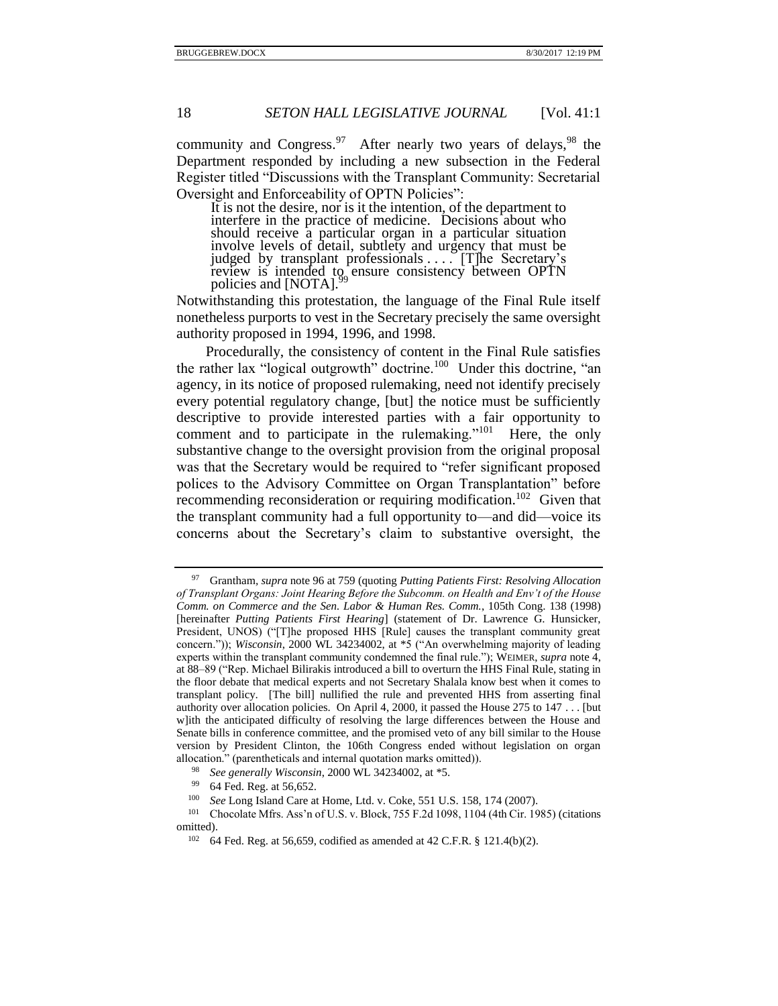community and Congress.<sup>97</sup> After nearly two years of delays,  $98$  the Department responded by including a new subsection in the Federal Register titled "Discussions with the Transplant Community: Secretarial Oversight and Enforceability of OPTN Policies":

<span id="page-17-1"></span><span id="page-17-0"></span>It is not the desire, nor is it the intention, of the department to interfere in the practice of medicine. Decisions about who should receive a particular organ in a particular situation involve levels of detail, subtlety and urgency that must be judged by transplant professionals . . . . [T]he Secretary's review is intended to ensure consistency between OPTN policies and [NOTA].<sup>99</sup>

Notwithstanding this protestation, the language of the Final Rule itself nonetheless purports to vest in the Secretary precisely the same oversight authority proposed in 1994, 1996, and 1998.

Procedurally, the consistency of content in the Final Rule satisfies the rather lax "logical outgrowth" doctrine.<sup>100</sup> Under this doctrine, "an agency, in its notice of proposed rulemaking, need not identify precisely every potential regulatory change, [but] the notice must be sufficiently descriptive to provide interested parties with a fair opportunity to comment and to participate in the rulemaking."<sup>101</sup> Here, the only substantive change to the oversight provision from the original proposal was that the Secretary would be required to "refer significant proposed polices to the Advisory Committee on Organ Transplantation" before recommending reconsideration or requiring modification.<sup>102</sup> Given that the transplant community had a full opportunity to—and did—voice its concerns about the Secretary's claim to substantive oversight, the

64 Fed. Reg. at 56,659, codified as amended at 42 C.F.R. § 121.4(b)(2).

<sup>97</sup> Grantham*, supra* not[e 96](#page-16-0) at 759 (quoting *Putting Patients First: Resolving Allocation of Transplant Organs: Joint Hearing Before the Subcomm. on Health and Env't of the House Comm. on Commerce and the Sen. Labor & Human Res. Comm.*, 105th Cong. 138 (1998) [hereinafter *Putting Patients First Hearing*] (statement of Dr. Lawrence G. Hunsicker, President, UNOS) ("[T]he proposed HHS [Rule] causes the transplant community great concern.")); *Wisconsin*, 2000 WL 34234002, at \*5 ("An overwhelming majority of leading experts within the transplant community condemned the final rule."); WEIMER, *supra* not[e 4,](#page-2-0) at 88–89 ("Rep. Michael Bilirakis introduced a bill to overturn the HHS Final Rule, stating in the floor debate that medical experts and not Secretary Shalala know best when it comes to transplant policy. [The bill] nullified the rule and prevented HHS from asserting final authority over allocation policies. On April 4, 2000, it passed the House 275 to 147 . . . [but w]ith the anticipated difficulty of resolving the large differences between the House and Senate bills in conference committee, and the promised veto of any bill similar to the House version by President Clinton, the 106th Congress ended without legislation on organ allocation." (parentheticals and internal quotation marks omitted)).

<sup>98</sup> *See generally Wisconsin*, 2000 WL 34234002, at \*5.

<sup>99</sup> 64 Fed. Reg. at 56,652.

<sup>100</sup> *See* Long Island Care at Home, Ltd. v. Coke, 551 U.S. 158, 174 (2007).

<sup>101</sup> Chocolate Mfrs. Ass'n of U.S. v. Block, 755 F.2d 1098, 1104 (4th Cir. 1985) (citations omitted).<br> $\frac{102}{64}$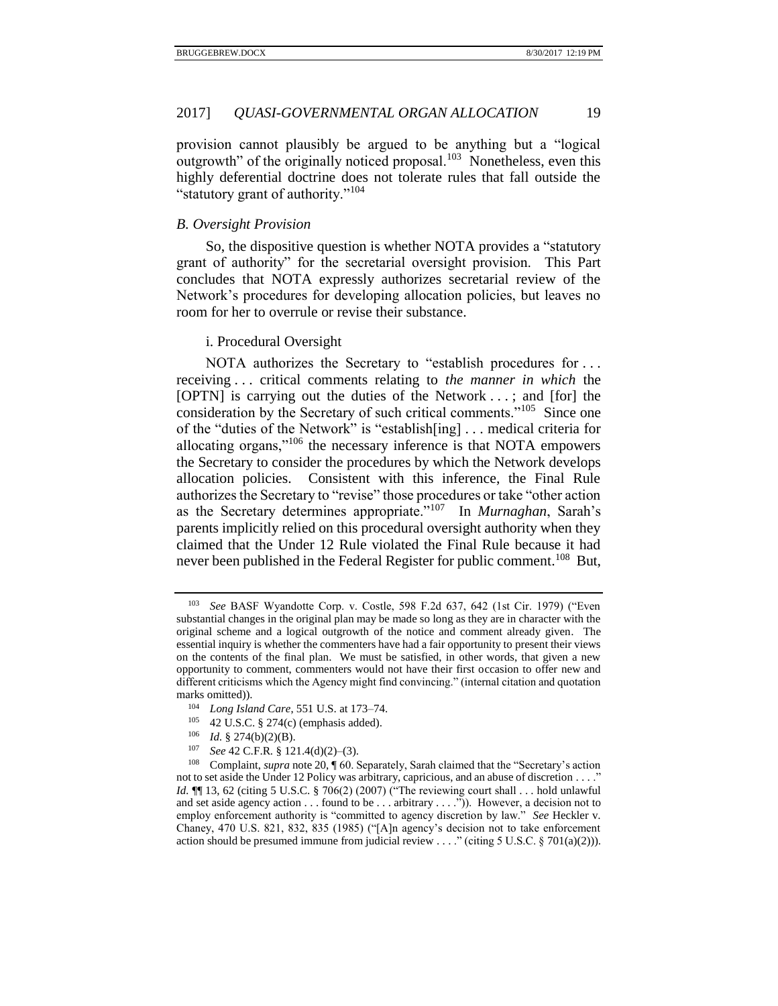provision cannot plausibly be argued to be anything but a "logical outgrowth" of the originally noticed proposal. $103$  Nonetheless, even this highly deferential doctrine does not tolerate rules that fall outside the "statutory grant of authority."<sup>104</sup>

# <span id="page-18-0"></span>*B. Oversight Provision*

So, the dispositive question is whether NOTA provides a "statutory grant of authority" for the secretarial oversight provision. This Part concludes that NOTA expressly authorizes secretarial review of the Network's procedures for developing allocation policies, but leaves no room for her to overrule or revise their substance.

## <span id="page-18-1"></span>i. Procedural Oversight

NOTA authorizes the Secretary to "establish procedures for . . . receiving . . . critical comments relating to *the manner in which* the [OPTN] is carrying out the duties of the Network . . . ; and [for] the consideration by the Secretary of such critical comments."<sup>105</sup> Since one of the "duties of the Network" is "establish[ing] . . . medical criteria for allocating organs,"<sup>106</sup> the necessary inference is that NOTA empowers the Secretary to consider the procedures by which the Network develops allocation policies. Consistent with this inference, the Final Rule authorizes the Secretary to "revise" those procedures or take "other action as the Secretary determines appropriate."<sup>107</sup> In *Murnaghan*, Sarah's parents implicitly relied on this procedural oversight authority when they claimed that the Under 12 Rule violated the Final Rule because it had never been published in the Federal Register for public comment.<sup>108</sup> But,

- <sup>105</sup> 42 U.S.C. § 274(c) (emphasis added).
- <sup>106</sup> *Id.* § 274(b)(2)(B).
- <sup>107</sup> *See* 42 C.F.R. § 121.4(d)(2)–(3).

<span id="page-18-3"></span><span id="page-18-2"></span>See BASF Wyandotte Corp. v. Costle, 598 F.2d 637, 642 (1st Cir. 1979) ("Even substantial changes in the original plan may be made so long as they are in character with the original scheme and a logical outgrowth of the notice and comment already given. The essential inquiry is whether the commenters have had a fair opportunity to present their views on the contents of the final plan. We must be satisfied, in other words, that given a new opportunity to comment, commenters would not have their first occasion to offer new and different criticisms which the Agency might find convincing." (internal citation and quotation marks omitted)).

<sup>104</sup> *Long Island Care*, 551 U.S. at 173–74.

<sup>108</sup> Complaint, *supra* not[e 20,](#page-4-1) ¶ 60. Separately, Sarah claimed that the "Secretary's action not to set aside the Under 12 Policy was arbitrary, capricious, and an abuse of discretion . . . . *Id.* **[16** 13, 62 (citing 5 U.S.C. § 706(2) (2007) ("The reviewing court shall . . . hold unlawful and set aside agency action . . . found to be . . . arbitrary . . . .")). However, a decision not to employ enforcement authority is "committed to agency discretion by law." *See* Heckler v. Chaney, 470 U.S. 821, 832, 835 (1985) ("[A]n agency's decision not to take enforcement action should be presumed immune from judicial review . . . ." (citing 5 U.S.C. § 701(a)(2))).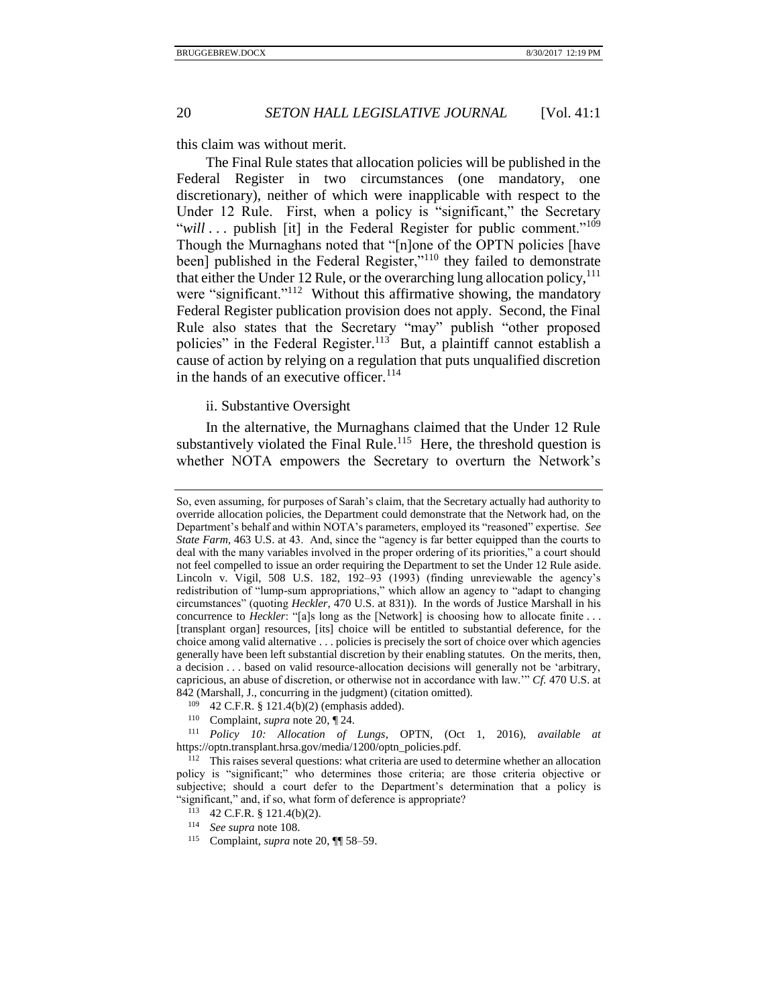this claim was without merit.

The Final Rule states that allocation policies will be published in the Federal Register in two circumstances (one mandatory, one discretionary), neither of which were inapplicable with respect to the Under 12 Rule. First, when a policy is "significant," the Secretary "will ... publish [it] in the Federal Register for public comment."<sup>109</sup> Though the Murnaghans noted that "[n]one of the OPTN policies [have been] published in the Federal Register,"<sup>110</sup> they failed to demonstrate that either the Under 12 Rule, or the overarching lung allocation policy,  $^{111}$ were "significant."<sup>112</sup> Without this affirmative showing, the mandatory Federal Register publication provision does not apply. Second, the Final Rule also states that the Secretary "may" publish "other proposed policies" in the Federal Register.<sup>113</sup> But, a plaintiff cannot establish a cause of action by relying on a regulation that puts unqualified discretion in the hands of an executive officer. $114$ 

# <span id="page-19-0"></span>ii. Substantive Oversight

In the alternative, the Murnaghans claimed that the Under 12 Rule substantively violated the Final Rule.<sup>115</sup> Here, the threshold question is whether NOTA empowers the Secretary to overturn the Network's

So, even assuming, for purposes of Sarah's claim, that the Secretary actually had authority to override allocation policies, the Department could demonstrate that the Network had, on the Department's behalf and within NOTA's parameters, employed its "reasoned" expertise. *See State Farm,* 463 U.S. at 43. And, since the "agency is far better equipped than the courts to deal with the many variables involved in the proper ordering of its priorities," a court should not feel compelled to issue an order requiring the Department to set the Under 12 Rule aside. Lincoln v. Vigil, 508 U.S. 182, 192–93 (1993) (finding unreviewable the agency's redistribution of "lump-sum appropriations," which allow an agency to "adapt to changing circumstances" (quoting *Heckler*, 470 U.S. at 831)). In the words of Justice Marshall in his concurrence to *Heckler*: "[a]s long as the [Network] is choosing how to allocate finite . . . [transplant organ] resources, [its] choice will be entitled to substantial deference, for the choice among valid alternative . . . policies is precisely the sort of choice over which agencies generally have been left substantial discretion by their enabling statutes. On the merits, then, a decision . . . based on valid resource-allocation decisions will generally not be 'arbitrary, capricious, an abuse of discretion, or otherwise not in accordance with law.'" *Cf.* 470 U.S. at 842 (Marshall, J., concurring in the judgment) (citation omitted).

<sup>109</sup> 42 C.F.R. § 121.4(b)(2) (emphasis added).

<sup>110</sup> Complaint, *supra* not[e 20,](#page-4-1) ¶ 24.

<sup>111</sup> *Policy 10: Allocation of Lungs*, OPTN, (Oct 1, 2016), *available at*  https://optn.transplant.hrsa.gov/media/1200/optn\_policies.pdf.

<sup>&</sup>lt;sup>112</sup> This raises several questions: what criteria are used to determine whether an allocation policy is "significant;" who determines those criteria; are those criteria objective or subjective; should a court defer to the Department's determination that a policy is "significant," and, if so, what form of deference is appropriate?

<sup>113</sup> 42 C.F.R. § 121.4(b)(2).

<sup>114</sup> *See supra* not[e 108.](#page-18-2)

<sup>115</sup> Complaint, *supra* not[e 20,](#page-4-1) ¶¶ 58–59.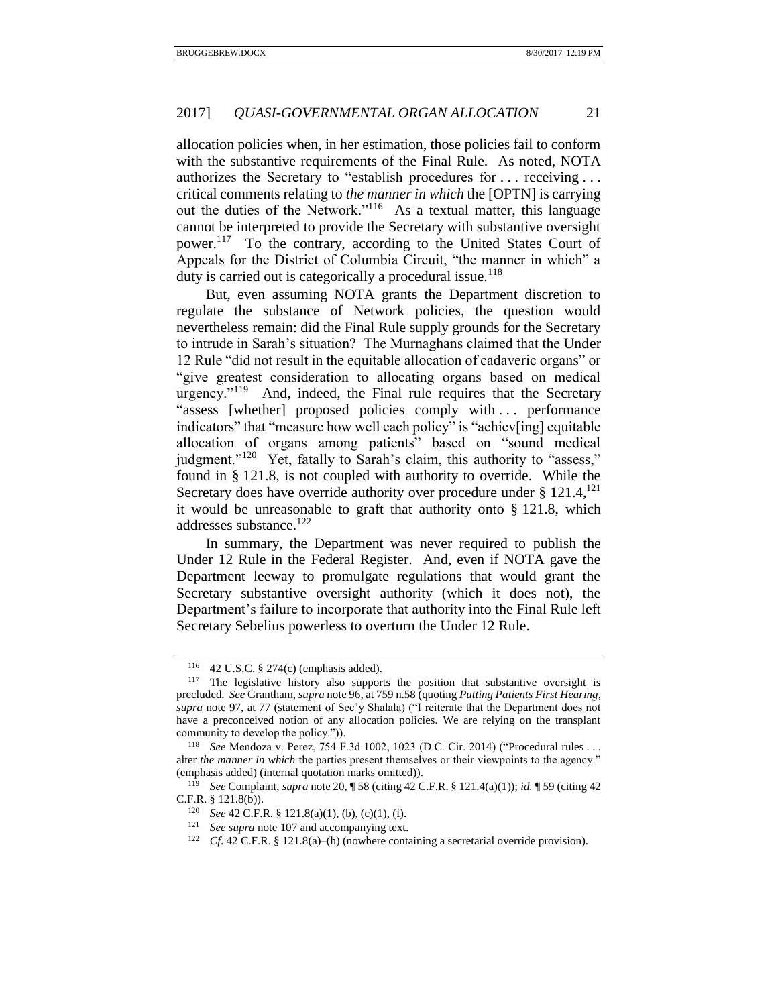allocation policies when, in her estimation, those policies fail to conform with the substantive requirements of the Final Rule. As noted, NOTA authorizes the Secretary to "establish procedures for . . . receiving . . . critical comments relating to *the manner in which* the [OPTN] is carrying out the duties of the Network."<sup>116</sup> As a textual matter, this language cannot be interpreted to provide the Secretary with substantive oversight power.<sup>117</sup> To the contrary, according to the United States Court of Appeals for the District of Columbia Circuit, "the manner in which" a duty is carried out is categorically a procedural issue.<sup>118</sup>

But, even assuming NOTA grants the Department discretion to regulate the substance of Network policies, the question would nevertheless remain: did the Final Rule supply grounds for the Secretary to intrude in Sarah's situation? The Murnaghans claimed that the Under 12 Rule "did not result in the equitable allocation of cadaveric organs" or "give greatest consideration to allocating organs based on medical urgency."<sup>119</sup> And, indeed, the Final rule requires that the Secretary "assess [whether] proposed policies comply with . . . performance indicators" that "measure how well each policy" is "achiev[ing] equitable allocation of organs among patients" based on "sound medical judgment."<sup>120</sup> Yet, fatally to Sarah's claim, this authority to "assess," found in § 121.8, is not coupled with authority to override. While the Secretary does have override authority over procedure under  $\S 121.4$ ,  $^{121}$ it would be unreasonable to graft that authority onto § 121.8, which addresses substance.<sup>122</sup>

In summary, the Department was never required to publish the Under 12 Rule in the Federal Register. And, even if NOTA gave the Department leeway to promulgate regulations that would grant the Secretary substantive oversight authority (which it does not), the Department's failure to incorporate that authority into the Final Rule left Secretary Sebelius powerless to overturn the Under 12 Rule.

<sup>116</sup> 42 U.S.C. § 274(c) (emphasis added).

<sup>&</sup>lt;sup>117</sup> The legislative history also supports the position that substantive oversight is precluded. *See* Grantham, *supra* not[e 96,](#page-16-0) at 759 n.58 (quoting *Putting Patients First Hearing*, *supra* note [97,](#page-17-0) at 77 (statement of Sec'y Shalala) ("I reiterate that the Department does not have a preconceived notion of any allocation policies. We are relying on the transplant community to develop the policy.")).

<sup>118</sup> *See* Mendoza v. Perez, 754 F.3d 1002, 1023 (D.C. Cir. 2014) ("Procedural rules . . . alter *the manner in which* the parties present themselves or their viewpoints to the agency." (emphasis added) (internal quotation marks omitted)).

<sup>119</sup> *See* Complaint, *supra* not[e 20,](#page-4-1) ¶ 58 (citing 42 C.F.R. § 121.4(a)(1)); *id.* ¶ 59 (citing 42 C.F.R. § 121.8(b)).

<sup>120</sup> *See* 42 C.F.R. § 121.8(a)(1), (b), (c)(1), (f).

<sup>121</sup> *See supra* not[e 107](#page-18-3) and accompanying text.

<sup>122</sup> *Cf*. 42 C.F.R. § 121.8(a)–(h) (nowhere containing a secretarial override provision).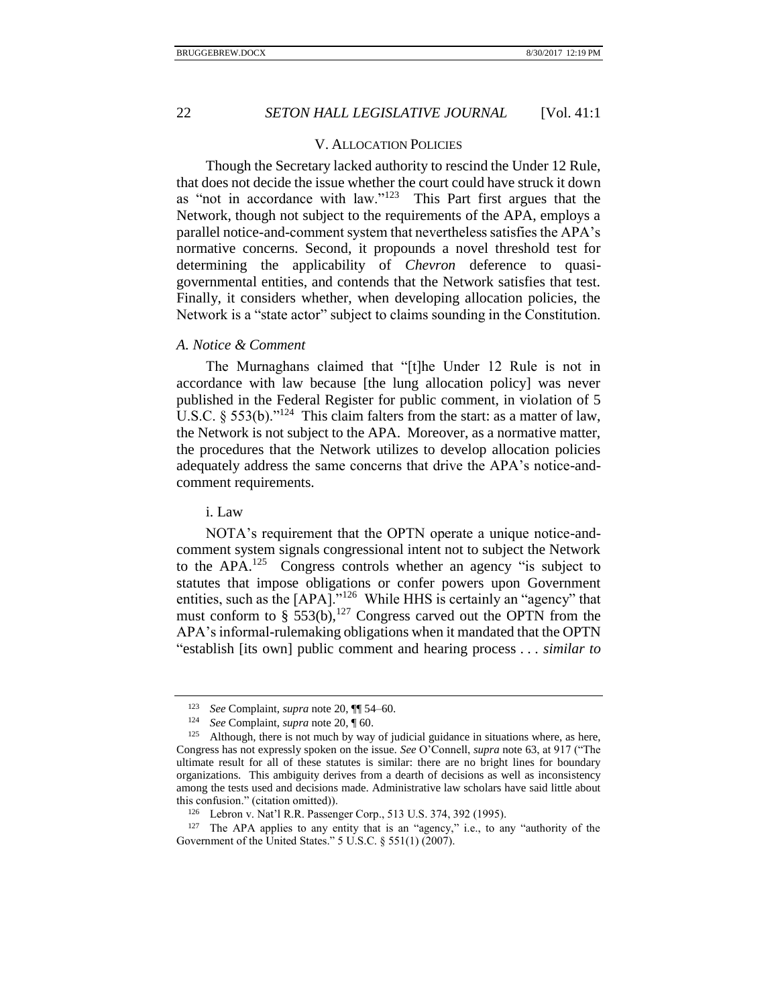### V. ALLOCATION POLICIES

<span id="page-21-0"></span>Though the Secretary lacked authority to rescind the Under 12 Rule, that does not decide the issue whether the court could have struck it down as "not in accordance with  $law$ ."<sup>123</sup> This Part first argues that the Network, though not subject to the requirements of the APA, employs a parallel notice-and-comment system that nevertheless satisfies the APA's normative concerns. Second, it propounds a novel threshold test for determining the applicability of *Chevron* deference to quasigovernmental entities, and contends that the Network satisfies that test. Finally, it considers whether, when developing allocation policies, the Network is a "state actor" subject to claims sounding in the Constitution.

### <span id="page-21-1"></span>*A. Notice & Comment*

The Murnaghans claimed that "[t]he Under 12 Rule is not in accordance with law because [the lung allocation policy] was never published in the Federal Register for public comment, in violation of 5 U.S.C. § 553(b)." $^{124}$  This claim falters from the start: as a matter of law, the Network is not subject to the APA. Moreover, as a normative matter, the procedures that the Network utilizes to develop allocation policies adequately address the same concerns that drive the APA's notice-andcomment requirements.

#### <span id="page-21-2"></span>i. Law

NOTA's requirement that the OPTN operate a unique notice-andcomment system signals congressional intent not to subject the Network to the  $APA$ .<sup>125</sup> Congress controls whether an agency "is subject to statutes that impose obligations or confer powers upon Government entities, such as the [APA]."<sup>126</sup> While HHS is certainly an "agency" that must conform to § 553(b),<sup>127</sup> Congress carved out the OPTN from the APA's informal-rulemaking obligations when it mandated that the OPTN "establish [its own] public comment and hearing process . . . *similar to*

<sup>123</sup> *See* Complaint, *supra* note [20,](#page-4-1) ¶¶ 54–60.

<sup>124</sup> *See* Complaint, *supra* note [20,](#page-4-1) ¶ 60.

<sup>&</sup>lt;sup>125</sup> Although, there is not much by way of judicial guidance in situations where, as here, Congress has not expressly spoken on the issue. *See* O'Connell, *supra* not[e 63,](#page-11-0) at 917 ("The ultimate result for all of these statutes is similar: there are no bright lines for boundary organizations. This ambiguity derives from a dearth of decisions as well as inconsistency among the tests used and decisions made. Administrative law scholars have said little about this confusion." (citation omitted)).

<sup>126</sup> Lebron v. Nat'l R.R. Passenger Corp., 513 U.S. 374, 392 (1995).

<sup>&</sup>lt;sup>127</sup> The APA applies to any entity that is an "agency," i.e., to any "authority of the Government of the United States." 5 U.S.C. § 551(1) (2007).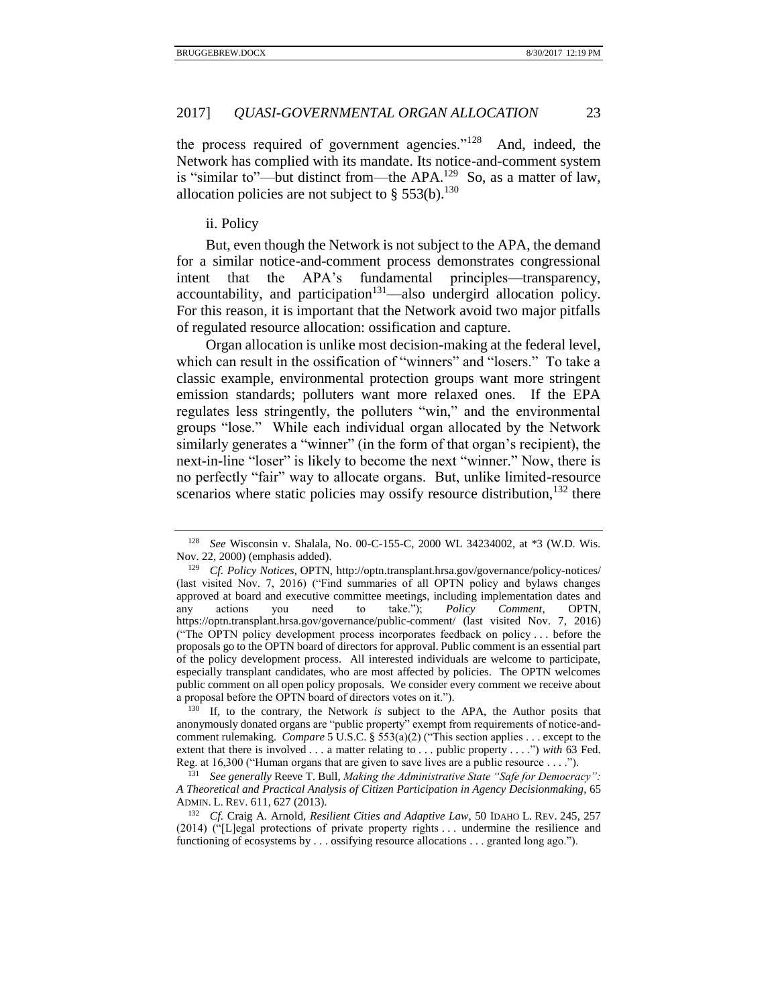the process required of government agencies."<sup>128</sup> And, indeed, the Network has complied with its mandate. Its notice-and-comment system is "similar to"—but distinct from—the APA.<sup>129</sup> So, as a matter of law, allocation policies are not subject to  $\S 553(b)$ .<sup>130</sup>

<span id="page-22-1"></span><span id="page-22-0"></span>ii. Policy

But, even though the Network is not subject to the APA, the demand for a similar notice-and-comment process demonstrates congressional intent that the APA's fundamental principles—transparency, accountability, and participation<sup>131</sup>—also undergird allocation policy. For this reason, it is important that the Network avoid two major pitfalls of regulated resource allocation: ossification and capture.

Organ allocation is unlike most decision-making at the federal level, which can result in the ossification of "winners" and "losers." To take a classic example, environmental protection groups want more stringent emission standards; polluters want more relaxed ones. If the EPA regulates less stringently, the polluters "win," and the environmental groups "lose." While each individual organ allocated by the Network similarly generates a "winner" (in the form of that organ's recipient), the next-in-line "loser" is likely to become the next "winner." Now, there is no perfectly "fair" way to allocate organs. But, unlike limited-resource scenarios where static policies may ossify resource distribution,  $132$  there

See Wisconsin v. Shalala, No. 00-C-155-C, 2000 WL 34234002, at \*3 (W.D. Wis. Nov. 22, 2000) (emphasis added).

<sup>129</sup> *Cf. Policy Notices*, OPTN, http://optn.transplant.hrsa.gov/governance/policy-notices/ (last visited Nov. 7, 2016) ("Find summaries of all OPTN policy and bylaws changes approved at board and executive committee meetings, including implementation dates and any actions you need to take."); *Policy Comment*, OPTN, https://optn.transplant.hrsa.gov/governance/public-comment/ (last visited Nov. 7, 2016) ("The OPTN policy development process incorporates feedback on policy . . . before the proposals go to the OPTN board of directors for approval. Public comment is an essential part of the policy development process. All interested individuals are welcome to participate, especially transplant candidates, who are most affected by policies. The OPTN welcomes public comment on all open policy proposals. We consider every comment we receive about a proposal before the OPTN board of directors votes on it.").

<sup>130</sup> If, to the contrary, the Network *is* subject to the APA, the Author posits that anonymously donated organs are "public property" exempt from requirements of notice-andcomment rulemaking. *Compare* 5 U.S.C. § 553(a)(2) ("This section applies . . . except to the extent that there is involved . . . a matter relating to . . . public property . . . .") *with* 63 Fed. Reg. at 16,300 ("Human organs that are given to save lives are a public resource . . . .").

<sup>131</sup> *See generally* Reeve T. Bull, *Making the Administrative State "Safe for Democracy": A Theoretical and Practical Analysis of Citizen Participation in Agency Decisionmaking*, 65 ADMIN. L. REV. 611, 627 (2013).

<sup>132</sup> *Cf.* Craig A. Arnold, *Resilient Cities and Adaptive Law*, 50 IDAHO L. REV. 245, 257 (2014) ("[L]egal protections of private property rights . . . undermine the resilience and functioning of ecosystems by . . . ossifying resource allocations . . . granted long ago.").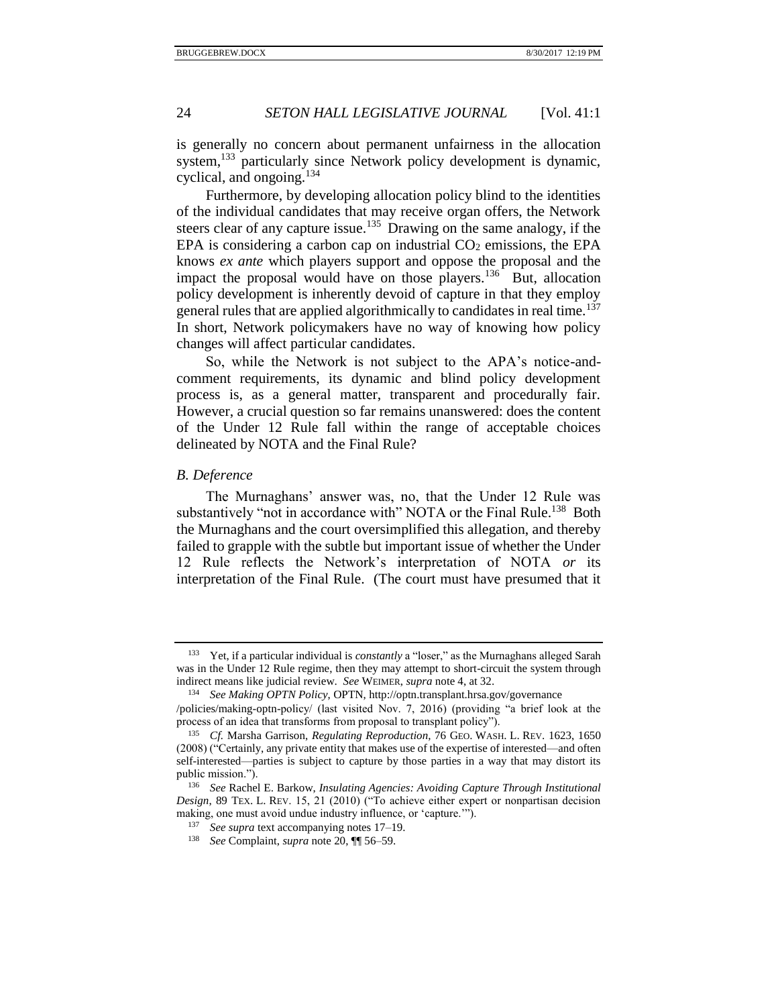is generally no concern about permanent unfairness in the allocation system,<sup>133</sup> particularly since Network policy development is dynamic, cyclical, and ongoing.<sup>134</sup>

Furthermore, by developing allocation policy blind to the identities of the individual candidates that may receive organ offers, the Network steers clear of any capture issue.<sup>135</sup> Drawing on the same analogy, if the EPA is considering a carbon cap on industrial  $CO<sub>2</sub>$  emissions, the EPA knows *ex ante* which players support and oppose the proposal and the impact the proposal would have on those players.<sup>136</sup> But, allocation policy development is inherently devoid of capture in that they employ general rules that are applied algorithmically to candidates in real time.<sup>137</sup> In short, Network policymakers have no way of knowing how policy changes will affect particular candidates.

So, while the Network is not subject to the APA's notice-andcomment requirements, its dynamic and blind policy development process is, as a general matter, transparent and procedurally fair. However, a crucial question so far remains unanswered: does the content of the Under 12 Rule fall within the range of acceptable choices delineated by NOTA and the Final Rule?

# <span id="page-23-0"></span>*B. Deference*

The Murnaghans' answer was, no, that the Under 12 Rule was substantively "not in accordance with" NOTA or the Final Rule.<sup>138</sup> Both the Murnaghans and the court oversimplified this allegation, and thereby failed to grapple with the subtle but important issue of whether the Under 12 Rule reflects the Network's interpretation of NOTA *or* its interpretation of the Final Rule. (The court must have presumed that it

<sup>133</sup> Yet, if a particular individual is *constantly* a "loser," as the Murnaghans alleged Sarah was in the Under 12 Rule regime, then they may attempt to short-circuit the system through indirect means like judicial review. *See* WEIMER, *supra* not[e 4,](#page-2-0) at 32.

<sup>134</sup> *See Making OPTN Policy*, OPTN, http://optn.transplant.hrsa.gov/governance

<sup>/</sup>policies/making-optn-policy/ (last visited Nov. 7, 2016) (providing "a brief look at the process of an idea that transforms from proposal to transplant policy").

<sup>135</sup> *Cf.* Marsha Garrison, *Regulating Reproduction*, 76 GEO. WASH. L. REV. 1623, 1650 (2008) ("Certainly, any private entity that makes use of the expertise of interested—and often self-interested—parties is subject to capture by those parties in a way that may distort its public mission.").

<sup>136</sup> *See* Rachel E. Barkow, *Insulating Agencies: Avoiding Capture Through Institutional Design*, 89 TEX. L. REV. 15, 21 (2010) ("To achieve either expert or nonpartisan decision making, one must avoid undue industry influence, or 'capture.'").

<sup>137</sup> *See supra* text accompanying note[s 17–](#page-4-2)[19.](#page-4-3)

<sup>138</sup> *See* Complaint, *supra* note [20,](#page-4-1) ¶¶ 56–59.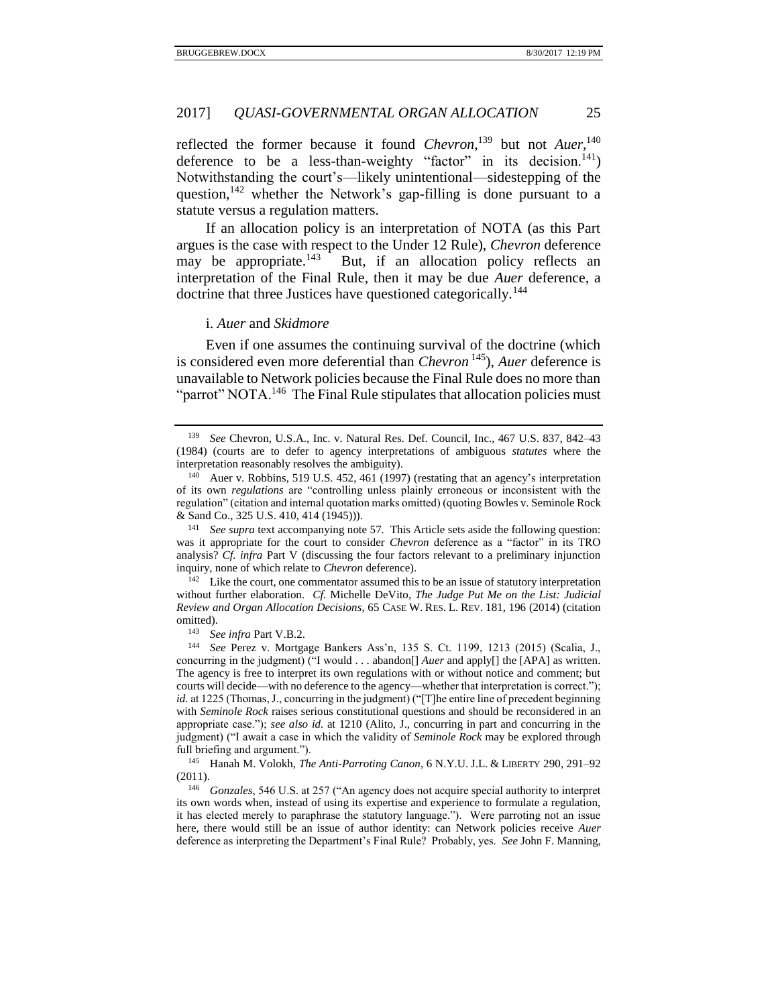reflected the former because it found *Chevron*<sup>139</sup>, but not *Auer*<sup>140</sup>, deference to be a less-than-weighty "factor" in its decision.<sup>141</sup>) Notwithstanding the court's—likely unintentional—sidestepping of the question,  $142$  whether the Network's gap-filling is done pursuant to a statute versus a regulation matters.

<span id="page-24-1"></span>If an allocation policy is an interpretation of NOTA (as this Part argues is the case with respect to the Under 12 Rule), *Chevron* deference may be appropriate. $143$  But, if an allocation policy reflects an interpretation of the Final Rule, then it may be due *Auer* deference, a doctrine that three Justices have questioned categorically.<sup>144</sup>

#### <span id="page-24-2"></span>i. *Auer* and *Skidmore*

<span id="page-24-0"></span>Even if one assumes the continuing survival of the doctrine (which is considered even more deferential than *Chevron* <sup>145</sup>), *Auer* deference is unavailable to Network policies because the Final Rule does no more than "parrot" NOTA.<sup>146</sup> The Final Rule stipulates that allocation policies must

<sup>141</sup> *See supra* text accompanying note [57.](#page-9-0) This Article sets aside the following question: was it appropriate for the court to consider *Chevron* deference as a "factor" in its TRO analysis? *Cf. infra* Part V (discussing the four factors relevant to a preliminary injunction inquiry, none of which relate to *Chevron* deference).

<sup>142</sup> Like the court, one commentator assumed this to be an issue of statutory interpretation without further elaboration. *Cf.* Michelle DeVito, *The Judge Put Me on the List: Judicial Review and Organ Allocation Decisions*, 65 CASE W. RES. L. REV. 181, 196 (2014) (citation omitted).

<sup>143</sup> *See infra* Part V.B.2.

<sup>144</sup> *See* Perez v. Mortgage Bankers Ass'n, 135 S. Ct. 1199, 1213 (2015) (Scalia, J., concurring in the judgment) ("I would . . . abandon[] *Auer* and apply[] the [APA] as written. The agency is free to interpret its own regulations with or without notice and comment; but courts will decide—with no deference to the agency—whether that interpretation is correct."); *id.* at 1225 (Thomas, J., concurring in the judgment) ("[T]he entire line of precedent beginning with *Seminole Rock* raises serious constitutional questions and should be reconsidered in an appropriate case."); *see also id.* at 1210 (Alito, J., concurring in part and concurring in the judgment) ("I await a case in which the validity of *Seminole Rock* may be explored through full briefing and argument.").

<sup>145</sup> Hanah M. Volokh, *The Anti-Parroting Canon*, 6 N.Y.U. J.L. & LIBERTY 290, 291–92 (2011).

<sup>146</sup> *Gonzales*, 546 U.S. at 257 ("An agency does not acquire special authority to interpret its own words when, instead of using its expertise and experience to formulate a regulation, it has elected merely to paraphrase the statutory language."). Were parroting not an issue here, there would still be an issue of author identity: can Network policies receive *Auer* deference as interpreting the Department's Final Rule? Probably, yes. *See* John F. Manning,

<sup>139</sup> *See* Chevron, U.S.A., Inc. v. Natural Res. Def. Council, Inc., 467 U.S. 837, 842–43 (1984) (courts are to defer to agency interpretations of ambiguous *statutes* where the interpretation reasonably resolves the ambiguity).

<sup>140</sup> Auer v. Robbins, 519 U.S. 452, 461 (1997) (restating that an agency's interpretation of its own *regulations* are "controlling unless plainly erroneous or inconsistent with the regulation" (citation and internal quotation marks omitted) (quoting Bowles v. Seminole Rock & Sand Co., 325 U.S. 410, 414 (1945))).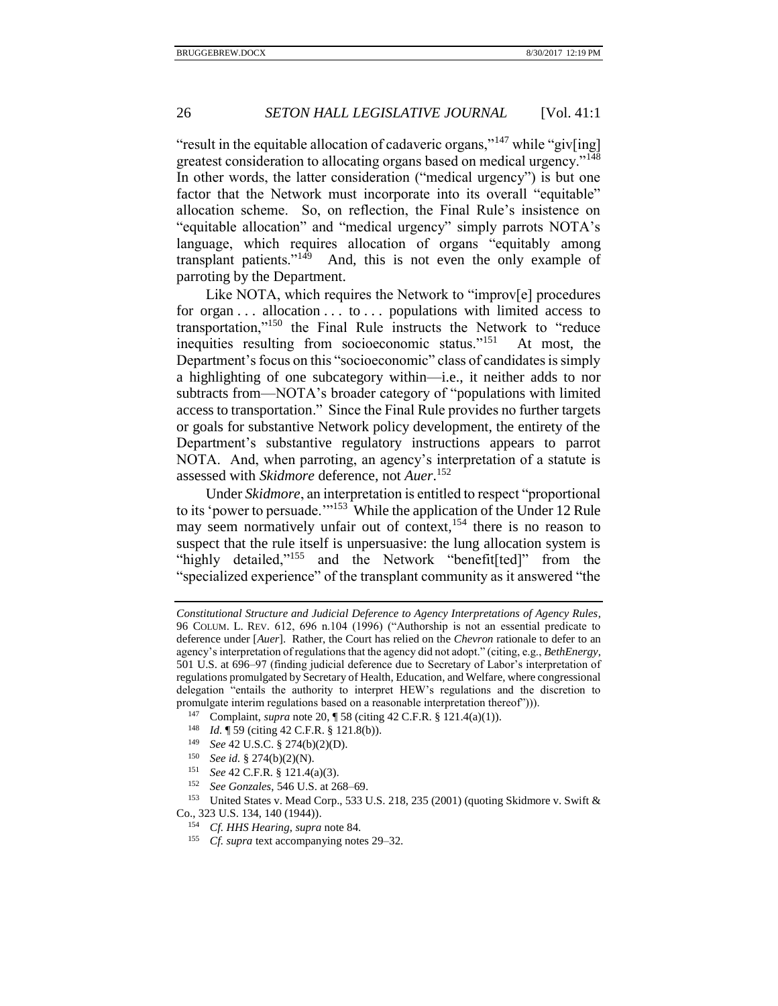"result in the equitable allocation of cadaveric organs,"<sup>147</sup> while "giv[ing] greatest consideration to allocating organs based on medical urgency."<sup>148</sup> In other words, the latter consideration ("medical urgency") is but one factor that the Network must incorporate into its overall "equitable" allocation scheme. So, on reflection, the Final Rule's insistence on "equitable allocation" and "medical urgency" simply parrots NOTA's language, which requires allocation of organs "equitably among transplant patients."<sup>149</sup> And, this is not even the only example of parroting by the Department.

Like NOTA, which requires the Network to "improv[e] procedures for organ  $\ldots$  allocation  $\ldots$  to  $\ldots$  populations with limited access to transportation,"<sup>150</sup> the Final Rule instructs the Network to "reduce inequities resulting from socioeconomic status."<sup>151</sup> At most, the Department's focus on this "socioeconomic" class of candidates is simply a highlighting of one subcategory within—i.e., it neither adds to nor subtracts from—NOTA's broader category of "populations with limited access to transportation." Since the Final Rule provides no further targets or goals for substantive Network policy development, the entirety of the Department's substantive regulatory instructions appears to parrot NOTA. And, when parroting, an agency's interpretation of a statute is assessed with *Skidmore* deference, not *Auer*. 152

<span id="page-25-0"></span>Under *Skidmore*, an interpretation is entitled to respect "proportional to its 'power to persuade."<sup>153</sup> While the application of the Under 12 Rule may seem normatively unfair out of context,<sup>154</sup> there is no reason to suspect that the rule itself is unpersuasive: the lung allocation system is "highly detailed,"<sup>155</sup> and the Network "benefit[ted]" from the "specialized experience" of the transplant community as it answered "the

- <sup>147</sup> Complaint, *supra* not[e 20,](#page-4-1) ¶ 58 (citing 42 C.F.R. § 121.4(a)(1)).
- <sup>148</sup> *Id.* ¶ 59 (citing 42 C.F.R. § 121.8(b)).
- <sup>149</sup> *See* 42 U.S.C. § 274(b)(2)(D).
- <sup>150</sup> *See id.* § 274(b)(2)(N).
- <sup>151</sup> *See* 42 C.F.R. § 121.4(a)(3).
- <sup>152</sup> *See Gonzales*, 546 U.S. at 268–69.

<sup>153</sup> United States v. Mead Corp., 533 U.S. 218, 235 (2001) (quoting Skidmore v. Swift & Co., 323 U.S. 134, 140 (1944)).

- <sup>154</sup> *Cf. HHS Hearing*, *supra* note [84.](#page-14-1)
- <sup>155</sup> *Cf. supra* text accompanying note[s 29](#page-5-4)[–32.](#page-5-5)

*Constitutional Structure and Judicial Deference to Agency Interpretations of Agency Rules*, 96 COLUM. L. REV. 612, 696 n.104 (1996) ("Authorship is not an essential predicate to deference under [*Auer*]. Rather, the Court has relied on the *Chevron* rationale to defer to an agency's interpretation of regulations that the agency did not adopt." (citing, e.g., *BethEnergy*, 501 U.S. at 696–97 (finding judicial deference due to Secretary of Labor's interpretation of regulations promulgated by Secretary of Health, Education, and Welfare, where congressional delegation "entails the authority to interpret HEW's regulations and the discretion to promulgate interim regulations based on a reasonable interpretation thereof"))).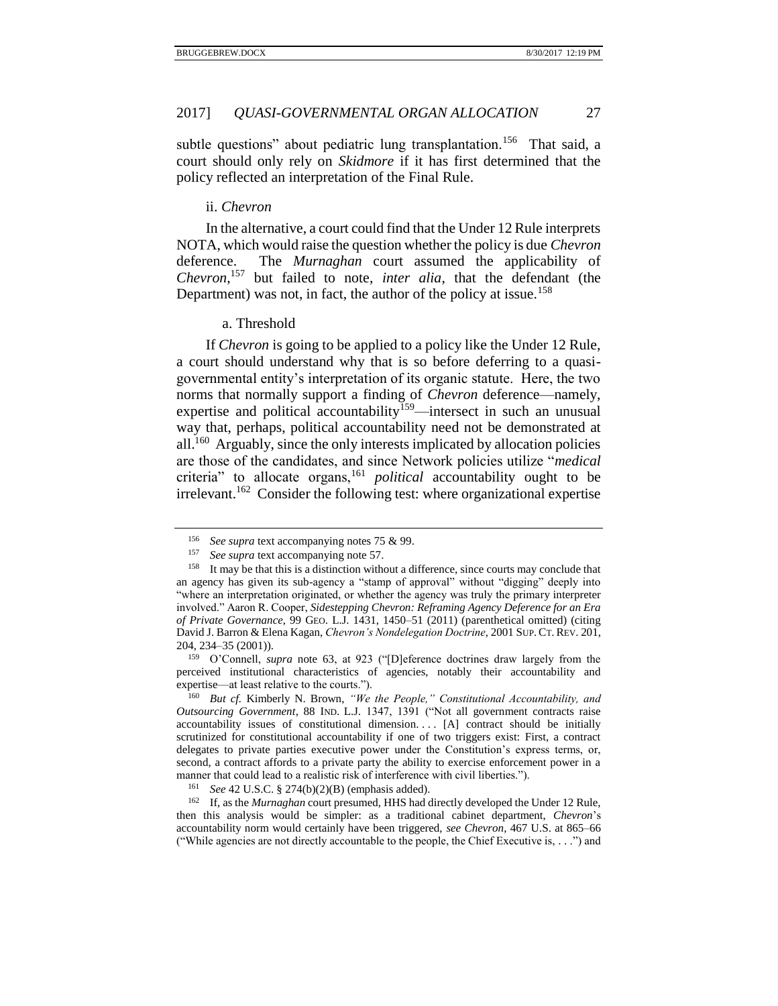subtle questions" about pediatric lung transplantation.<sup>156</sup> That said, a court should only rely on *Skidmore* if it has first determined that the policy reflected an interpretation of the Final Rule.

#### <span id="page-26-4"></span><span id="page-26-0"></span>ii. *Chevron*

In the alternative, a court could find that the Under 12 Rule interprets NOTA, which would raise the question whether the policy is due *Chevron* deference. The *Murnaghan* court assumed the applicability of *Chevron*, <sup>157</sup> but failed to note, *inter alia*, that the defendant (the Department) was not, in fact, the author of the policy at issue.<sup>158</sup>

#### <span id="page-26-3"></span>a. Threshold

<span id="page-26-1"></span>If *Chevron* is going to be applied to a policy like the Under 12 Rule, a court should understand why that is so before deferring to a quasigovernmental entity's interpretation of its organic statute. Here, the two norms that normally support a finding of *Chevron* deference—namely, expertise and political accountability<sup>159</sup>—intersect in such an unusual way that, perhaps, political accountability need not be demonstrated at all.<sup>160</sup> Arguably, since the only interests implicated by allocation policies are those of the candidates, and since Network policies utilize "*medical* criteria" to allocate organs,<sup>161</sup> *political* accountability ought to be irrelevant.<sup>162</sup> Consider the following test: where organizational expertise

<sup>159</sup> O'Connell, *supra* note [63,](#page-11-0) at 923 ("[D]eference doctrines draw largely from the perceived institutional characteristics of agencies, notably their accountability and expertise—at least relative to the courts.").

<span id="page-26-2"></span><sup>156</sup> *See supra* text accompanying note[s 75](#page-13-1) & [99.](#page-17-1)

<sup>157</sup> *See supra* text accompanying note [57.](#page-9-0)

<sup>158</sup> It may be that this is a distinction without a difference, since courts may conclude that an agency has given its sub-agency a "stamp of approval" without "digging" deeply into "where an interpretation originated, or whether the agency was truly the primary interpreter involved." Aaron R. Cooper, *Sidestepping Chevron: Reframing Agency Deference for an Era of Private Governance*, 99 GEO. L.J. 1431, 1450–51 (2011) (parenthetical omitted) (citing David J. Barron & Elena Kagan, *Chevron's Nondelegation Doctrine*, 2001 SUP.CT.REV. 201, 204, 234–35 (2001)).

<sup>160</sup> *But cf.* Kimberly N. Brown, *"We the People," Constitutional Accountability, and Outsourcing Government*, 88 IND. L.J. 1347, 1391 ("Not all government contracts raise accountability issues of constitutional dimension. . . [A] contract should be initially scrutinized for constitutional accountability if one of two triggers exist: First, a contract delegates to private parties executive power under the Constitution's express terms, or, second, a contract affords to a private party the ability to exercise enforcement power in a manner that could lead to a realistic risk of interference with civil liberties.").

<sup>161</sup> *See* 42 U.S.C. § 274(b)(2)(B) (emphasis added).

<sup>&</sup>lt;sup>162</sup> If, as the *Murnaghan* court presumed, HHS had directly developed the Under 12 Rule, then this analysis would be simpler: as a traditional cabinet department, *Chevron*'s accountability norm would certainly have been triggered, *see Chevron*, 467 U.S. at 865–66 ("While agencies are not directly accountable to the people, the Chief Executive is, . . .") and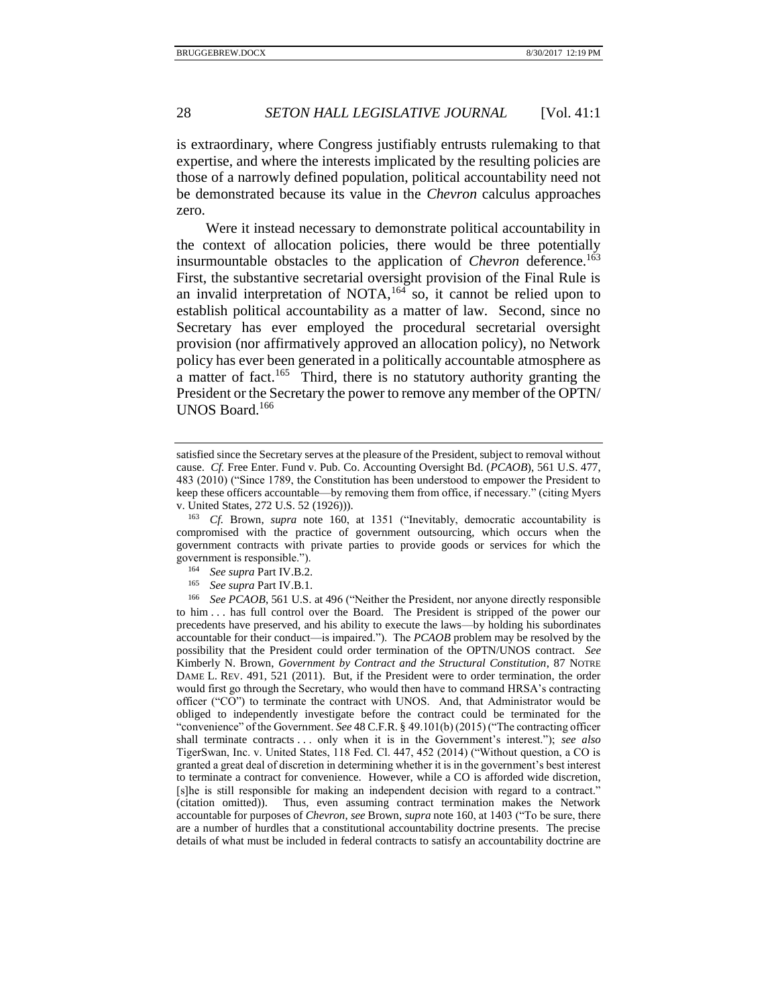is extraordinary, where Congress justifiably entrusts rulemaking to that expertise, and where the interests implicated by the resulting policies are those of a narrowly defined population, political accountability need not be demonstrated because its value in the *Chevron* calculus approaches zero.

Were it instead necessary to demonstrate political accountability in the context of allocation policies, there would be three potentially insurmountable obstacles to the application of *Chevron* deference.<sup>163</sup> First, the substantive secretarial oversight provision of the Final Rule is an invalid interpretation of NOTA,  $164$  so, it cannot be relied upon to establish political accountability as a matter of law. Second, since no Secretary has ever employed the procedural secretarial oversight provision (nor affirmatively approved an allocation policy), no Network policy has ever been generated in a politically accountable atmosphere as a matter of fact.<sup>165</sup> Third, there is no statutory authority granting the President or the Secretary the power to remove any member of the OPTN/ UNOS Board.<sup>166</sup>

<sup>163</sup> *Cf.* Brown, *supra* note [160,](#page-26-2) at 1351 ("Inevitably, democratic accountability is compromised with the practice of government outsourcing, which occurs when the government contracts with private parties to provide goods or services for which the government is responsible.").

- <sup>164</sup> *See supra* Part IV.B.2.
- <sup>165</sup> *See supra* Part IV.B.1.

satisfied since the Secretary serves at the pleasure of the President, subject to removal without cause. *Cf.* Free Enter. Fund v. Pub. Co. Accounting Oversight Bd. (*PCAOB*), 561 U.S. 477, 483 (2010) ("Since 1789, the Constitution has been understood to empower the President to keep these officers accountable—by removing them from office, if necessary." (citing Myers v. United States, 272 U.S. 52 (1926))).

<sup>166</sup> *See PCAOB*, 561 U.S. at 496 ("Neither the President, nor anyone directly responsible to him . . . has full control over the Board. The President is stripped of the power our precedents have preserved, and his ability to execute the laws—by holding his subordinates accountable for their conduct—is impaired."). The *PCAOB* problem may be resolved by the possibility that the President could order termination of the OPTN/UNOS contract. *See*  Kimberly N. Brown, *Government by Contract and the Structural Constitution*, 87 NOTRE DAME L. REV. 491, 521 (2011). But, if the President were to order termination, the order would first go through the Secretary, who would then have to command HRSA's contracting officer ("CO") to terminate the contract with UNOS. And, that Administrator would be obliged to independently investigate before the contract could be terminated for the "convenience" of the Government. *See* 48 C.F.R. § 49.101(b) (2015) ("The contracting officer shall terminate contracts . . . only when it is in the Government's interest."); *see also*  TigerSwan, Inc. v. United States, 118 Fed. Cl. 447, 452 (2014) ("Without question, a CO is granted a great deal of discretion in determining whether it is in the government's best interest to terminate a contract for convenience. However, while a CO is afforded wide discretion, [s]he is still responsible for making an independent decision with regard to a contract." (citation omitted)). Thus, even assuming contract termination makes the Network accountable for purposes of *Chevron*, *see* Brown, *supra* note [160,](#page-26-2) at 1403 ("To be sure, there are a number of hurdles that a constitutional accountability doctrine presents. The precise details of what must be included in federal contracts to satisfy an accountability doctrine are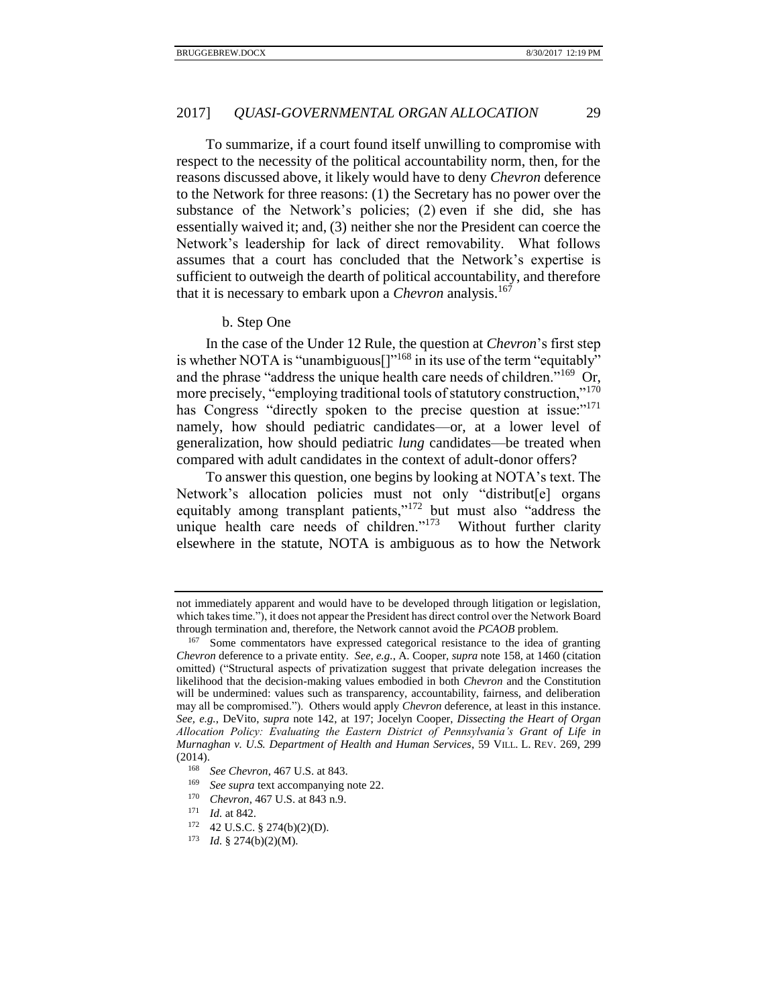To summarize, if a court found itself unwilling to compromise with respect to the necessity of the political accountability norm, then, for the reasons discussed above, it likely would have to deny *Chevron* deference to the Network for three reasons: (1) the Secretary has no power over the substance of the Network's policies; (2) even if she did, she has essentially waived it; and, (3) neither she nor the President can coerce the Network's leadership for lack of direct removability. What follows assumes that a court has concluded that the Network's expertise is sufficient to outweigh the dearth of political accountability, and therefore that it is necessary to embark upon a *Chevron* analysis.<sup>167</sup>

#### <span id="page-28-1"></span>b. Step One

<span id="page-28-0"></span>In the case of the Under 12 Rule, the question at *Chevron*'s first step is whether NOTA is "unambiguous $[]$ "<sup>168</sup> in its use of the term "equitably" and the phrase "address the unique health care needs of children."<sup>169</sup> Or, more precisely, "employing traditional tools of statutory construction,"<sup>170</sup> has Congress "directly spoken to the precise question at issue:"<sup>171</sup> namely, how should pediatric candidates—or, at a lower level of generalization, how should pediatric *lung* candidates—be treated when compared with adult candidates in the context of adult-donor offers?

To answer this question, one begins by looking at NOTA's text. The Network's allocation policies must not only "distribut[e] organs equitably among transplant patients,"<sup>172</sup> but must also "address the unique health care needs of children."<sup>173</sup> Without further clarity elsewhere in the statute, NOTA is ambiguous as to how the Network

not immediately apparent and would have to be developed through litigation or legislation, which takes time."), it does not appear the President has direct control over the Network Board through termination and, therefore, the Network cannot avoid the *PCAOB* problem.

<sup>167</sup> Some commentators have expressed categorical resistance to the idea of granting *Chevron* deference to a private entity. *See, e.g.*, A. Cooper, *supra* note [158,](#page-26-3) at 1460 (citation omitted) ("Structural aspects of privatization suggest that private delegation increases the likelihood that the decision-making values embodied in both *Chevron* and the Constitution will be undermined: values such as transparency, accountability, fairness, and deliberation may all be compromised."). Others would apply *Chevron* deference, at least in this instance. *See, e.g.*, DeVito, *supra* note [142,](#page-24-1) at 197; Jocelyn Cooper, *Dissecting the Heart of Organ Allocation Policy: Evaluating the Eastern District of Pennsylvania's Grant of Life in Murnaghan v. U.S. Department of Health and Human Services*, 59 VILL. L. REV. 269, 299 (2014).

<sup>168</sup> *See Chevron*, 467 U.S. at 843.

<sup>169</sup> *See supra* text accompanying note [22.](#page-4-4)

<sup>170</sup> *Chevron*, 467 U.S. at 843 n.9.

<sup>171</sup> *Id.* at 842.

<sup>172</sup> 42 U.S.C. § 274(b)(2)(D).

<sup>173</sup> *Id.* § 274(b)(2)(M).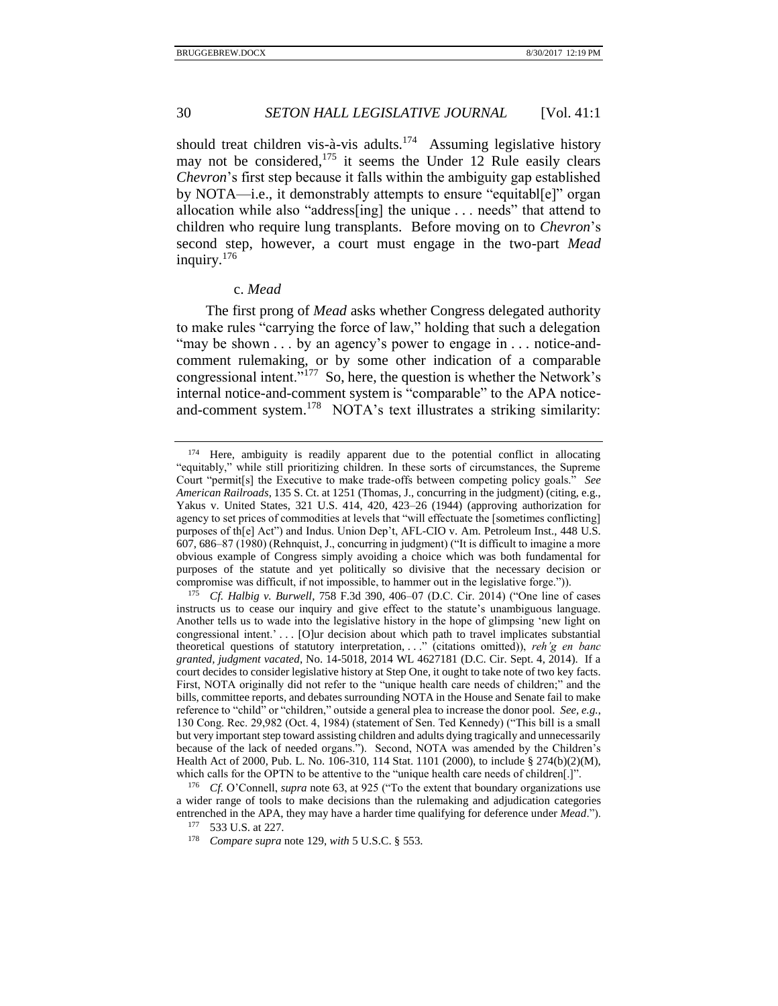should treat children vis-à-vis adults.<sup>174</sup> Assuming legislative history may not be considered, $175$  it seems the Under 12 Rule easily clears *Chevron*'s first step because it falls within the ambiguity gap established by NOTA—i.e., it demonstrably attempts to ensure "equitabl[e]" organ allocation while also "address[ing] the unique . . . needs" that attend to children who require lung transplants. Before moving on to *Chevron*'s second step, however, a court must engage in the two-part *Mead* inquiry.<sup>176</sup>

#### c. *Mead*

<span id="page-29-0"></span>The first prong of *Mead* asks whether Congress delegated authority to make rules "carrying the force of law," holding that such a delegation "may be shown . . . by an agency's power to engage in . . . notice-andcomment rulemaking, or by some other indication of a comparable congressional intent."<sup>177</sup> So, here, the question is whether the Network's internal notice-and-comment system is "comparable" to the APA noticeand-comment system.<sup>178</sup> NOTA's text illustrates a striking similarity:

<sup>174</sup> Here, ambiguity is readily apparent due to the potential conflict in allocating "equitably," while still prioritizing children. In these sorts of circumstances, the Supreme Court "permit[s] the Executive to make trade-offs between competing policy goals." *See American Railroads*, 135 S. Ct. at 1251 (Thomas, J., concurring in the judgment) (citing, e.g., Yakus v. United States, 321 U.S. 414, 420, 423–26 (1944) (approving authorization for agency to set prices of commodities at levels that "will effectuate the [sometimes conflicting] purposes of th[e] Act") and Indus. Union Dep't, AFL-CIO v. Am. Petroleum Inst., 448 U.S. 607, 686–87 (1980) (Rehnquist, J., concurring in judgment) ("It is difficult to imagine a more obvious example of Congress simply avoiding a choice which was both fundamental for purposes of the statute and yet politically so divisive that the necessary decision or compromise was difficult, if not impossible, to hammer out in the legislative forge.")).

<sup>175</sup> *Cf. Halbig v. Burwell*, 758 F.3d 390, 406–07 (D.C. Cir. 2014) ("One line of cases instructs us to cease our inquiry and give effect to the statute's unambiguous language. Another tells us to wade into the legislative history in the hope of glimpsing 'new light on congressional intent.' . . . [O]ur decision about which path to travel implicates substantial theoretical questions of statutory interpretation, . . ." (citations omitted)), *reh'g en banc granted, judgment vacated*, No. 14-5018, 2014 WL 4627181 (D.C. Cir. Sept. 4, 2014). If a court decides to consider legislative history at Step One, it ought to take note of two key facts. First, NOTA originally did not refer to the "unique health care needs of children;" and the bills, committee reports, and debates surrounding NOTA in the House and Senate fail to make reference to "child" or "children," outside a general plea to increase the donor pool. *See, e.g.*, 130 Cong. Rec. 29,982 (Oct. 4, 1984) (statement of Sen. Ted Kennedy) ("This bill is a small but very important step toward assisting children and adults dying tragically and unnecessarily because of the lack of needed organs."). Second, NOTA was amended by the Children's Health Act of 2000, Pub. L. No. 106-310, 114 Stat. 1101 (2000), to include § 274(b)(2)(M), which calls for the OPTN to be attentive to the "unique health care needs of children[.]".

<sup>176</sup> *Cf.* O'Connell, *supra* note [63,](#page-11-0) at 925 ("To the extent that boundary organizations use a wider range of tools to make decisions than the rulemaking and adjudication categories entrenched in the APA, they may have a harder time qualifying for deference under *Mead*.").

<sup>533</sup> U.S. at 227.

<sup>178</sup> *Compare supra* not[e 129,](#page-22-1) *with* 5 U.S.C. § 553.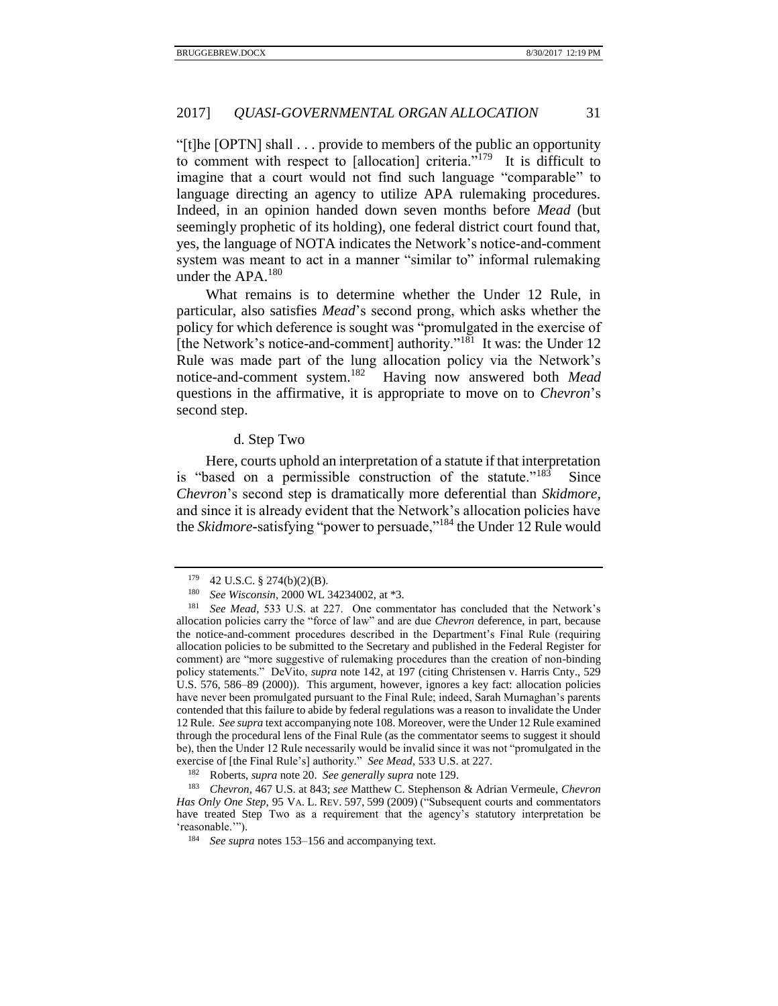"[t]he [OPTN] shall . . . provide to members of the public an opportunity to comment with respect to [allocation] criteria. $v^{179}$  It is difficult to imagine that a court would not find such language "comparable" to language directing an agency to utilize APA rulemaking procedures. Indeed, in an opinion handed down seven months before *Mead* (but seemingly prophetic of its holding), one federal district court found that, yes, the language of NOTA indicates the Network's notice-and-comment system was meant to act in a manner "similar to" informal rulemaking under the APA.<sup>180</sup>

What remains is to determine whether the Under 12 Rule, in particular, also satisfies *Mead*'s second prong, which asks whether the policy for which deference is sought was "promulgated in the exercise of [the Network's notice-and-comment] authority."<sup>181</sup> It was: the Under 12 Rule was made part of the lung allocation policy via the Network's notice-and-comment system.<sup>182</sup> Having now answered both *Mead* questions in the affirmative, it is appropriate to move on to *Chevron*'s second step.

# d. Step Two

<span id="page-30-0"></span>Here, courts uphold an interpretation of a statute if that interpretation is "based on a permissible construction of the statute."<sup>183</sup> Since *Chevron*'s second step is dramatically more deferential than *Skidmore*, and since it is already evident that the Network's allocation policies have the *Skidmore*-satisfying "power to persuade,"<sup>184</sup> the Under 12 Rule would

<sup>179</sup> 42 U.S.C. § 274(b)(2)(B).

<sup>180</sup> *See Wisconsin*, 2000 WL 34234002, at \*3.

<sup>181</sup> *See Mead*, 533 U.S. at 227. One commentator has concluded that the Network's allocation policies carry the "force of law" and are due *Chevron* deference, in part, because the notice-and-comment procedures described in the Department's Final Rule (requiring allocation policies to be submitted to the Secretary and published in the Federal Register for comment) are "more suggestive of rulemaking procedures than the creation of non-binding policy statements." DeVito, *supra* note [142,](#page-24-1) at 197 (citing Christensen v. Harris Cnty., 529 U.S. 576, 586–89 (2000)). This argument, however, ignores a key fact: allocation policies have never been promulgated pursuant to the Final Rule; indeed, Sarah Murnaghan's parents contended that this failure to abide by federal regulations was a reason to invalidate the Under 12 Rule. *See supra* text accompanying not[e 108.](#page-18-2) Moreover, were the Under 12 Rule examined through the procedural lens of the Final Rule (as the commentator seems to suggest it should be), then the Under 12 Rule necessarily would be invalid since it was not "promulgated in the exercise of [the Final Rule's] authority." *See Mead*, 533 U.S. at 227.

<sup>182</sup> Roberts, *supra* not[e 20.](#page-4-1) *See generally supra* not[e 129.](#page-22-1)

<sup>183</sup> *Chevron*, 467 U.S. at 843; *see* Matthew C. Stephenson & Adrian Vermeule, *Chevron Has Only One Step*, 95 VA. L. REV. 597, 599 (2009) ("Subsequent courts and commentators have treated Step Two as a requirement that the agency's statutory interpretation be 'reasonable.'").

<sup>184</sup> *See supra* notes [153–](#page-25-0)[156](#page-26-4) and accompanying text.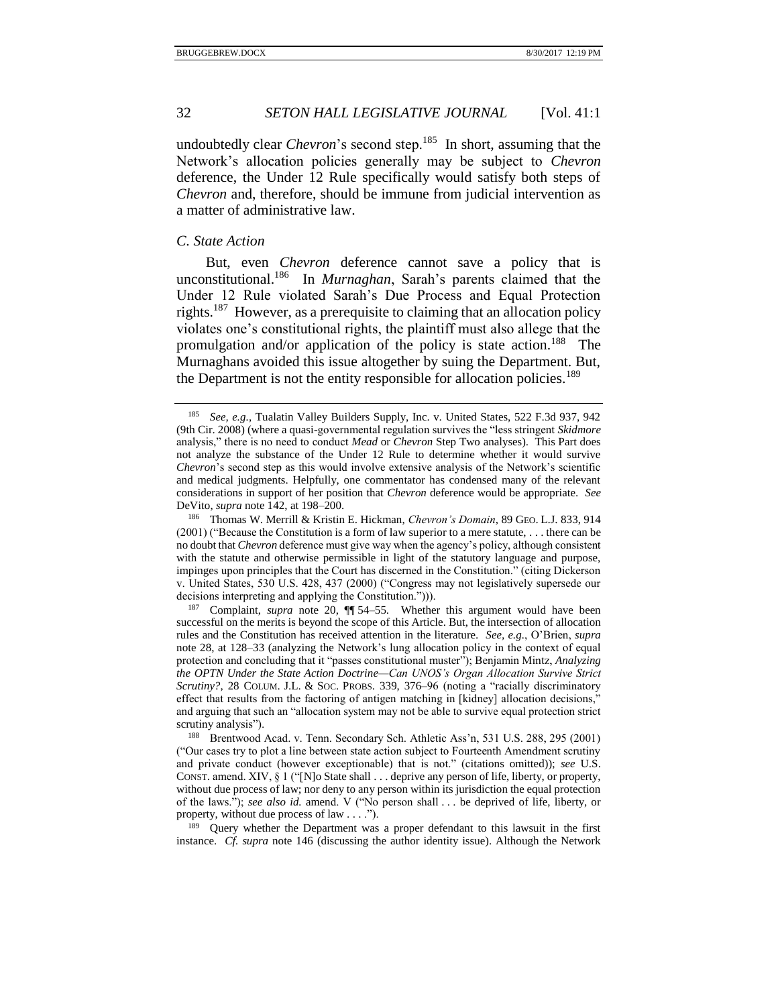undoubtedly clear *Chevron*'s second step.<sup>185</sup> In short, assuming that the Network's allocation policies generally may be subject to *Chevron*  deference, the Under 12 Rule specifically would satisfy both steps of *Chevron* and, therefore, should be immune from judicial intervention as a matter of administrative law.

#### <span id="page-31-0"></span>*C. State Action*

<span id="page-31-1"></span>But, even *Chevron* deference cannot save a policy that is unconstitutional.<sup>186</sup> In *Murnaghan*, Sarah's parents claimed that the Under 12 Rule violated Sarah's Due Process and Equal Protection rights.<sup>187</sup> However, as a prerequisite to claiming that an allocation policy violates one's constitutional rights, the plaintiff must also allege that the promulgation and/or application of the policy is state action.<sup>188</sup> The Murnaghans avoided this issue altogether by suing the Department. But, the Department is not the entity responsible for allocation policies.<sup>189</sup>

<sup>185</sup> *See, e.g.*, Tualatin Valley Builders Supply, Inc. v. United States, 522 F.3d 937, 942 (9th Cir. 2008) (where a quasi-governmental regulation survives the "less stringent *Skidmore*  analysis," there is no need to conduct *Mead* or *Chevron* Step Two analyses). This Part does not analyze the substance of the Under 12 Rule to determine whether it would survive *Chevron*'s second step as this would involve extensive analysis of the Network's scientific and medical judgments. Helpfully, one commentator has condensed many of the relevant considerations in support of her position that *Chevron* deference would be appropriate. *See* DeVito, *supra* not[e 142,](#page-24-1) at 198–200.

<sup>186</sup> Thomas W. Merrill & Kristin E. Hickman, *Chevron's Domain*, 89 GEO. L.J. 833, 914 (2001) ("Because the Constitution is a form of law superior to a mere statute, . . . there can be no doubt that *Chevron* deference must give way when the agency's policy, although consistent with the statute and otherwise permissible in light of the statutory language and purpose, impinges upon principles that the Court has discerned in the Constitution." (citing Dickerson v. United States, 530 U.S. 428, 437 (2000) ("Congress may not legislatively supersede our decisions interpreting and applying the Constitution."))).

<sup>187</sup> Complaint, *supra* note [20,](#page-4-1) ¶¶ 54–55. Whether this argument would have been successful on the merits is beyond the scope of this Article. But, the intersection of allocation rules and the Constitution has received attention in the literature. *See, e.g.*, O'Brien, *supra* note [28,](#page-5-3) at 128–33 (analyzing the Network's lung allocation policy in the context of equal protection and concluding that it "passes constitutional muster"); Benjamin Mintz, *Analyzing the OPTN Under the State Action Doctrine—Can UNOS's Organ Allocation Survive Strict Scrutiny?*, 28 COLUM. J.L. & SOC. PROBS. 339, 376–96 (noting a "racially discriminatory effect that results from the factoring of antigen matching in [kidney] allocation decisions," and arguing that such an "allocation system may not be able to survive equal protection strict scrutiny analysis").

<sup>188</sup> Brentwood Acad. v. Tenn. Secondary Sch. Athletic Ass'n, 531 U.S. 288, 295 (2001) ("Our cases try to plot a line between state action subject to Fourteenth Amendment scrutiny and private conduct (however exceptionable) that is not." (citations omitted)); *see* U.S. CONST. amend. XIV, § 1 ("[N]o State shall . . . deprive any person of life, liberty, or property, without due process of law; nor deny to any person within its jurisdiction the equal protection of the laws."); *see also id.* amend. V ("No person shall . . . be deprived of life, liberty, or property, without due process of law . . . .").

<sup>&</sup>lt;sup>189</sup> Query whether the Department was a proper defendant to this lawsuit in the first instance. *Cf. supra* note [146](#page-24-2) (discussing the author identity issue). Although the Network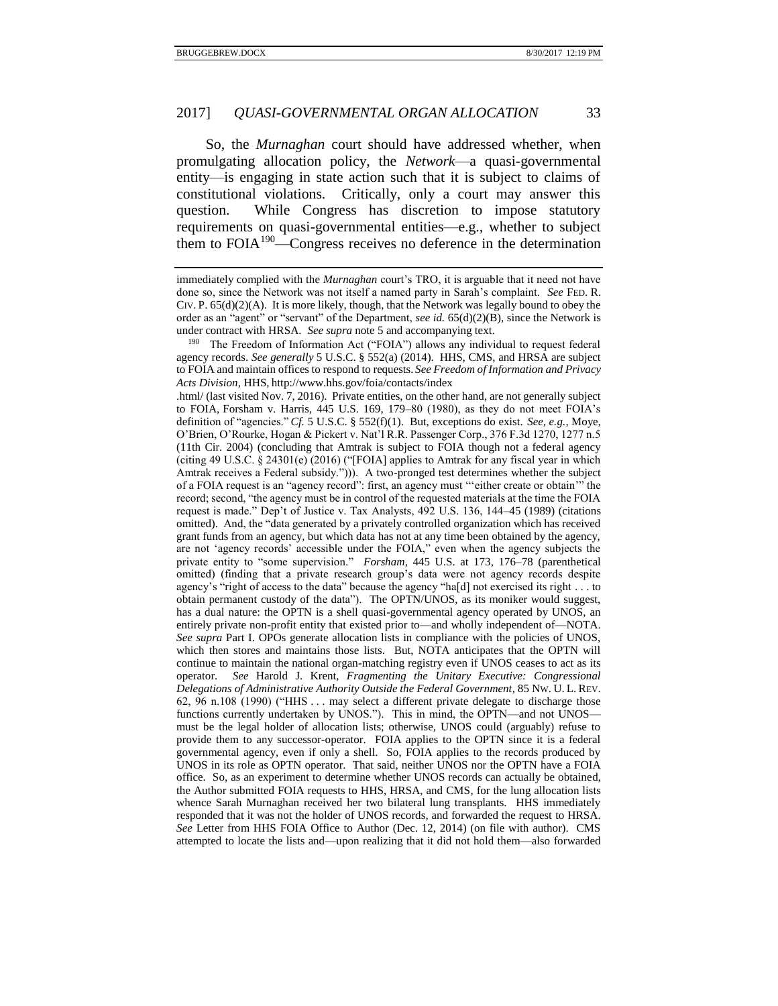So, the *Murnaghan* court should have addressed whether, when promulgating allocation policy, the *Network*—a quasi-governmental entity—is engaging in state action such that it is subject to claims of constitutional violations. Critically, only a court may answer this question. While Congress has discretion to impose statutory requirements on quasi-governmental entities—e.g., whether to subject them to FOIA<sup>190</sup>—Congress receives no deference in the determination

.html/ (last visited Nov. 7, 2016). Private entities, on the other hand, are not generally subject to FOIA, Forsham v. Harris, 445 U.S. 169, 179–80 (1980), as they do not meet FOIA's definition of "agencies." *Cf.* 5 U.S.C. § 552(f)(1). But, exceptions do exist. *See, e.g.*, Moye, O'Brien, O'Rourke, Hogan & Pickert v. Nat'l R.R. Passenger Corp., 376 F.3d 1270, 1277 n.5 (11th Cir. 2004) (concluding that Amtrak is subject to FOIA though not a federal agency (citing 49 U.S.C. § 24301(e) (2016) ("[FOIA] applies to Amtrak for any fiscal year in which Amtrak receives a Federal subsidy."))). A two-pronged test determines whether the subject of a FOIA request is an "agency record": first, an agency must "'either create or obtain'" the record; second, "the agency must be in control of the requested materials at the time the FOIA request is made." Dep't of Justice v. Tax Analysts, 492 U.S. 136, 144–45 (1989) (citations omitted). And, the "data generated by a privately controlled organization which has received grant funds from an agency, but which data has not at any time been obtained by the agency, are not 'agency records' accessible under the FOIA," even when the agency subjects the private entity to "some supervision." *Forsham*, 445 U.S. at 173, 176–78 (parenthetical omitted) (finding that a private research group's data were not agency records despite agency's "right of access to the data" because the agency "ha[d] not exercised its right . . . to obtain permanent custody of the data"). The OPTN/UNOS, as its moniker would suggest, has a dual nature: the OPTN is a shell quasi-governmental agency operated by UNOS, an entirely private non-profit entity that existed prior to—and wholly independent of—NOTA. *See supra* Part I. OPOs generate allocation lists in compliance with the policies of UNOS, which then stores and maintains those lists. But, NOTA anticipates that the OPTN will continue to maintain the national organ-matching registry even if UNOS ceases to act as its operator. *See* Harold J. Krent, *Fragmenting the Unitary Executive: Congressional Delegations of Administrative Authority Outside the Federal Government*, 85 NW. U. L. REV. 62, 96 n.108 (1990) ("HHS . . . may select a different private delegate to discharge those functions currently undertaken by UNOS."). This in mind, the OPTN—and not UNOS must be the legal holder of allocation lists; otherwise, UNOS could (arguably) refuse to provide them to any successor-operator. FOIA applies to the OPTN since it is a federal governmental agency, even if only a shell. So, FOIA applies to the records produced by UNOS in its role as OPTN operator. That said, neither UNOS nor the OPTN have a FOIA office. So, as an experiment to determine whether UNOS records can actually be obtained, the Author submitted FOIA requests to HHS, HRSA, and CMS, for the lung allocation lists whence Sarah Murnaghan received her two bilateral lung transplants. HHS immediately responded that it was not the holder of UNOS records, and forwarded the request to HRSA. *See* Letter from HHS FOIA Office to Author (Dec. 12, 2014) (on file with author). CMS attempted to locate the lists and—upon realizing that it did not hold them—also forwarded

immediately complied with the *Murnaghan* court's TRO, it is arguable that it need not have done so, since the Network was not itself a named party in Sarah's complaint. *See* FED. R. CIV. P.  $65(d)(2)(A)$ . It is more likely, though, that the Network was legally bound to obey the order as an "agent" or "servant" of the Department, *see id.* 65(d)(2)(B), since the Network is under contract with HRSA. *See supra* not[e 5](#page-2-2) and accompanying text.

<sup>190</sup> The Freedom of Information Act ("FOIA") allows any individual to request federal agency records. *See generally* 5 U.S.C. § 552(a) (2014). HHS, CMS, and HRSA are subject to FOIA and maintain offices to respond to requests. *See Freedom of Information and Privacy Acts Division*, HHS, http://www.hhs.gov/foia/contacts/index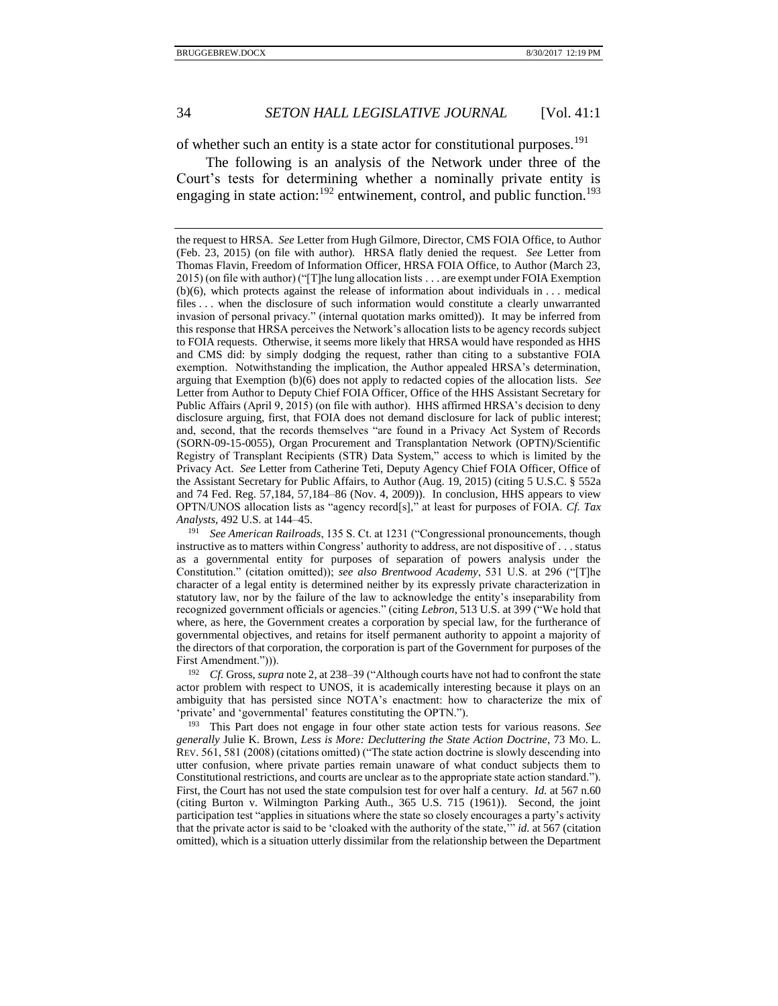of whether such an entity is a state actor for constitutional purposes.<sup>191</sup>

The following is an analysis of the Network under three of the Court's tests for determining whether a nominally private entity is engaging in state action:<sup>192</sup> entwinement, control, and public function.<sup>193</sup>

<sup>191</sup> *See American Railroads*, 135 S. Ct. at 1231 ("Congressional pronouncements, though instructive as to matters within Congress' authority to address, are not dispositive of . . . status as a governmental entity for purposes of separation of powers analysis under the Constitution." (citation omitted)); *see also Brentwood Academy*, 531 U.S. at 296 ("[T]he character of a legal entity is determined neither by its expressly private characterization in statutory law, nor by the failure of the law to acknowledge the entity's inseparability from recognized government officials or agencies." (citing *Lebron*, 513 U.S. at 399 ("We hold that where, as here, the Government creates a corporation by special law, for the furtherance of governmental objectives, and retains for itself permanent authority to appoint a majority of the directors of that corporation, the corporation is part of the Government for purposes of the First Amendment."))).

<sup>192</sup> *Cf.* Gross, *supra* not[e 2,](#page-1-1) at 238–39 ("Although courts have not had to confront the state actor problem with respect to UNOS, it is academically interesting because it plays on an ambiguity that has persisted since NOTA's enactment: how to characterize the mix of 'private' and 'governmental' features constituting the OPTN.").

<sup>193</sup> This Part does not engage in four other state action tests for various reasons. *See generally* Julie K. Brown, *Less is More: Decluttering the State Action Doctrine*, 73 MO. L. REV. 561, 581 (2008) (citations omitted) ("The state action doctrine is slowly descending into utter confusion, where private parties remain unaware of what conduct subjects them to Constitutional restrictions, and courts are unclear as to the appropriate state action standard."). First, the Court has not used the state compulsion test for over half a century. *Id.* at 567 n.60 (citing Burton v. Wilmington Parking Auth., 365 U.S. 715 (1961)). Second, the joint participation test "applies in situations where the state so closely encourages a party's activity that the private actor is said to be 'cloaked with the authority of the state,'" *id.* at 567 (citation omitted), which is a situation utterly dissimilar from the relationship between the Department

the request to HRSA. *See* Letter from Hugh Gilmore, Director, CMS FOIA Office, to Author (Feb. 23, 2015) (on file with author). HRSA flatly denied the request. *See* Letter from Thomas Flavin, Freedom of Information Officer, HRSA FOIA Office, to Author (March 23, 2015) (on file with author) ("[T]he lung allocation lists . . . are exempt under FOIA Exemption  $(b)(6)$ , which protects against the release of information about individuals in . . . medical files . . . when the disclosure of such information would constitute a clearly unwarranted invasion of personal privacy." (internal quotation marks omitted)). It may be inferred from this response that HRSA perceives the Network's allocation lists to be agency records subject to FOIA requests. Otherwise, it seems more likely that HRSA would have responded as HHS and CMS did: by simply dodging the request, rather than citing to a substantive FOIA exemption. Notwithstanding the implication, the Author appealed HRSA's determination, arguing that Exemption (b)(6) does not apply to redacted copies of the allocation lists. *See* Letter from Author to Deputy Chief FOIA Officer, Office of the HHS Assistant Secretary for Public Affairs (April 9, 2015) (on file with author). HHS affirmed HRSA's decision to deny disclosure arguing, first, that FOIA does not demand disclosure for lack of public interest; and, second, that the records themselves "are found in a Privacy Act System of Records (SORN-09-15-0055), Organ Procurement and Transplantation Network (OPTN)/Scientific Registry of Transplant Recipients (STR) Data System," access to which is limited by the Privacy Act. *See* Letter from Catherine Teti, Deputy Agency Chief FOIA Officer, Office of the Assistant Secretary for Public Affairs, to Author (Aug. 19, 2015) (citing 5 U.S.C. § 552a and 74 Fed. Reg. 57,184, 57,184–86 (Nov. 4, 2009)). In conclusion, HHS appears to view OPTN/UNOS allocation lists as "agency record[s]," at least for purposes of FOIA. *Cf. Tax Analysts*, 492 U.S. at 144–45.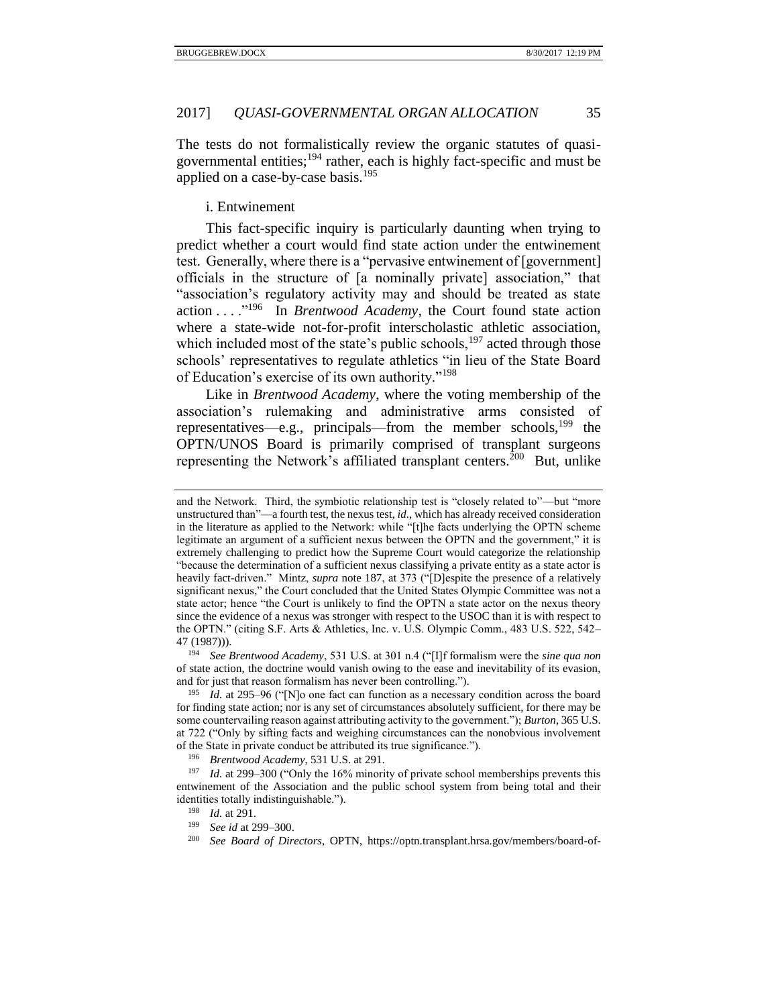The tests do not formalistically review the organic statutes of quasigovernmental entities; $194$  rather, each is highly fact-specific and must be applied on a case-by-case basis.<sup>195</sup>

<span id="page-34-0"></span>i. Entwinement

This fact-specific inquiry is particularly daunting when trying to predict whether a court would find state action under the entwinement test. Generally, where there is a "pervasive entwinement of [government] officials in the structure of [a nominally private] association," that "association's regulatory activity may and should be treated as state action . . . ."<sup>196</sup> In *Brentwood Academy*, the Court found state action where a state-wide not-for-profit interscholastic athletic association, which included most of the state's public schools,  $197$  acted through those schools' representatives to regulate athletics "in lieu of the State Board of Education's exercise of its own authority."<sup>198</sup>

Like in *Brentwood Academy*, where the voting membership of the association's rulemaking and administrative arms consisted of representatives—e.g., principals—from the member schools, $199$  the OPTN/UNOS Board is primarily comprised of transplant surgeons representing the Network's affiliated transplant centers.<sup>200</sup> But, unlike

<sup>194</sup> *See Brentwood Academy*, 531 U.S. at 301 n.4 ("[I]f formalism were the *sine qua non* of state action, the doctrine would vanish owing to the ease and inevitability of its evasion, and for just that reason formalism has never been controlling.").

and the Network. Third, the symbiotic relationship test is "closely related to"—but "more unstructured than"—a fourth test, the nexus test, *id.*, which has already received consideration in the literature as applied to the Network: while "[t]he facts underlying the OPTN scheme legitimate an argument of a sufficient nexus between the OPTN and the government," it is extremely challenging to predict how the Supreme Court would categorize the relationship "because the determination of a sufficient nexus classifying a private entity as a state actor is heavily fact-driven." Mintz, *supra* note [187,](#page-31-1) at 373 ("[D]espite the presence of a relatively significant nexus," the Court concluded that the United States Olympic Committee was not a state actor; hence "the Court is unlikely to find the OPTN a state actor on the nexus theory since the evidence of a nexus was stronger with respect to the USOC than it is with respect to the OPTN." (citing S.F. Arts & Athletics, Inc. v. U.S. Olympic Comm., 483 U.S. 522, 542– 47 (1987))).

<sup>195</sup> *Id.* at 295–96 ("[N]o one fact can function as a necessary condition across the board for finding state action; nor is any set of circumstances absolutely sufficient, for there may be some countervailing reason against attributing activity to the government."); *Burton*, 365 U.S. at 722 ("Only by sifting facts and weighing circumstances can the nonobvious involvement of the State in private conduct be attributed its true significance.").

<sup>196</sup> *Brentwood Academy*, 531 U.S. at 291.

<sup>&</sup>lt;sup>197</sup> *Id.* at 299–300 ("Only the 16% minority of private school memberships prevents this entwinement of the Association and the public school system from being total and their identities totally indistinguishable.").

<sup>198</sup> *Id.* at 291.

<sup>199</sup> *See id* at 299–300.

<sup>200</sup> *See Board of Directors*, OPTN, https://optn.transplant.hrsa.gov/members/board-of-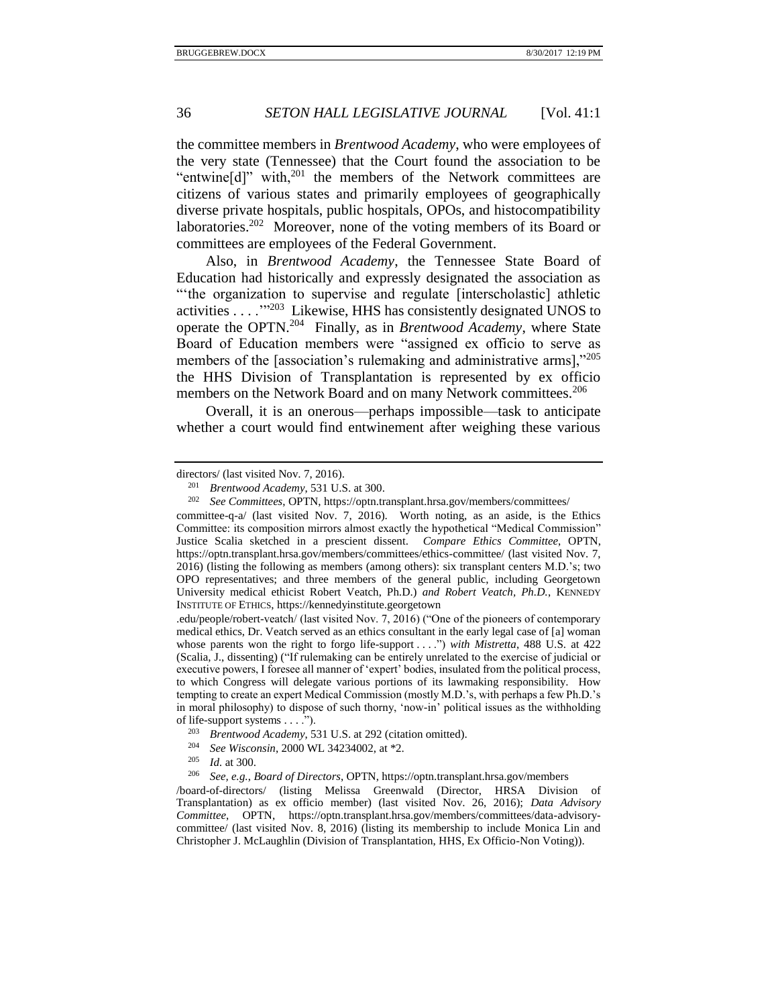the committee members in *Brentwood Academy*, who were employees of the very state (Tennessee) that the Court found the association to be "entwine[d]" with, $^{201}$  the members of the Network committees are citizens of various states and primarily employees of geographically diverse private hospitals, public hospitals, OPOs, and histocompatibility laboratories.<sup>202</sup> Moreover, none of the voting members of its Board or committees are employees of the Federal Government.

<span id="page-35-0"></span>Also, in *Brentwood Academy*, the Tennessee State Board of Education had historically and expressly designated the association as "'the organization to supervise and regulate [interscholastic] athletic activities . . . . "<sup>203</sup> Likewise, HHS has consistently designated UNOS to operate the OPTN.<sup>204</sup> Finally, as in *Brentwood Academy*, where State Board of Education members were "assigned ex officio to serve as members of the [association's rulemaking and administrative arms],"205 the HHS Division of Transplantation is represented by ex officio members on the Network Board and on many Network committees.<sup>206</sup>

Overall, it is an onerous—perhaps impossible—task to anticipate whether a court would find entwinement after weighing these various

committee-q-a/ (last visited Nov. 7, 2016). Worth noting, as an aside, is the Ethics Committee: its composition mirrors almost exactly the hypothetical "Medical Commission" Justice Scalia sketched in a prescient dissent. *Compare Ethics Committee*, OPTN, https://optn.transplant.hrsa.gov/members/committees/ethics-committee/ (last visited Nov. 7, 2016) (listing the following as members (among others): six transplant centers M.D.'s; two OPO representatives; and three members of the general public, including Georgetown University medical ethicist Robert Veatch, Ph.D.) *and Robert Veatch, Ph.D.*, KENNEDY INSTITUTE OF ETHICS, https://kennedyinstitute.georgetown

.edu/people/robert-veatch/ (last visited Nov. 7, 2016) ("One of the pioneers of contemporary medical ethics, Dr. Veatch served as an ethics consultant in the early legal case of [a] woman whose parents won the right to forgo life-support . . . .") *with Mistretta*, 488 U.S. at 422 (Scalia, J., dissenting) ("If rulemaking can be entirely unrelated to the exercise of judicial or executive powers, I foresee all manner of 'expert' bodies, insulated from the political process, to which Congress will delegate various portions of its lawmaking responsibility. How tempting to create an expert Medical Commission (mostly M.D.'s, with perhaps a few Ph.D.'s in moral philosophy) to dispose of such thorny, 'now-in' political issues as the withholding of life-support systems . . . .").

/board-of-directors/ (listing Melissa Greenwald (Director, HRSA Division of Transplantation) as ex officio member) (last visited Nov. 26, 2016); *Data Advisory Committee*, OPTN, https://optn.transplant.hrsa.gov/members/committees/data-advisorycommittee/ (last visited Nov. 8, 2016) (listing its membership to include Monica Lin and Christopher J. McLaughlin (Division of Transplantation, HHS, Ex Officio-Non Voting)).

directors/ (last visited Nov. 7, 2016).

<sup>201</sup> *Brentwood Academy*, 531 U.S. at 300.

<sup>202</sup> *See Committees*, OPTN, https://optn.transplant.hrsa.gov/members/committees/

<sup>203</sup> *Brentwood Academy*, 531 U.S. at 292 (citation omitted).

<sup>204</sup> *See Wisconsin*, 2000 WL 34234002, at \*2.

*Id.* at 300.

<sup>206</sup> *See, e.g.*, *Board of Directors*, OPTN, https://optn.transplant.hrsa.gov/members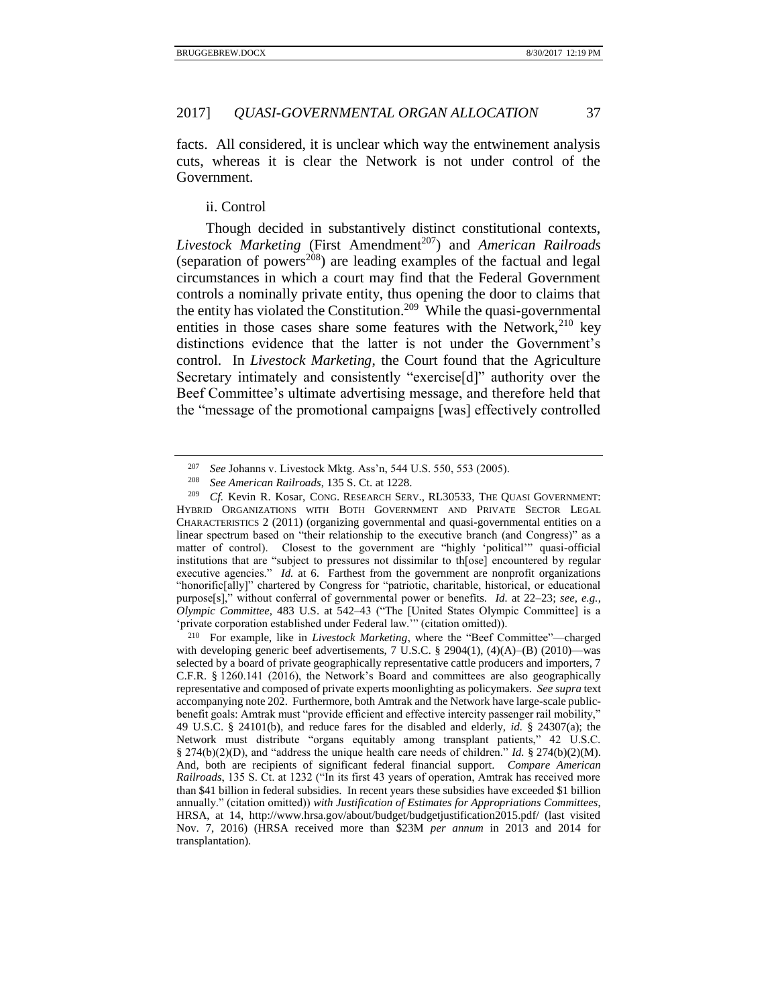facts. All considered, it is unclear which way the entwinement analysis cuts, whereas it is clear the Network is not under control of the Government.

# <span id="page-36-0"></span>ii. Control

Though decided in substantively distinct constitutional contexts, Livestock Marketing (First Amendment<sup>207</sup>) and *American Railroads* (separation of powers<sup>208</sup>) are leading examples of the factual and legal circumstances in which a court may find that the Federal Government controls a nominally private entity, thus opening the door to claims that the entity has violated the Constitution.<sup>209</sup> While the quasi-governmental entities in those cases share some features with the Network,  $210$  key distinctions evidence that the latter is not under the Government's control. In *Livestock Marketing*, the Court found that the Agriculture Secretary intimately and consistently "exercise[d]" authority over the Beef Committee's ultimate advertising message, and therefore held that the "message of the promotional campaigns [was] effectively controlled

<sup>&</sup>lt;sup>207</sup> *See Johanns v. Livestock Mktg. Ass'n, 544 U.S. 550, 553 (2005).*<br><sup>208</sup> *See American Bailroads* 135 S. Ct. at 1228

<sup>208</sup> *See American Railroads*, 135 S. Ct. at 1228.

<sup>&</sup>lt;sup>209</sup> *Cf.* Kevin R. Kosar, CONG. RESEARCH SERV., RL30533, THE QUASI GOVERNMENT: HYBRID ORGANIZATIONS WITH BOTH GOVERNMENT AND PRIVATE SECTOR LEGAL CHARACTERISTICS 2 (2011) (organizing governmental and quasi-governmental entities on a linear spectrum based on "their relationship to the executive branch (and Congress)" as a matter of control). Closest to the government are "highly 'political'" quasi-official institutions that are "subject to pressures not dissimilar to th[ose] encountered by regular executive agencies." *Id.* at 6. Farthest from the government are nonprofit organizations "honorific[ally]" chartered by Congress for "patriotic, charitable, historical, or educational purpose[s]," without conferral of governmental power or benefits. *Id.* at 22–23; *see, e.g.*, *Olympic Committee*, 483 U.S. at 542–43 ("The [United States Olympic Committee] is a 'private corporation established under Federal law.'" (citation omitted)).

<sup>210</sup> For example, like in *Livestock Marketing*, where the "Beef Committee"—charged with developing generic beef advertisements, 7 U.S.C. § 2904(1), (4)(A)–(B) (2010)—was selected by a board of private geographically representative cattle producers and importers, 7 C.F.R. § 1260.141 (2016), the Network's Board and committees are also geographically representative and composed of private experts moonlighting as policymakers. *See supra* text accompanying not[e 202.](#page-35-0) Furthermore, both Amtrak and the Network have large-scale publicbenefit goals: Amtrak must "provide efficient and effective intercity passenger rail mobility," 49 U.S.C. § 24101(b), and reduce fares for the disabled and elderly, *id.* § 24307(a); the Network must distribute "organs equitably among transplant patients," 42 U.S.C. § 274(b)(2)(D), and "address the unique health care needs of children." *Id.* § 274(b)(2)(M). And, both are recipients of significant federal financial support. *Compare American Railroads*, 135 S. Ct. at 1232 ("In its first 43 years of operation, Amtrak has received more than \$41 billion in federal subsidies. In recent years these subsidies have exceeded \$1 billion annually." (citation omitted)) *with Justification of Estimates for Appropriations Committees*, HRSA, at 14, http://www.hrsa.gov/about/budget/budgetjustification2015.pdf/ (last visited Nov. 7, 2016) (HRSA received more than \$23M *per annum* in 2013 and 2014 for transplantation).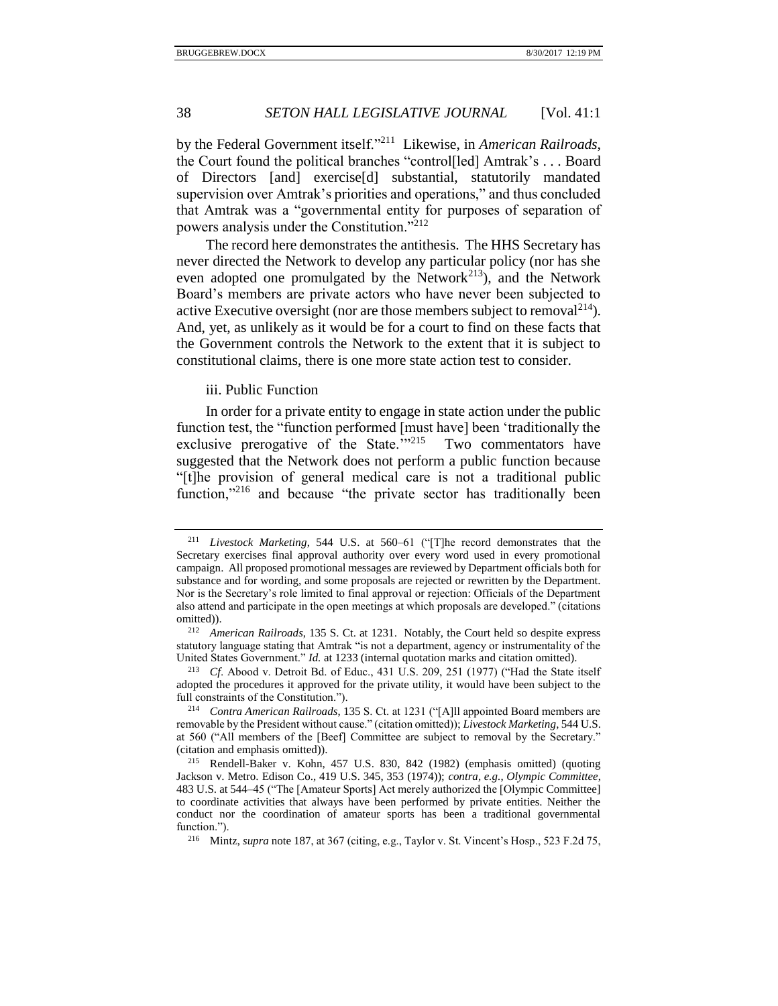by the Federal Government itself."<sup>211</sup> Likewise, in *American Railroads*, the Court found the political branches "control[led] Amtrak's . . . Board of Directors [and] exercise[d] substantial, statutorily mandated supervision over Amtrak's priorities and operations," and thus concluded that Amtrak was a "governmental entity for purposes of separation of powers analysis under the Constitution."<sup>212</sup>

The record here demonstrates the antithesis. The HHS Secretary has never directed the Network to develop any particular policy (nor has she even adopted one promulgated by the Network<sup>213</sup>), and the Network Board's members are private actors who have never been subjected to active Executive oversight (nor are those members subject to removal  $2^{14}$ ). And, yet, as unlikely as it would be for a court to find on these facts that the Government controls the Network to the extent that it is subject to constitutional claims, there is one more state action test to consider.

## <span id="page-37-0"></span>iii. Public Function

In order for a private entity to engage in state action under the public function test, the "function performed [must have] been 'traditionally the exclusive prerogative of the State."<sup>215</sup> Two commentators have suggested that the Network does not perform a public function because "[t]he provision of general medical care is not a traditional public function."<sup>216</sup> and because "the private sector has traditionally been

<sup>211</sup> *Livestock Marketing*, 544 U.S. at 560–61 ("[T]he record demonstrates that the Secretary exercises final approval authority over every word used in every promotional campaign. All proposed promotional messages are reviewed by Department officials both for substance and for wording, and some proposals are rejected or rewritten by the Department. Nor is the Secretary's role limited to final approval or rejection: Officials of the Department also attend and participate in the open meetings at which proposals are developed." (citations omitted)).

<sup>212</sup> *American Railroads*, 135 S. Ct. at 1231. Notably, the Court held so despite express statutory language stating that Amtrak "is not a department, agency or instrumentality of the United States Government." *Id.* at 1233 (internal quotation marks and citation omitted).

<sup>213</sup> *Cf*. Abood v. Detroit Bd. of Educ., 431 U.S. 209, 251 (1977) ("Had the State itself adopted the procedures it approved for the private utility, it would have been subject to the full constraints of the Constitution.").

<sup>214</sup> *Contra American Railroads*, 135 S. Ct. at 1231 ("[A]ll appointed Board members are removable by the President without cause." (citation omitted)); *Livestock Marketing*, 544 U.S. at 560 ("All members of the [Beef] Committee are subject to removal by the Secretary." (citation and emphasis omitted)).

<sup>215</sup> Rendell-Baker v. Kohn, 457 U.S. 830, 842 (1982) (emphasis omitted) (quoting Jackson v. Metro. Edison Co., 419 U.S. 345, 353 (1974)); *contra, e.g.*, *Olympic Committee*, 483 U.S. at 544–45 ("The [Amateur Sports] Act merely authorized the [Olympic Committee] to coordinate activities that always have been performed by private entities. Neither the conduct nor the coordination of amateur sports has been a traditional governmental function.").

<sup>216</sup> Mintz, *supra* not[e 187,](#page-31-1) at 367 (citing, e.g., Taylor v. St. Vincent's Hosp., 523 F.2d 75,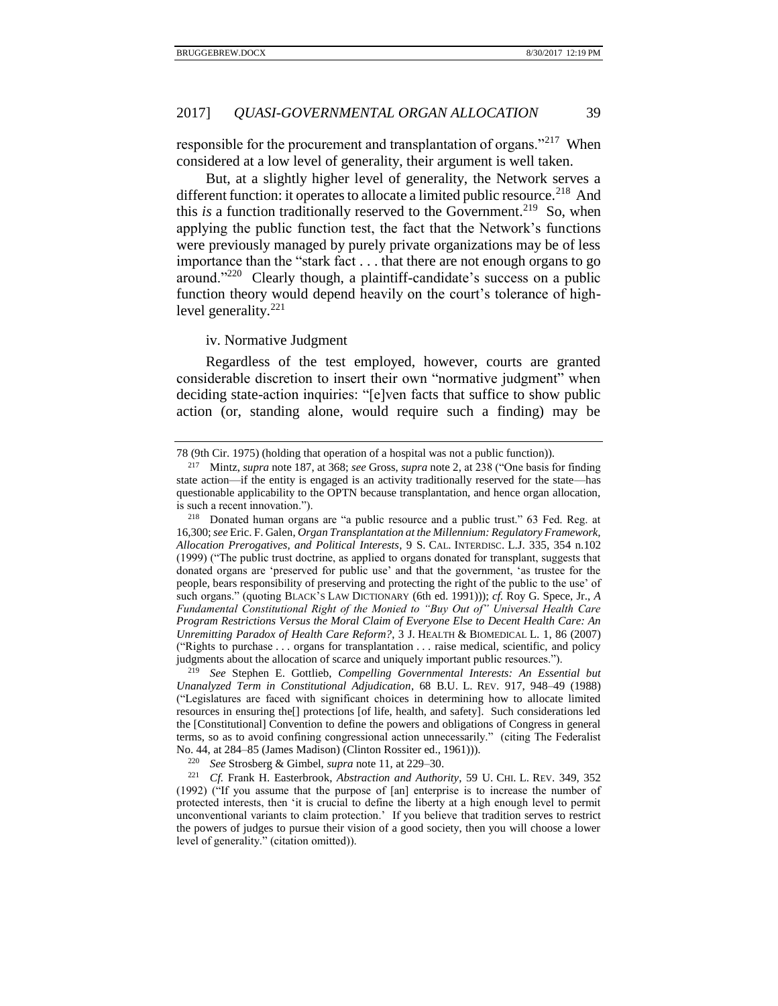responsible for the procurement and transplantation of organs."<sup>217</sup> When considered at a low level of generality, their argument is well taken.

But, at a slightly higher level of generality, the Network serves a different function: it operates to allocate a limited public resource.<sup>218</sup> And this *is* a function traditionally reserved to the Government.<sup>219</sup> So, when applying the public function test, the fact that the Network's functions were previously managed by purely private organizations may be of less importance than the "stark fact . . . that there are not enough organs to go around."<sup>220</sup> Clearly though, a plaintiff-candidate's success on a public function theory would depend heavily on the court's tolerance of highlevel generality.<sup>221</sup>

<span id="page-38-0"></span>iv. Normative Judgment

Regardless of the test employed, however, courts are granted considerable discretion to insert their own "normative judgment" when deciding state-action inquiries: "[e]ven facts that suffice to show public action (or, standing alone, would require such a finding) may be

<sup>78 (9</sup>th Cir. 1975) (holding that operation of a hospital was not a public function)).

<sup>217</sup> Mintz, *supra* not[e 187,](#page-31-1) at 368; *see* Gross, *supra* not[e 2,](#page-1-1) at 238 ("One basis for finding state action—if the entity is engaged is an activity traditionally reserved for the state—has questionable applicability to the OPTN because transplantation, and hence organ allocation, is such a recent innovation.").

<sup>218</sup> Donated human organs are "a public resource and a public trust." 63 Fed. Reg. at 16,300; *see* Eric. F. Galen, *Organ Transplantation at the Millennium: Regulatory Framework, Allocation Prerogatives, and Political Interests*, 9 S. CAL. INTERDISC. L.J. 335, 354 n.102 (1999) ("The public trust doctrine, as applied to organs donated for transplant, suggests that donated organs are 'preserved for public use' and that the government, 'as trustee for the people, bears responsibility of preserving and protecting the right of the public to the use' of such organs." (quoting BLACK'S LAW DICTIONARY (6th ed. 1991))); *cf.* Roy G. Spece, Jr., *A Fundamental Constitutional Right of the Monied to "Buy Out of" Universal Health Care Program Restrictions Versus the Moral Claim of Everyone Else to Decent Health Care: An Unremitting Paradox of Health Care Reform?*, 3 J. HEALTH & BIOMEDICAL L. 1, 86 (2007) ("Rights to purchase . . . organs for transplantation . . . raise medical, scientific, and policy judgments about the allocation of scarce and uniquely important public resources.").

<sup>219</sup> *See* Stephen E. Gottlieb, *Compelling Governmental Interests: An Essential but Unanalyzed Term in Constitutional Adjudication*, 68 B.U. L. REV. 917, 948–49 (1988) ("Legislatures are faced with significant choices in determining how to allocate limited resources in ensuring the[] protections [of life, health, and safety]. Such considerations led the [Constitutional] Convention to define the powers and obligations of Congress in general terms, so as to avoid confining congressional action unnecessarily." (citing The Federalist No. 44, at 284–85 (James Madison) (Clinton Rossiter ed., 1961))).

<sup>220</sup> *See* Strosberg & Gimbel, *supra* note [11,](#page-3-0) at 229–30.

<sup>221</sup> *Cf.* Frank H. Easterbrook, *Abstraction and Authority*, 59 U. CHI. L. REV. 349, 352 (1992) ("If you assume that the purpose of [an] enterprise is to increase the number of protected interests, then 'it is crucial to define the liberty at a high enough level to permit unconventional variants to claim protection.' If you believe that tradition serves to restrict the powers of judges to pursue their vision of a good society, then you will choose a lower level of generality." (citation omitted)).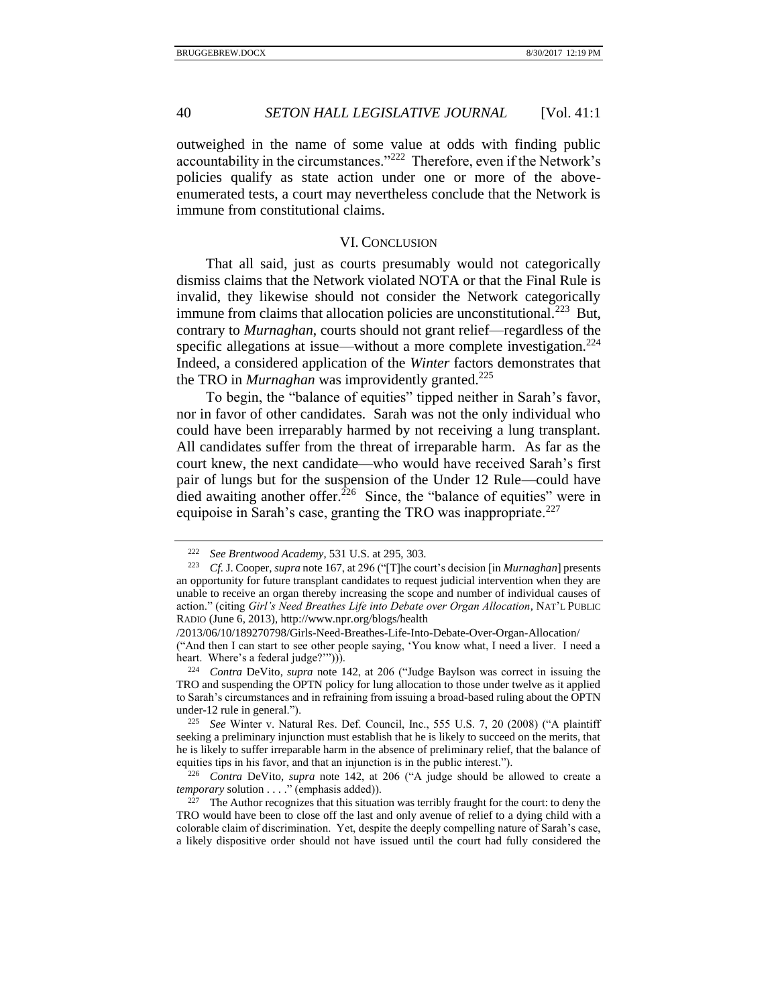outweighed in the name of some value at odds with finding public accountability in the circumstances."<sup>222</sup> Therefore, even if the Network's policies qualify as state action under one or more of the aboveenumerated tests, a court may nevertheless conclude that the Network is immune from constitutional claims.

#### VI. CONCLUSION

<span id="page-39-0"></span>That all said, just as courts presumably would not categorically dismiss claims that the Network violated NOTA or that the Final Rule is invalid, they likewise should not consider the Network categorically immune from claims that allocation policies are unconstitutional.<sup>223</sup> But, contrary to *Murnaghan*, courts should not grant relief—regardless of the specific allegations at issue—without a more complete investigation.<sup>224</sup> Indeed, a considered application of the *Winter* factors demonstrates that the TRO in *Murnaghan* was improvidently granted.<sup>225</sup>

To begin, the "balance of equities" tipped neither in Sarah's favor, nor in favor of other candidates. Sarah was not the only individual who could have been irreparably harmed by not receiving a lung transplant. All candidates suffer from the threat of irreparable harm. As far as the court knew, the next candidate—who would have received Sarah's first pair of lungs but for the suspension of the Under 12 Rule—could have died awaiting another offer.<sup>226</sup> Since, the "balance of equities" were in equipoise in Sarah's case, granting the TRO was inappropriate.<sup>227</sup>

<sup>222</sup> *See Brentwood Academy*, 531 U.S. at 295, 303.

<sup>223</sup> *Cf.* J. Cooper, *supra* not[e 167,](#page-28-1) at 296 ("[T]he court's decision [in *Murnaghan*] presents an opportunity for future transplant candidates to request judicial intervention when they are unable to receive an organ thereby increasing the scope and number of individual causes of action." (citing *Girl's Need Breathes Life into Debate over Organ Allocation*, NAT'L PUBLIC RADIO (June 6, 2013), http://www.npr.org/blogs/health

<sup>/2013/06/10/189270798/</sup>Girls-Need-Breathes-Life-Into-Debate-Over-Organ-Allocation/ ("And then I can start to see other people saying, 'You know what, I need a liver. I need a heart. Where's a federal judge?'")).

<sup>224</sup> *Contra* DeVito, *supra* note [142,](#page-24-1) at 206 ("Judge Baylson was correct in issuing the TRO and suspending the OPTN policy for lung allocation to those under twelve as it applied to Sarah's circumstances and in refraining from issuing a broad-based ruling about the OPTN under-12 rule in general.").

<sup>225</sup> *See* Winter v. Natural Res. Def. Council, Inc., 555 U.S. 7, 20 (2008) ("A plaintiff seeking a preliminary injunction must establish that he is likely to succeed on the merits, that he is likely to suffer irreparable harm in the absence of preliminary relief, that the balance of equities tips in his favor, and that an injunction is in the public interest.").

<sup>226</sup> *Contra* DeVito, *supra* note [142,](#page-24-1) at 206 ("A judge should be allowed to create a *temporary* solution . . . ." (emphasis added)).

<sup>&</sup>lt;sup>227</sup> The Author recognizes that this situation was terribly fraught for the court: to deny the TRO would have been to close off the last and only avenue of relief to a dying child with a colorable claim of discrimination. Yet, despite the deeply compelling nature of Sarah's case, a likely dispositive order should not have issued until the court had fully considered the